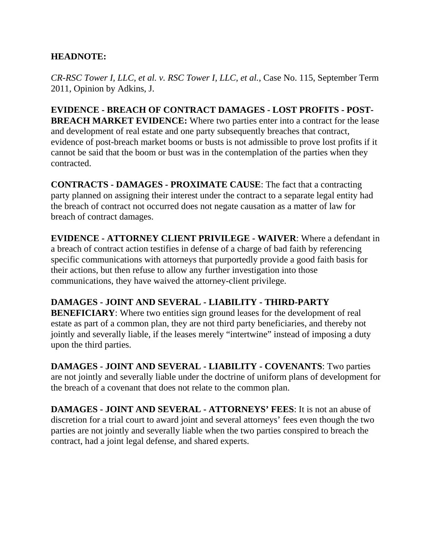# **HEADNOTE:**

*CR-RSC Tower I, LLC, et al. v. RSC Tower I, LLC, et al.*, Case No. 115, September Term 2011, Opinion by Adkins, J.

**EVIDENCE - BREACH OF CONTRACT DAMAGES - LOST PROFITS - POST-BREACH MARKET EVIDENCE:** Where two parties enter into a contract for the lease and development of real estate and one party subsequently breaches that contract, evidence of post-breach market booms or busts is not admissible to prove lost profits if it cannot be said that the boom or bust was in the contemplation of the parties when they contracted.

**CONTRACTS - DAMAGES - PROXIMATE CAUSE**: The fact that a contracting party planned on assigning their interest under the contract to a separate legal entity had the breach of contract not occurred does not negate causation as a matter of law for breach of contract damages.

**EVIDENCE - ATTORNEY CLIENT PRIVILEGE - WAIVER**: Where a defendant in a breach of contract action testifies in defense of a charge of bad faith by referencing specific communications with attorneys that purportedly provide a good faith basis for their actions, but then refuse to allow any further investigation into those communications, they have waived the attorney-client privilege.

# **DAMAGES - JOINT AND SEVERAL - LIABILITY - THIRD-PARTY**

**BENEFICIARY:** Where two entities sign ground leases for the development of real estate as part of a common plan, they are not third party beneficiaries, and thereby not jointly and severally liable, if the leases merely "intertwine" instead of imposing a duty upon the third parties.

**DAMAGES - JOINT AND SEVERAL - LIABILITY - COVENANTS**: Two parties are not jointly and severally liable under the doctrine of uniform plans of development for the breach of a covenant that does not relate to the common plan.

**DAMAGES - JOINT AND SEVERAL - ATTORNEYS' FEES**: It is not an abuse of discretion for a trial court to award joint and several attorneys' fees even though the two parties are not jointly and severally liable when the two parties conspired to breach the contract, had a joint legal defense, and shared experts.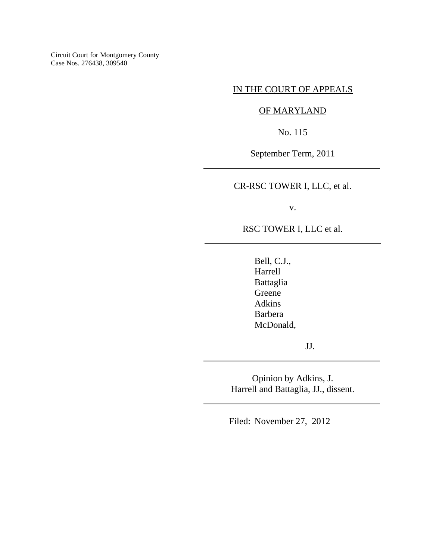Circuit Court for Montgomery County Case Nos. 276438, 309540

## IN THE COURT OF APPEALS

## OF MARYLAND

No. 115

September Term, 2011

 $\overline{\phantom{a}}$ 

 $\overline{a}$ 

 $\overline{\phantom{a}}$ 

 $\overline{\phantom{a}}$ 

CR-RSC TOWER I, LLC, et al.

v.

RSC TOWER I, LLC et al.

Bell, C.J., Harrell Battaglia Greene Adkins Barbera McDonald,

JJ.

Opinion by Adkins, J. Harrell and Battaglia, JJ., dissent.

Filed: November 27, 2012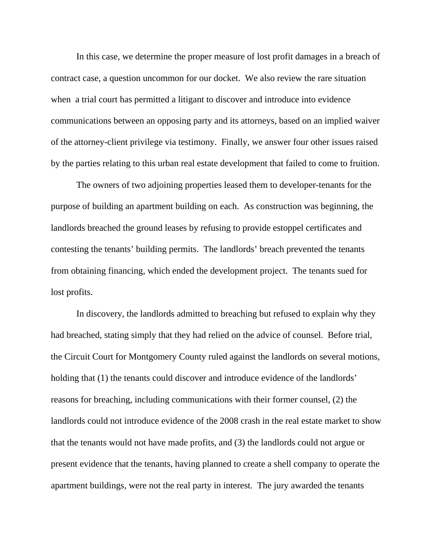In this case, we determine the proper measure of lost profit damages in a breach of contract case, a question uncommon for our docket. We also review the rare situation when a trial court has permitted a litigant to discover and introduce into evidence communications between an opposing party and its attorneys, based on an implied waiver of the attorney-client privilege via testimony. Finally, we answer four other issues raised by the parties relating to this urban real estate development that failed to come to fruition.

The owners of two adjoining properties leased them to developer-tenants for the purpose of building an apartment building on each. As construction was beginning, the landlords breached the ground leases by refusing to provide estoppel certificates and contesting the tenants' building permits. The landlords' breach prevented the tenants from obtaining financing, which ended the development project. The tenants sued for lost profits.

In discovery, the landlords admitted to breaching but refused to explain why they had breached, stating simply that they had relied on the advice of counsel. Before trial, the Circuit Court for Montgomery County ruled against the landlords on several motions, holding that (1) the tenants could discover and introduce evidence of the landlords' reasons for breaching, including communications with their former counsel, (2) the landlords could not introduce evidence of the 2008 crash in the real estate market to show that the tenants would not have made profits, and (3) the landlords could not argue or present evidence that the tenants, having planned to create a shell company to operate the apartment buildings, were not the real party in interest. The jury awarded the tenants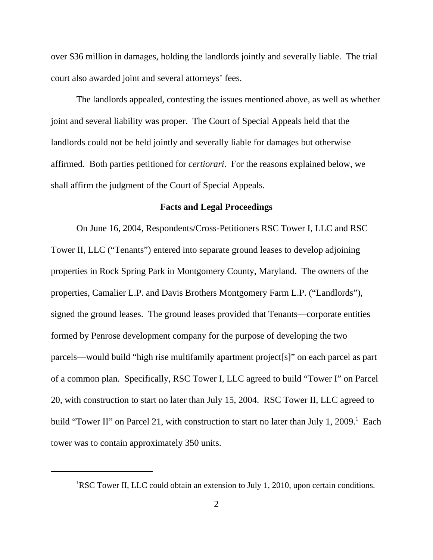over \$36 million in damages, holding the landlords jointly and severally liable. The trial court also awarded joint and several attorneys' fees.

The landlords appealed, contesting the issues mentioned above, as well as whether joint and several liability was proper. The Court of Special Appeals held that the landlords could not be held jointly and severally liable for damages but otherwise affirmed. Both parties petitioned for *certiorari*. For the reasons explained below, we shall affirm the judgment of the Court of Special Appeals.

## **Facts and Legal Proceedings**

On June 16, 2004, Respondents/Cross-Petitioners RSC Tower I, LLC and RSC Tower II, LLC ("Tenants") entered into separate ground leases to develop adjoining properties in Rock Spring Park in Montgomery County, Maryland. The owners of the properties, Camalier L.P. and Davis Brothers Montgomery Farm L.P. ("Landlords"), signed the ground leases. The ground leases provided that Tenants—corporate entities formed by Penrose development company for the purpose of developing the two parcels—would build "high rise multifamily apartment project[s]" on each parcel as part of a common plan. Specifically, RSC Tower I, LLC agreed to build "Tower I" on Parcel 20, with construction to start no later than July 15, 2004. RSC Tower II, LLC agreed to build "Tower II" on Parcel 21, with construction to start no later than July 1, 2009.<sup>1</sup> Each tower was to contain approximately 350 units.

<sup>&</sup>lt;sup>1</sup>RSC Tower II, LLC could obtain an extension to July 1, 2010, upon certain conditions.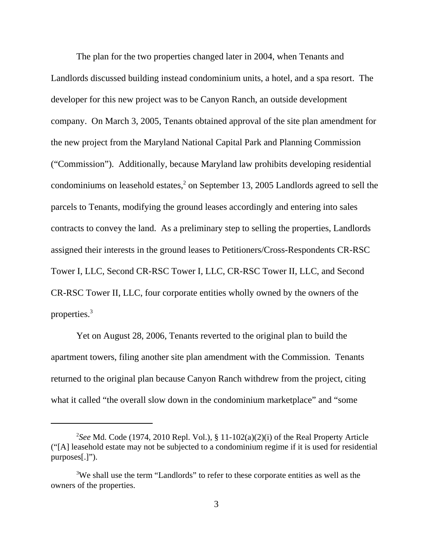The plan for the two properties changed later in 2004, when Tenants and Landlords discussed building instead condominium units, a hotel, and a spa resort. The developer for this new project was to be Canyon Ranch, an outside development company. On March 3, 2005, Tenants obtained approval of the site plan amendment for the new project from the Maryland National Capital Park and Planning Commission ("Commission"). Additionally, because Maryland law prohibits developing residential condominiums on leasehold estates,<sup>2</sup> on September 13, 2005 Landlords agreed to sell the parcels to Tenants, modifying the ground leases accordingly and entering into sales contracts to convey the land. As a preliminary step to selling the properties, Landlords assigned their interests in the ground leases to Petitioners/Cross-Respondents CR-RSC Tower I, LLC, Second CR-RSC Tower I, LLC, CR-RSC Tower II, LLC, and Second CR-RSC Tower II, LLC, four corporate entities wholly owned by the owners of the properties.3

Yet on August 28, 2006, Tenants reverted to the original plan to build the apartment towers, filing another site plan amendment with the Commission. Tenants returned to the original plan because Canyon Ranch withdrew from the project, citing what it called "the overall slow down in the condominium marketplace" and "some

<sup>2</sup> *See* Md. Code (1974, 2010 Repl. Vol.), § 11-102(a)(2)(i) of the Real Property Article ("[A] leasehold estate may not be subjected to a condominium regime if it is used for residential purposes[.]").

<sup>&</sup>lt;sup>3</sup>We shall use the term "Landlords" to refer to these corporate entities as well as the owners of the properties.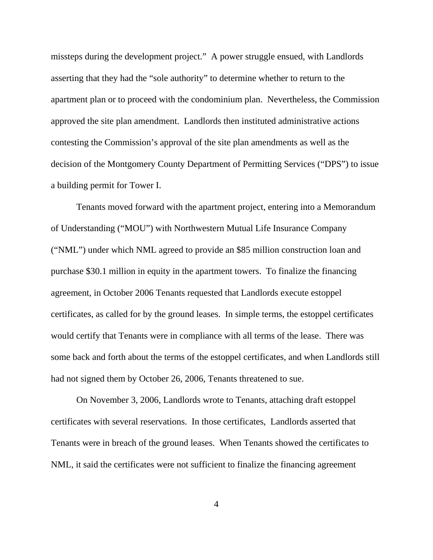missteps during the development project." A power struggle ensued, with Landlords asserting that they had the "sole authority" to determine whether to return to the apartment plan or to proceed with the condominium plan. Nevertheless, the Commission approved the site plan amendment. Landlords then instituted administrative actions contesting the Commission's approval of the site plan amendments as well as the decision of the Montgomery County Department of Permitting Services ("DPS") to issue a building permit for Tower I.

Tenants moved forward with the apartment project, entering into a Memorandum of Understanding ("MOU") with Northwestern Mutual Life Insurance Company ("NML") under which NML agreed to provide an \$85 million construction loan and purchase \$30.1 million in equity in the apartment towers. To finalize the financing agreement, in October 2006 Tenants requested that Landlords execute estoppel certificates, as called for by the ground leases. In simple terms, the estoppel certificates would certify that Tenants were in compliance with all terms of the lease. There was some back and forth about the terms of the estoppel certificates, and when Landlords still had not signed them by October 26, 2006, Tenants threatened to sue.

On November 3, 2006, Landlords wrote to Tenants, attaching draft estoppel certificates with several reservations. In those certificates, Landlords asserted that Tenants were in breach of the ground leases. When Tenants showed the certificates to NML, it said the certificates were not sufficient to finalize the financing agreement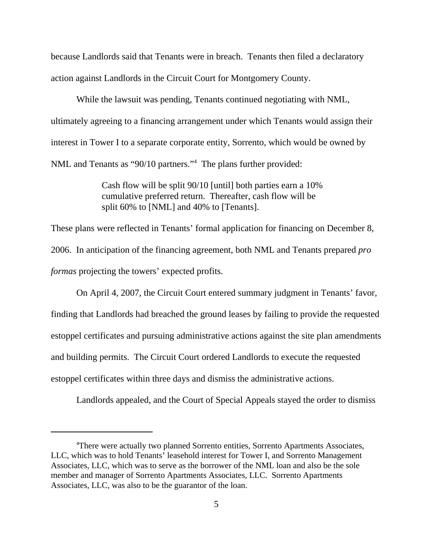because Landlords said that Tenants were in breach. Tenants then filed a declaratory action against Landlords in the Circuit Court for Montgomery County.

While the lawsuit was pending, Tenants continued negotiating with NML, ultimately agreeing to a financing arrangement under which Tenants would assign their interest in Tower I to a separate corporate entity, Sorrento, which would be owned by NML and Tenants as "90/10 partners."<sup>4</sup> The plans further provided:

> Cash flow will be split 90/10 [until] both parties earn a 10% cumulative preferred return. Thereafter, cash flow will be split 60% to [NML] and 40% to [Tenants].

These plans were reflected in Tenants' formal application for financing on December 8, 2006. In anticipation of the financing agreement, both NML and Tenants prepared *pro formas* projecting the towers' expected profits.

On April 4, 2007, the Circuit Court entered summary judgment in Tenants' favor, finding that Landlords had breached the ground leases by failing to provide the requested estoppel certificates and pursuing administrative actions against the site plan amendments and building permits. The Circuit Court ordered Landlords to execute the requested estoppel certificates within three days and dismiss the administrative actions.

Landlords appealed, and the Court of Special Appeals stayed the order to dismiss

<sup>&</sup>lt;sup>4</sup>There were actually two planned Sorrento entities, Sorrento Apartments Associates, LLC, which was to hold Tenants' leasehold interest for Tower I, and Sorrento Management Associates, LLC, which was to serve as the borrower of the NML loan and also be the sole member and manager of Sorrento Apartments Associates, LLC. Sorrento Apartments Associates, LLC, was also to be the guarantor of the loan.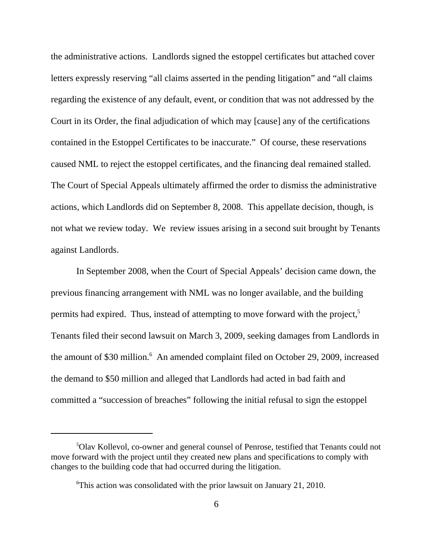the administrative actions. Landlords signed the estoppel certificates but attached cover letters expressly reserving "all claims asserted in the pending litigation" and "all claims regarding the existence of any default, event, or condition that was not addressed by the Court in its Order, the final adjudication of which may [cause] any of the certifications contained in the Estoppel Certificates to be inaccurate." Of course, these reservations caused NML to reject the estoppel certificates, and the financing deal remained stalled. The Court of Special Appeals ultimately affirmed the order to dismiss the administrative actions, which Landlords did on September 8, 2008. This appellate decision, though, is not what we review today. We review issues arising in a second suit brought by Tenants against Landlords.

In September 2008, when the Court of Special Appeals' decision came down, the previous financing arrangement with NML was no longer available, and the building permits had expired. Thus, instead of attempting to move forward with the project,<sup>5</sup> Tenants filed their second lawsuit on March 3, 2009, seeking damages from Landlords in the amount of \$30 million.<sup>6</sup> An amended complaint filed on October 29, 2009, increased the demand to \$50 million and alleged that Landlords had acted in bad faith and committed a "succession of breaches" following the initial refusal to sign the estoppel

<sup>5</sup> Olav Kollevol, co-owner and general counsel of Penrose, testified that Tenants could not move forward with the project until they created new plans and specifications to comply with changes to the building code that had occurred during the litigation.

<sup>6</sup> This action was consolidated with the prior lawsuit on January 21, 2010.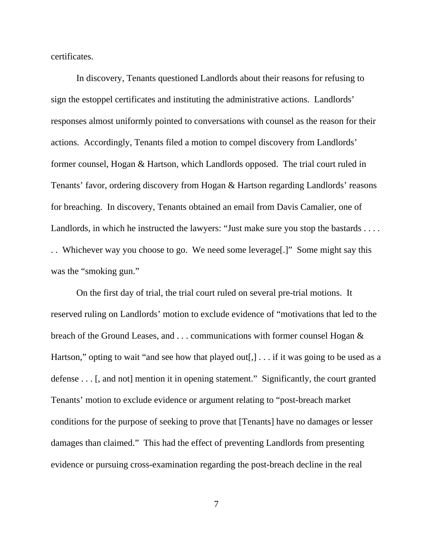certificates.

In discovery, Tenants questioned Landlords about their reasons for refusing to sign the estoppel certificates and instituting the administrative actions. Landlords' responses almost uniformly pointed to conversations with counsel as the reason for their actions. Accordingly, Tenants filed a motion to compel discovery from Landlords' former counsel, Hogan & Hartson, which Landlords opposed. The trial court ruled in Tenants' favor, ordering discovery from Hogan & Hartson regarding Landlords' reasons for breaching. In discovery, Tenants obtained an email from Davis Camalier, one of Landlords, in which he instructed the lawyers: "Just make sure you stop the bastards .... . . Whichever way you choose to go. We need some leverage[.]" Some might say this was the "smoking gun."

On the first day of trial, the trial court ruled on several pre-trial motions. It reserved ruling on Landlords' motion to exclude evidence of "motivations that led to the breach of the Ground Leases, and . . . communications with former counsel Hogan & Hartson," opting to wait "and see how that played out[,]  $\ldots$  if it was going to be used as a defense . . . [, and not] mention it in opening statement." Significantly, the court granted Tenants' motion to exclude evidence or argument relating to "post-breach market conditions for the purpose of seeking to prove that [Tenants] have no damages or lesser damages than claimed." This had the effect of preventing Landlords from presenting evidence or pursuing cross-examination regarding the post-breach decline in the real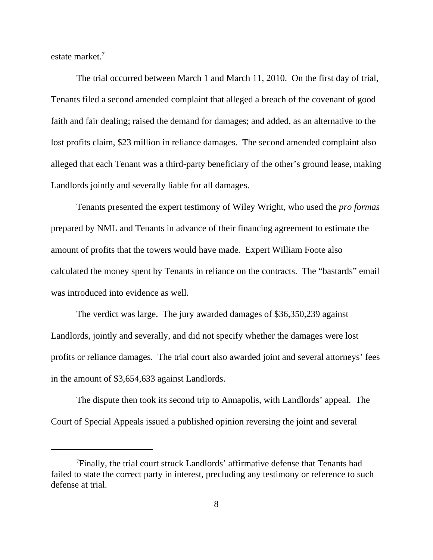estate market.7

The trial occurred between March 1 and March 11, 2010. On the first day of trial, Tenants filed a second amended complaint that alleged a breach of the covenant of good faith and fair dealing; raised the demand for damages; and added, as an alternative to the lost profits claim, \$23 million in reliance damages. The second amended complaint also alleged that each Tenant was a third-party beneficiary of the other's ground lease, making Landlords jointly and severally liable for all damages.

Tenants presented the expert testimony of Wiley Wright, who used the *pro formas* prepared by NML and Tenants in advance of their financing agreement to estimate the amount of profits that the towers would have made. Expert William Foote also calculated the money spent by Tenants in reliance on the contracts. The "bastards" email was introduced into evidence as well.

The verdict was large. The jury awarded damages of \$36,350,239 against Landlords, jointly and severally, and did not specify whether the damages were lost profits or reliance damages. The trial court also awarded joint and several attorneys' fees in the amount of \$3,654,633 against Landlords.

The dispute then took its second trip to Annapolis, with Landlords' appeal. The Court of Special Appeals issued a published opinion reversing the joint and several

<sup>7</sup> Finally, the trial court struck Landlords' affirmative defense that Tenants had failed to state the correct party in interest, precluding any testimony or reference to such defense at trial.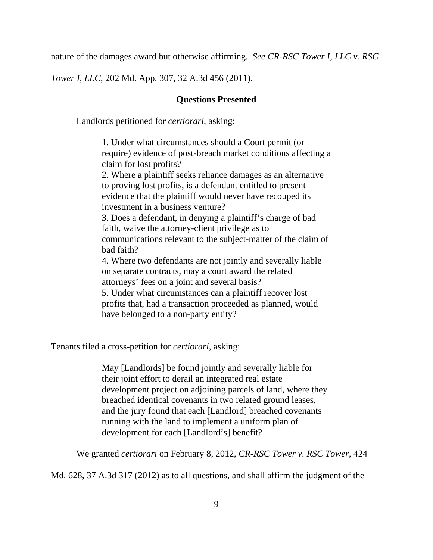nature of the damages award but otherwise affirming. *See CR-RSC Tower I, LLC v. RSC*

*Tower I, LLC*, 202 Md. App. 307, 32 A.3d 456 (2011).

### **Questions Presented**

Landlords petitioned for *certiorari*, asking:

1. Under what circumstances should a Court permit (or require) evidence of post-breach market conditions affecting a claim for lost profits?

2. Where a plaintiff seeks reliance damages as an alternative to proving lost profits, is a defendant entitled to present evidence that the plaintiff would never have recouped its investment in a business venture?

3. Does a defendant, in denying a plaintiff's charge of bad faith, waive the attorney-client privilege as to communications relevant to the subject-matter of the claim of bad faith?

4. Where two defendants are not jointly and severally liable on separate contracts, may a court award the related attorneys' fees on a joint and several basis?

5. Under what circumstances can a plaintiff recover lost profits that, had a transaction proceeded as planned, would have belonged to a non-party entity?

Tenants filed a cross-petition for *certiorari*, asking:

May [Landlords] be found jointly and severally liable for their joint effort to derail an integrated real estate development project on adjoining parcels of land, where they breached identical covenants in two related ground leases, and the jury found that each [Landlord] breached covenants running with the land to implement a uniform plan of development for each [Landlord's] benefit?

We granted *certiorari* on February 8, 2012, *CR-RSC Tower v. RSC Tower*, 424

Md. 628, 37 A.3d 317 (2012) as to all questions, and shall affirm the judgment of the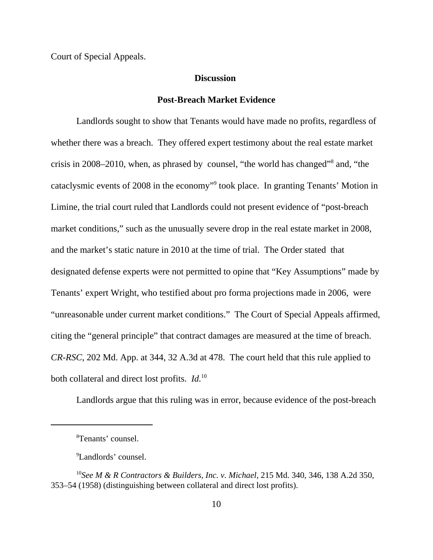Court of Special Appeals.

### **Discussion**

#### **Post-Breach Market Evidence**

Landlords sought to show that Tenants would have made no profits, regardless of whether there was a breach. They offered expert testimony about the real estate market crisis in 2008–2010, when, as phrased by counsel, "the world has changed"<sup>8</sup> and, "the cataclysmic events of 2008 in the economy"<sup>9</sup> took place. In granting Tenants' Motion in Limine, the trial court ruled that Landlords could not present evidence of "post-breach market conditions," such as the unusually severe drop in the real estate market in 2008, and the market's static nature in 2010 at the time of trial. The Order stated that designated defense experts were not permitted to opine that "Key Assumptions" made by Tenants' expert Wright, who testified about pro forma projections made in 2006, were "unreasonable under current market conditions." The Court of Special Appeals affirmed, citing the "general principle" that contract damages are measured at the time of breach. *CR-RSC*, 202 Md. App. at 344, 32 A.3d at 478. The court held that this rule applied to both collateral and direct lost profits. *Id.*<sup>10</sup>

Landlords argue that this ruling was in error, because evidence of the post-breach

<sup>8</sup> Tenants' counsel.

<sup>9</sup> Landlords' counsel.

<sup>10</sup>*See M & R Contractors & Builders, Inc. v. Michael*, 215 Md. 340, 346, 138 A.2d 350, 353–54 (1958) (distinguishing between collateral and direct lost profits).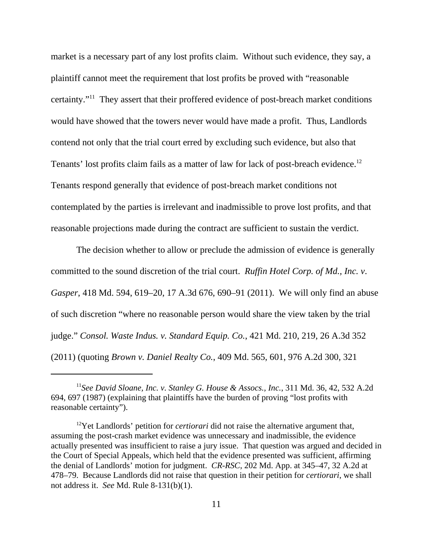market is a necessary part of any lost profits claim. Without such evidence, they say, a plaintiff cannot meet the requirement that lost profits be proved with "reasonable certainty."11 They assert that their proffered evidence of post-breach market conditions would have showed that the towers never would have made a profit. Thus, Landlords contend not only that the trial court erred by excluding such evidence, but also that Tenants' lost profits claim fails as a matter of law for lack of post-breach evidence.<sup>12</sup> Tenants respond generally that evidence of post-breach market conditions not contemplated by the parties is irrelevant and inadmissible to prove lost profits, and that reasonable projections made during the contract are sufficient to sustain the verdict.

The decision whether to allow or preclude the admission of evidence is generally committed to the sound discretion of the trial court. *Ruffin Hotel Corp. of Md., Inc. v*. *Gasper*, 418 Md. 594, 619–20, 17 A.3d 676, 690–91 (2011). We will only find an abuse of such discretion "where no reasonable person would share the view taken by the trial judge." *Consol. Waste Indus. v. Standard Equip. Co.*, 421 Md. 210, 219, 26 A.3d 352 (2011) (quoting *Brown v. Daniel Realty Co.*, 409 Md. 565, 601, 976 A.2d 300, 321

<sup>11</sup>*See David Sloane, Inc. v. Stanley G. House & Assocs., Inc.*, 311 Md. 36, 42, 532 A.2d 694, 697 (1987) (explaining that plaintiffs have the burden of proving "lost profits with reasonable certainty").

<sup>&</sup>lt;sup>12</sup>Yet Landlords' petition for *certiorari* did not raise the alternative argument that, assuming the post-crash market evidence was unnecessary and inadmissible, the evidence actually presented was insufficient to raise a jury issue. That question was argued and decided in the Court of Special Appeals, which held that the evidence presented was sufficient, affirming the denial of Landlords' motion for judgment. *CR-RSC*, 202 Md. App. at 345–47, 32 A.2d at 478–79. Because Landlords did not raise that question in their petition for *certiorari*, we shall not address it. *See* Md. Rule 8-131(b)(1).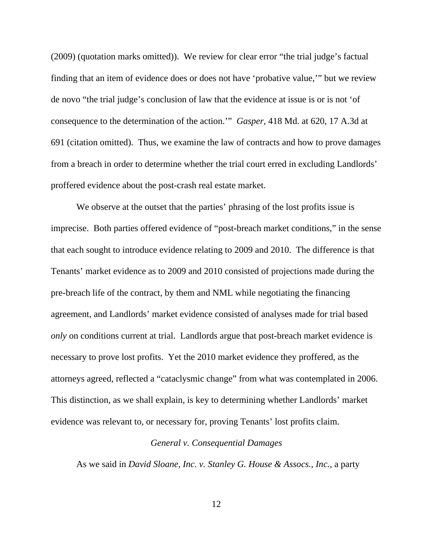(2009) (quotation marks omitted)). We review for clear error "the trial judge's factual finding that an item of evidence does or does not have 'probative value,'" but we review de novo "the trial judge's conclusion of law that the evidence at issue is or is not 'of consequence to the determination of the action.'" *Gasper*, 418 Md. at 620, 17 A.3d at 691 (citation omitted). Thus, we examine the law of contracts and how to prove damages from a breach in order to determine whether the trial court erred in excluding Landlords' proffered evidence about the post-crash real estate market.

We observe at the outset that the parties' phrasing of the lost profits issue is imprecise. Both parties offered evidence of "post-breach market conditions," in the sense that each sought to introduce evidence relating to 2009 and 2010. The difference is that Tenants' market evidence as to 2009 and 2010 consisted of projections made during the pre-breach life of the contract, by them and NML while negotiating the financing agreement, and Landlords' market evidence consisted of analyses made for trial based *only* on conditions current at trial. Landlords argue that post-breach market evidence is necessary to prove lost profits. Yet the 2010 market evidence they proffered, as the attorneys agreed, reflected a "cataclysmic change" from what was contemplated in 2006. This distinction, as we shall explain, is key to determining whether Landlords' market evidence was relevant to, or necessary for, proving Tenants' lost profits claim.

## *General v. Consequential Damages*

As we said in *David Sloane, Inc. v. Stanley G. House & Assocs., Inc.*, a party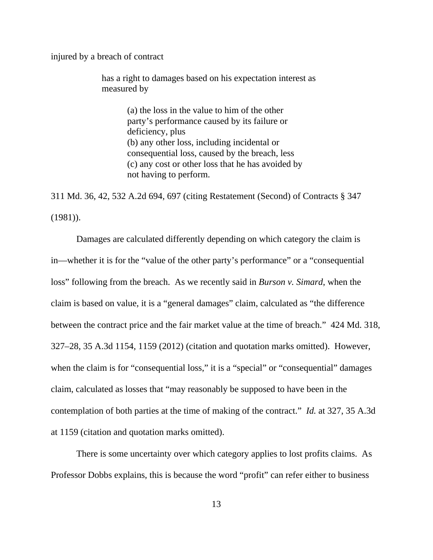injured by a breach of contract

has a right to damages based on his expectation interest as measured by

> (a) the loss in the value to him of the other party's performance caused by its failure or deficiency, plus (b) any other loss, including incidental or consequential loss, caused by the breach, less (c) any cost or other loss that he has avoided by not having to perform.

311 Md. 36, 42, 532 A.2d 694, 697 (citing Restatement (Second) of Contracts § 347 (1981)).

Damages are calculated differently depending on which category the claim is in—whether it is for the "value of the other party's performance" or a "consequential loss" following from the breach. As we recently said in *Burson v. Simard*, when the claim is based on value, it is a "general damages" claim, calculated as "the difference between the contract price and the fair market value at the time of breach." 424 Md. 318, 327–28, 35 A.3d 1154, 1159 (2012) (citation and quotation marks omitted). However, when the claim is for "consequential loss," it is a "special" or "consequential" damages claim, calculated as losses that "may reasonably be supposed to have been in the contemplation of both parties at the time of making of the contract." *Id.* at 327, 35 A.3d at 1159 (citation and quotation marks omitted).

There is some uncertainty over which category applies to lost profits claims. As Professor Dobbs explains, this is because the word "profit" can refer either to business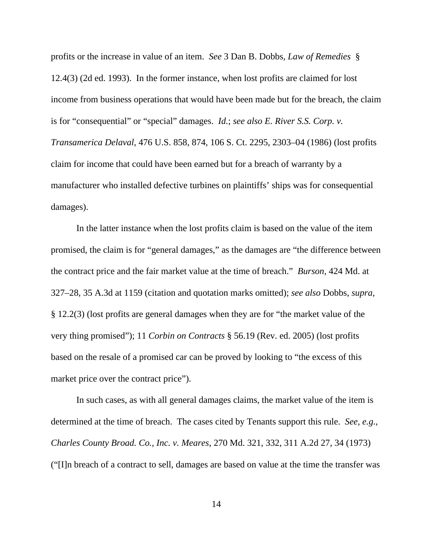profits or the increase in value of an item. *See* 3 Dan B. Dobbs, *Law of Remedies* § 12.4(3) (2d ed. 1993). In the former instance, when lost profits are claimed for lost income from business operations that would have been made but for the breach, the claim is for "consequential" or "special" damages. *Id.*; *see also E. River S.S. Corp. v. Transamerica Delaval*, 476 U.S. 858, 874, 106 S. Ct. 2295, 2303–04 (1986) (lost profits claim for income that could have been earned but for a breach of warranty by a manufacturer who installed defective turbines on plaintiffs' ships was for consequential damages).

In the latter instance when the lost profits claim is based on the value of the item promised, the claim is for "general damages," as the damages are "the difference between the contract price and the fair market value at the time of breach." *Burson*, 424 Md. at 327–28, 35 A.3d at 1159 (citation and quotation marks omitted); *see also* Dobbs, *supra*, § 12.2(3) (lost profits are general damages when they are for "the market value of the very thing promised"); 11 *Corbin on Contracts* § 56.19 (Rev. ed. 2005) (lost profits based on the resale of a promised car can be proved by looking to "the excess of this market price over the contract price").

In such cases, as with all general damages claims, the market value of the item is determined at the time of breach. The cases cited by Tenants support this rule. *See, e.g.*, *Charles County Broad. Co., Inc. v. Meares*, 270 Md. 321, 332, 311 A.2d 27, 34 (1973) ("[I]n breach of a contract to sell, damages are based on value at the time the transfer was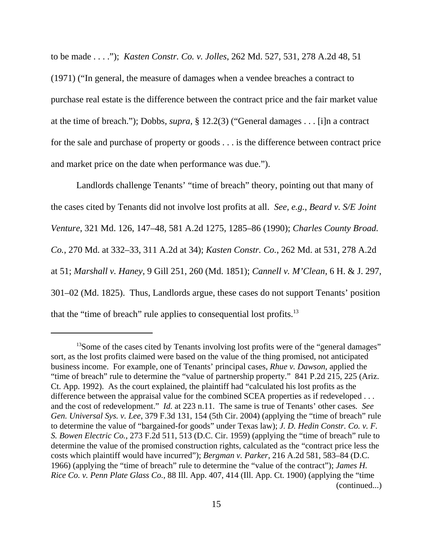to be made . . . ."); *Kasten Constr. Co. v. Jolles*, 262 Md. 527, 531, 278 A.2d 48, 51 (1971) ("In general, the measure of damages when a vendee breaches a contract to purchase real estate is the difference between the contract price and the fair market value at the time of breach."); Dobbs, *supra*, § 12.2(3) ("General damages . . . [i]n a contract for the sale and purchase of property or goods . . . is the difference between contract price and market price on the date when performance was due.").

Landlords challenge Tenants' "time of breach" theory, pointing out that many of the cases cited by Tenants did not involve lost profits at all. *See, e.g.*, *Beard v. S/E Joint Venture*, 321 Md. 126, 147–48, 581 A.2d 1275, 1285–86 (1990); *Charles County Broad. Co.*, 270 Md. at 332–33, 311 A.2d at 34); *Kasten Constr. Co.*, 262 Md. at 531, 278 A.2d at 51; *Marshall v. Haney*, 9 Gill 251, 260 (Md. 1851); *Cannell v. M'Clean*, 6 H. & J. 297, 301–02 (Md. 1825). Thus, Landlords argue, these cases do not support Tenants' position that the "time of breach" rule applies to consequential lost profits. $^{13}$ 

<sup>&</sup>lt;sup>13</sup>Some of the cases cited by Tenants involving lost profits were of the "general damages" sort, as the lost profits claimed were based on the value of the thing promised, not anticipated business income. For example, one of Tenants' principal cases, *Rhue v. Dawson*, applied the "time of breach" rule to determine the "value of partnership property." 841 P.2d 215, 225 (Ariz. Ct. App. 1992). As the court explained, the plaintiff had "calculated his lost profits as the difference between the appraisal value for the combined SCEA properties as if redeveloped . . . and the cost of redevelopment." *Id.* at 223 n.11. The same is true of Tenants' other cases*. See Gen. Universal Sys. v. Lee*, 379 F.3d 131, 154 (5th Cir. 2004) (applying the "time of breach" rule to determine the value of "bargained-for goods" under Texas law); *J. D. Hedin Constr. Co. v. F. S. Bowen Electric Co.*, 273 F.2d 511, 513 (D.C. Cir. 1959) (applying the "time of breach" rule to determine the value of the promised construction rights, calculated as the "contract price less the costs which plaintiff would have incurred"); *Bergman v. Parker*, 216 A.2d 581, 583–84 (D.C. 1966) (applying the "time of breach" rule to determine the "value of the contract"); *James H. Rice Co. v. Penn Plate Glass Co.*, 88 Ill. App. 407, 414 (Ill. App. Ct. 1900) (applying the "time (continued...)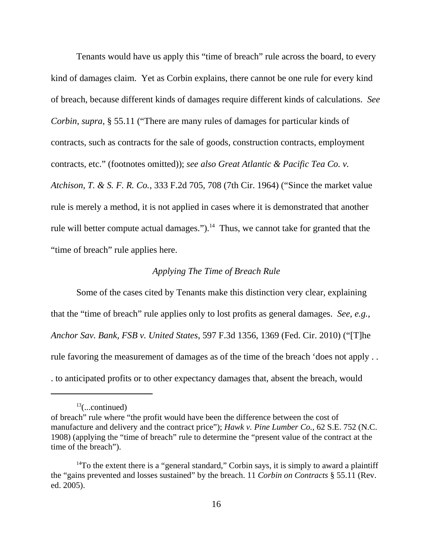Tenants would have us apply this "time of breach" rule across the board, to every kind of damages claim. Yet as Corbin explains, there cannot be one rule for every kind of breach, because different kinds of damages require different kinds of calculations. *See Corbin*, *supra*, § 55.11 ("There are many rules of damages for particular kinds of contracts, such as contracts for the sale of goods, construction contracts, employment contracts, etc." (footnotes omitted)); *see also Great Atlantic & Pacific Tea Co. v. Atchison*, *T. & S. F. R. Co.*, 333 F.2d 705, 708 (7th Cir. 1964) ("Since the market value rule is merely a method, it is not applied in cases where it is demonstrated that another rule will better compute actual damages." $)$ .<sup>14</sup> Thus, we cannot take for granted that the "time of breach" rule applies here.

### *Applying The Time of Breach Rule*

Some of the cases cited by Tenants make this distinction very clear, explaining that the "time of breach" rule applies only to lost profits as general damages. *See, e.g.*, *Anchor Sav. Bank, FSB v. United States*, 597 F.3d 1356, 1369 (Fed. Cir. 2010) ("[T]he rule favoring the measurement of damages as of the time of the breach 'does not apply . . . to anticipated profits or to other expectancy damages that, absent the breach, would

 $13$ (...continued)

of breach" rule where "the profit would have been the difference between the cost of manufacture and delivery and the contract price"); *Hawk v. Pine Lumber Co.*, 62 S.E. 752 (N.C. 1908) (applying the "time of breach" rule to determine the "present value of the contract at the time of the breach").

<sup>&</sup>lt;sup>14</sup>To the extent there is a "general standard," Corbin says, it is simply to award a plaintiff the "gains prevented and losses sustained" by the breach. 11 *Corbin on Contracts* § 55.11 (Rev. ed. 2005).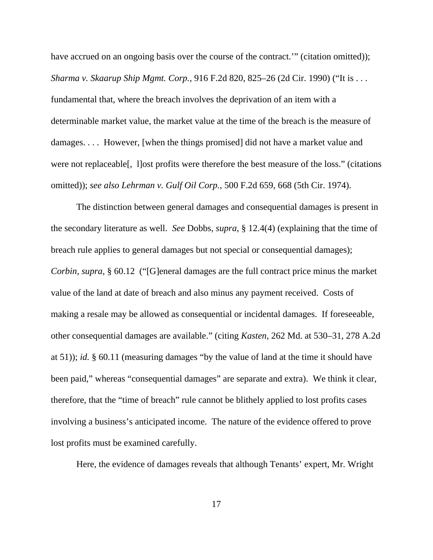have accrued on an ongoing basis over the course of the contract." (citation omitted)); *Sharma v. Skaarup Ship Mgmt. Corp.*, 916 F.2d 820, 825–26 (2d Cir. 1990) ("It is . . . fundamental that, where the breach involves the deprivation of an item with a determinable market value, the market value at the time of the breach is the measure of damages. . . . However, [when the things promised] did not have a market value and were not replaceable[, l]ost profits were therefore the best measure of the loss." (citations omitted)); *see also Lehrman v. Gulf Oil Corp.*, 500 F.2d 659, 668 (5th Cir. 1974).

The distinction between general damages and consequential damages is present in the secondary literature as well. *See* Dobbs, *supra*, § 12.4(4) (explaining that the time of breach rule applies to general damages but not special or consequential damages); *Corbin*, *supra*, § 60.12 ("[G]eneral damages are the full contract price minus the market value of the land at date of breach and also minus any payment received. Costs of making a resale may be allowed as consequential or incidental damages. If foreseeable, other consequential damages are available." (citing *Kasten*, 262 Md. at 530–31, 278 A.2d at 51)); *id.* § 60.11 (measuring damages "by the value of land at the time it should have been paid," whereas "consequential damages" are separate and extra). We think it clear, therefore, that the "time of breach" rule cannot be blithely applied to lost profits cases involving a business's anticipated income. The nature of the evidence offered to prove lost profits must be examined carefully.

Here, the evidence of damages reveals that although Tenants' expert, Mr. Wright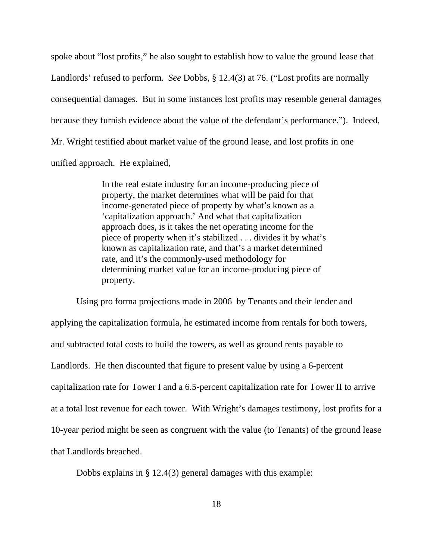spoke about "lost profits," he also sought to establish how to value the ground lease that Landlords' refused to perform. *See* Dobbs, § 12.4(3) at 76. ("Lost profits are normally consequential damages. But in some instances lost profits may resemble general damages because they furnish evidence about the value of the defendant's performance."). Indeed, Mr. Wright testified about market value of the ground lease, and lost profits in one unified approach. He explained,

> In the real estate industry for an income-producing piece of property, the market determines what will be paid for that income-generated piece of property by what's known as a 'capitalization approach.' And what that capitalization approach does, is it takes the net operating income for the piece of property when it's stabilized . . . divides it by what's known as capitalization rate, and that's a market determined rate, and it's the commonly-used methodology for determining market value for an income-producing piece of property.

Using pro forma projections made in 2006 by Tenants and their lender and applying the capitalization formula, he estimated income from rentals for both towers, and subtracted total costs to build the towers, as well as ground rents payable to Landlords. He then discounted that figure to present value by using a 6-percent capitalization rate for Tower I and a 6.5-percent capitalization rate for Tower II to arrive at a total lost revenue for each tower. With Wright's damages testimony, lost profits for a 10-year period might be seen as congruent with the value (to Tenants) of the ground lease that Landlords breached.

Dobbs explains in § 12.4(3) general damages with this example: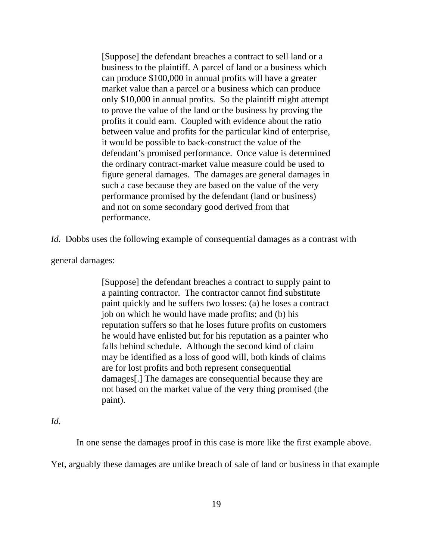[Suppose] the defendant breaches a contract to sell land or a business to the plaintiff. A parcel of land or a business which can produce \$100,000 in annual profits will have a greater market value than a parcel or a business which can produce only \$10,000 in annual profits. So the plaintiff might attempt to prove the value of the land or the business by proving the profits it could earn. Coupled with evidence about the ratio between value and profits for the particular kind of enterprise, it would be possible to back-construct the value of the defendant's promised performance. Once value is determined the ordinary contract-market value measure could be used to figure general damages. The damages are general damages in such a case because they are based on the value of the very performance promised by the defendant (land or business) and not on some secondary good derived from that performance.

*Id.* Dobbs uses the following example of consequential damages as a contrast with

general damages:

[Suppose] the defendant breaches a contract to supply paint to a painting contractor. The contractor cannot find substitute paint quickly and he suffers two losses: (a) he loses a contract job on which he would have made profits; and (b) his reputation suffers so that he loses future profits on customers he would have enlisted but for his reputation as a painter who falls behind schedule. Although the second kind of claim may be identified as a loss of good will, both kinds of claims are for lost profits and both represent consequential damages[.] The damages are consequential because they are not based on the market value of the very thing promised (the paint).

## *Id.*

In one sense the damages proof in this case is more like the first example above.

Yet, arguably these damages are unlike breach of sale of land or business in that example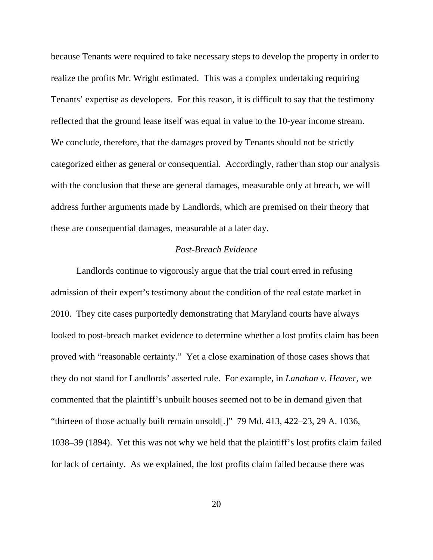because Tenants were required to take necessary steps to develop the property in order to realize the profits Mr. Wright estimated. This was a complex undertaking requiring Tenants' expertise as developers. For this reason, it is difficult to say that the testimony reflected that the ground lease itself was equal in value to the 10-year income stream. We conclude, therefore, that the damages proved by Tenants should not be strictly categorized either as general or consequential. Accordingly, rather than stop our analysis with the conclusion that these are general damages, measurable only at breach, we will address further arguments made by Landlords, which are premised on their theory that these are consequential damages, measurable at a later day.

## *Post-Breach Evidence*

Landlords continue to vigorously argue that the trial court erred in refusing admission of their expert's testimony about the condition of the real estate market in 2010. They cite cases purportedly demonstrating that Maryland courts have always looked to post-breach market evidence to determine whether a lost profits claim has been proved with "reasonable certainty." Yet a close examination of those cases shows that they do not stand for Landlords' asserted rule. For example, in *Lanahan v. Heaver*, we commented that the plaintiff's unbuilt houses seemed not to be in demand given that "thirteen of those actually built remain unsold[.]" 79 Md. 413, 422–23, 29 A. 1036, 1038–39 (1894). Yet this was not why we held that the plaintiff's lost profits claim failed for lack of certainty. As we explained, the lost profits claim failed because there was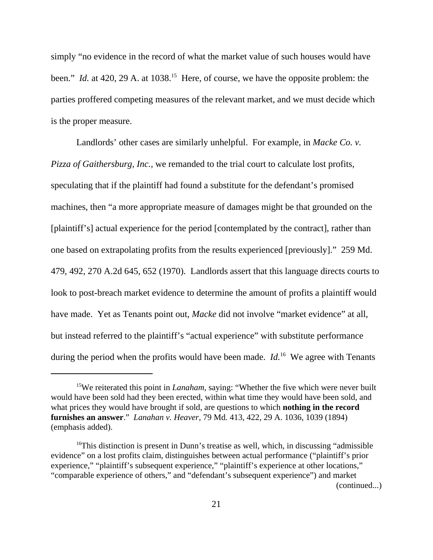simply "no evidence in the record of what the market value of such houses would have been." *Id.* at 420, 29 A. at 1038.<sup>15</sup> Here, of course, we have the opposite problem: the parties proffered competing measures of the relevant market, and we must decide which is the proper measure.

Landlords' other cases are similarly unhelpful. For example, in *Macke Co. v. Pizza of Gaithersburg, Inc.*, we remanded to the trial court to calculate lost profits, speculating that if the plaintiff had found a substitute for the defendant's promised machines, then "a more appropriate measure of damages might be that grounded on the [plaintiff's] actual experience for the period [contemplated by the contract], rather than one based on extrapolating profits from the results experienced [previously]." 259 Md. 479, 492, 270 A.2d 645, 652 (1970). Landlords assert that this language directs courts to look to post-breach market evidence to determine the amount of profits a plaintiff would have made. Yet as Tenants point out, *Macke* did not involve "market evidence" at all, but instead referred to the plaintiff's "actual experience" with substitute performance during the period when the profits would have been made. *Id.*<sup>16</sup> We agree with Tenants

<sup>&</sup>lt;sup>15</sup>We reiterated this point in *Lanaham*, saying: "Whether the five which were never built would have been sold had they been erected, within what time they would have been sold, and what prices they would have brought if sold, are questions to which **nothing in the record furnishes an answer**." *Lanahan v. Heaver*, 79 Md. 413, 422, 29 A. 1036, 1039 (1894) (emphasis added).

<sup>&</sup>lt;sup>16</sup>This distinction is present in Dunn's treatise as well, which, in discussing "admissible" evidence" on a lost profits claim, distinguishes between actual performance ("plaintiff's prior experience," "plaintiff's subsequent experience," "plaintiff's experience at other locations," "comparable experience of others," and "defendant's subsequent experience") and market (continued...)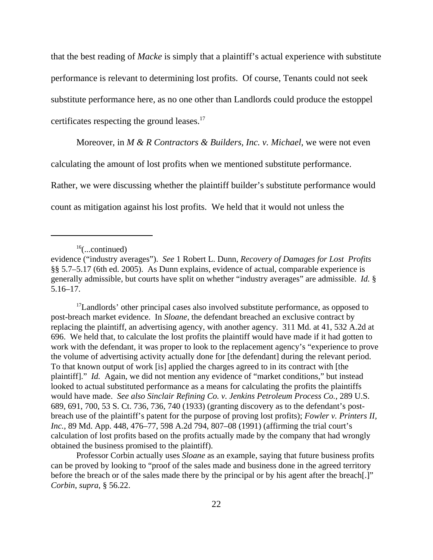that the best reading of *Macke* is simply that a plaintiff's actual experience with substitute performance is relevant to determining lost profits. Of course, Tenants could not seek substitute performance here, as no one other than Landlords could produce the estoppel certificates respecting the ground leases.<sup>17</sup>

Moreover, in *M & R Contractors & Builders, Inc. v. Michael*, we were not even

calculating the amount of lost profits when we mentioned substitute performance.

Rather, we were discussing whether the plaintiff builder's substitute performance would

count as mitigation against his lost profits. We held that it would not unless the

<sup>17</sup>Landlords' other principal cases also involved substitute performance, as opposed to post-breach market evidence. In *Sloane*, the defendant breached an exclusive contract by replacing the plaintiff, an advertising agency, with another agency. 311 Md. at 41, 532 A.2d at 696. We held that, to calculate the lost profits the plaintiff would have made if it had gotten to work with the defendant, it was proper to look to the replacement agency's "experience to prove the volume of advertising activity actually done for [the defendant] during the relevant period. To that known output of work [is] applied the charges agreed to in its contract with [the plaintiff]." *Id.* Again, we did not mention any evidence of "market conditions," but instead looked to actual substituted performance as a means for calculating the profits the plaintiffs would have made. *See also Sinclair Refining Co. v. Jenkins Petroleum Process Co.*, 289 U.S. 689, 691, 700, 53 S. Ct. 736, 736, 740 (1933) (granting discovery as to the defendant's postbreach use of the plaintiff's patent for the purpose of proving lost profits); *Fowler v. Printers II, Inc.*, 89 Md. App. 448, 476–77, 598 A.2d 794, 807–08 (1991) (affirming the trial court's calculation of lost profits based on the profits actually made by the company that had wrongly obtained the business promised to the plaintiff).

Professor Corbin actually uses *Sloane* as an example, saying that future business profits can be proved by looking to "proof of the sales made and business done in the agreed territory before the breach or of the sales made there by the principal or by his agent after the breach[.]" *Corbin*, *supra*, § 56.22.

 $16$ (...continued)

evidence ("industry averages"). *See* 1 Robert L. Dunn, *Recovery of Damages for Lost Profits* §§ 5.7–5.17 (6th ed. 2005). As Dunn explains, evidence of actual, comparable experience is generally admissible, but courts have split on whether "industry averages" are admissible. *Id.* § 5.16–17.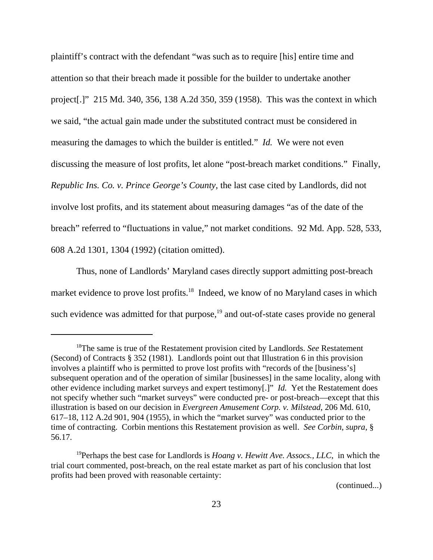plaintiff's contract with the defendant "was such as to require [his] entire time and attention so that their breach made it possible for the builder to undertake another project[.]" 215 Md. 340, 356, 138 A.2d 350, 359 (1958). This was the context in which we said, "the actual gain made under the substituted contract must be considered in measuring the damages to which the builder is entitled." *Id.* We were not even discussing the measure of lost profits, let alone "post-breach market conditions." Finally, *Republic Ins. Co. v. Prince George's County*, the last case cited by Landlords, did not involve lost profits, and its statement about measuring damages "as of the date of the breach" referred to "fluctuations in value," not market conditions. 92 Md. App. 528, 533, 608 A.2d 1301, 1304 (1992) (citation omitted).

Thus, none of Landlords' Maryland cases directly support admitting post-breach market evidence to prove lost profits.<sup>18</sup> Indeed, we know of no Maryland cases in which such evidence was admitted for that purpose, $19$  and out-of-state cases provide no general

(continued...)

<sup>18</sup>The same is true of the Restatement provision cited by Landlords. *See* Restatement (Second) of Contracts § 352 (1981). Landlords point out that Illustration 6 in this provision involves a plaintiff who is permitted to prove lost profits with "records of the [business's] subsequent operation and of the operation of similar [businesses] in the same locality, along with other evidence including market surveys and expert testimony[.]" *Id.* Yet the Restatement does not specify whether such "market surveys" were conducted pre- or post-breach—except that this illustration is based on our decision in *Evergreen Amusement Corp. v. Milstead*, 206 Md. 610, 617–18, 112 A.2d 901, 904 (1955), in which the "market survey" was conducted prior to the time of contracting. Corbin mentions this Restatement provision as well. *See Corbin*, *supra*, § 56.17.

<sup>19</sup>Perhaps the best case for Landlords is *Hoang v. Hewitt Ave. Assocs., LLC*, in which the trial court commented, post-breach, on the real estate market as part of his conclusion that lost profits had been proved with reasonable certainty: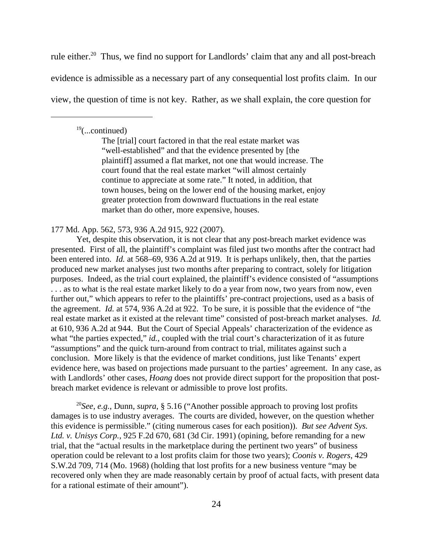rule either.<sup>20</sup> Thus, we find no support for Landlords' claim that any and all post-breach evidence is admissible as a necessary part of any consequential lost profits claim. In our view, the question of time is not key. Rather, as we shall explain, the core question for

 $19$ (...continued)

The [trial] court factored in that the real estate market was "well-established" and that the evidence presented by [the plaintiff] assumed a flat market, not one that would increase. The court found that the real estate market "will almost certainly continue to appreciate at some rate." It noted, in addition, that town houses, being on the lower end of the housing market, enjoy greater protection from downward fluctuations in the real estate market than do other, more expensive, houses.

177 Md. App. 562, 573, 936 A.2d 915, 922 (2007).

Yet, despite this observation, it is not clear that any post-breach market evidence was presented. First of all, the plaintiff's complaint was filed just two months after the contract had been entered into. *Id.* at 568–69, 936 A.2d at 919. It is perhaps unlikely, then, that the parties produced new market analyses just two months after preparing to contract, solely for litigation purposes. Indeed, as the trial court explained, the plaintiff's evidence consisted of "assumptions . . . as to what is the real estate market likely to do a year from now, two years from now, even further out," which appears to refer to the plaintiffs' pre-contract projections, used as a basis of the agreement. *Id.* at 574, 936 A.2d at 922. To be sure, it is possible that the evidence of "the real estate market as it existed at the relevant time" consisted of post-breach market analyses. *Id.* at 610, 936 A.2d at 944. But the Court of Special Appeals' characterization of the evidence as what "the parties expected," *id.*, coupled with the trial court's characterization of it as future "assumptions" and the quick turn-around from contract to trial, militates against such a conclusion. More likely is that the evidence of market conditions, just like Tenants' expert evidence here, was based on projections made pursuant to the parties' agreement. In any case, as with Landlords' other cases, *Hoang* does not provide direct support for the proposition that postbreach market evidence is relevant or admissible to prove lost profits.

<sup>20</sup>*See, e.g.*, Dunn, *supra*, § 5.16 ("Another possible approach to proving lost profits damages is to use industry averages. The courts are divided, however, on the question whether this evidence is permissible." (citing numerous cases for each position)). *But see Advent Sys. Ltd. v. Unisys Corp.*, 925 F.2d 670, 681 (3d Cir. 1991) (opining, before remanding for a new trial, that the "actual results in the marketplace during the pertinent two years" of business operation could be relevant to a lost profits claim for those two years); *Coonis v. Rogers*, 429 S.W.2d 709, 714 (Mo. 1968) (holding that lost profits for a new business venture "may be recovered only when they are made reasonably certain by proof of actual facts, with present data for a rational estimate of their amount").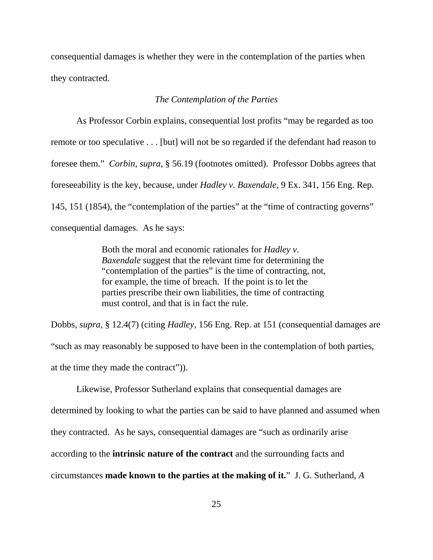consequential damages is whether they were in the contemplation of the parties when they contracted.

#### *The Contemplation of the Parties*

As Professor Corbin explains, consequential lost profits "may be regarded as too remote or too speculative . . . [but] will not be so regarded if the defendant had reason to foresee them." *Corbin*, *supra*, § 56.19 (footnotes omitted). Professor Dobbs agrees that foreseeability is the key, because, under *Hadley v. Baxendale*, 9 Ex. 341, 156 Eng. Rep. 145, 151 (1854), the "contemplation of the parties" at the "time of contracting governs" consequential damages. As he says:

> Both the moral and economic rationales for *Hadley v. Baxendale* suggest that the relevant time for determining the "contemplation of the parties" is the time of contracting, not, for example, the time of breach. If the point is to let the parties prescribe their own liabilities, the time of contracting must control, and that is in fact the rule.

Dobbs, *supra*, § 12.4(7) (citing *Hadley*, 156 Eng. Rep. at 151 (consequential damages are "such as may reasonably be supposed to have been in the contemplation of both parties, at the time they made the contract")).

Likewise, Professor Sutherland explains that consequential damages are determined by looking to what the parties can be said to have planned and assumed when they contracted. As he says, consequential damages are "such as ordinarily arise according to the **intrinsic nature of the contract** and the surrounding facts and circumstances **made known to the parties at the making of it.**" J. G. Sutherland, *A*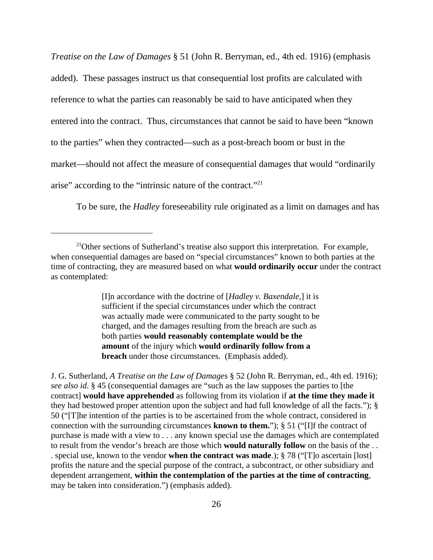*Treatise on the Law of Damages* § 51 (John R. Berryman, ed., 4th ed. 1916) (emphasis added). These passages instruct us that consequential lost profits are calculated with reference to what the parties can reasonably be said to have anticipated when they entered into the contract. Thus, circumstances that cannot be said to have been "known to the parties" when they contracted—such as a post-breach boom or bust in the market—should not affect the measure of consequential damages that would "ordinarily arise" according to the "intrinsic nature of the contract."21

To be sure, the *Hadley* foreseeability rule originated as a limit on damages and has

[I]n accordance with the doctrine of [*Hadley v. Baxendale*,] it is sufficient if the special circumstances under which the contract was actually made were communicated to the party sought to be charged, and the damages resulting from the breach are such as both parties **would reasonably contemplate would be the amount** of the injury which **would ordinarily follow from a breach** under those circumstances. (Emphasis added).

 $21$ Other sections of Sutherland's treatise also support this interpretation. For example, when consequential damages are based on "special circumstances" known to both parties at the time of contracting, they are measured based on what **would ordinarily occur** under the contract as contemplated:

J. G. Sutherland, *A Treatise on the Law of Damages* § 52 (John R. Berryman, ed., 4th ed. 1916); *see also id.* § 45 (consequential damages are "such as the law supposes the parties to [the contract] **would have apprehended** as following from its violation if **at the time they made it** they had bestowed proper attention upon the subject and had full knowledge of all the facts."); § 50 ("[T]he intention of the parties is to be ascertained from the whole contract, considered in connection with the surrounding circumstances **known to them.**"); § 51 ("[I]f the contract of purchase is made with a view to . . . any known special use the damages which are contemplated to result from the vendor's breach are those which **would naturally follow** on the basis of the . . . special use, known to the vendor **when the contract was made**.); § 78 ("[T]o ascertain [lost] profits the nature and the special purpose of the contract, a subcontract, or other subsidiary and dependent arrangement, **within the contemplation of the parties at the time of contracting**, may be taken into consideration.") (emphasis added).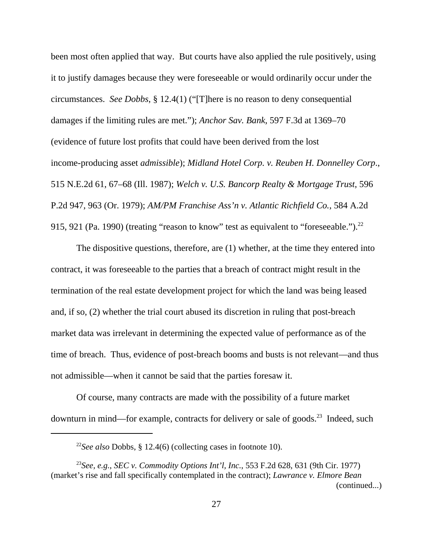been most often applied that way. But courts have also applied the rule positively, using it to justify damages because they were foreseeable or would ordinarily occur under the circumstances. *See Dobbs*, § 12.4(1) ("[T]here is no reason to deny consequential damages if the limiting rules are met."); *Anchor Sav. Bank*, 597 F.3d at 1369–70 (evidence of future lost profits that could have been derived from the lost income-producing asset *admissible*); *Midland Hotel Corp. v. Reuben H. Donnelley Corp*., 515 N.E.2d 61, 67–68 (Ill. 1987); *Welch v. U.S. Bancorp Realty & Mortgage Trust*, 596 P.2d 947, 963 (Or. 1979); *AM/PM Franchise Ass'n v. Atlantic Richfield Co.*, 584 A.2d 915, 921 (Pa. 1990) (treating "reason to know" test as equivalent to "foreseeable.").<sup>22</sup>

The dispositive questions, therefore, are (1) whether, at the time they entered into contract, it was foreseeable to the parties that a breach of contract might result in the termination of the real estate development project for which the land was being leased and, if so, (2) whether the trial court abused its discretion in ruling that post-breach market data was irrelevant in determining the expected value of performance as of the time of breach. Thus, evidence of post-breach booms and busts is not relevant—and thus not admissible—when it cannot be said that the parties foresaw it.

Of course, many contracts are made with the possibility of a future market downturn in mind—for example, contracts for delivery or sale of goods.<sup>23</sup> Indeed, such

<sup>22</sup>*See also* Dobbs, § 12.4(6) (collecting cases in footnote 10).

<sup>23</sup>*See, e.g.*, *SEC v. Commodity Options Int'l, Inc.*, 553 F.2d 628, 631 (9th Cir. 1977) (market's rise and fall specifically contemplated in the contract); *Lawrance v. Elmore Bean* (continued...)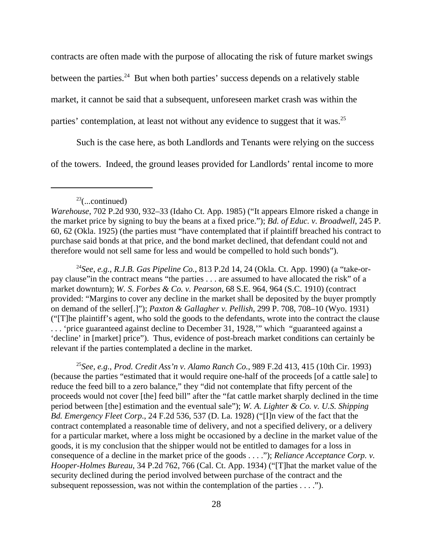contracts are often made with the purpose of allocating the risk of future market swings between the parties.<sup>24</sup> But when both parties' success depends on a relatively stable market, it cannot be said that a subsequent, unforeseen market crash was within the parties' contemplation, at least not without any evidence to suggest that it was.<sup>25</sup>

Such is the case here, as both Landlords and Tenants were relying on the success of the towers. Indeed, the ground leases provided for Landlords' rental income to more

## $23$ (...continued)

*Warehouse*, 702 P.2d 930, 932–33 (Idaho Ct. App. 1985) ("It appears Elmore risked a change in the market price by signing to buy the beans at a fixed price."); *Bd. of Educ. v. Broadwell*, 245 P. 60, 62 (Okla. 1925) (the parties must "have contemplated that if plaintiff breached his contract to purchase said bonds at that price, and the bond market declined, that defendant could not and therefore would not sell same for less and would be compelled to hold such bonds").

24*See, e.g.*, *R.J.B. Gas Pipeline Co.*, 813 P.2d 14, 24 (Okla. Ct. App. 1990) (a "take-orpay clause"in the contract means "the parties . . . are assumed to have allocated the risk" of a market downturn); *W. S. Forbes & Co. v. Pearson*, 68 S.E. 964, 964 (S.C. 1910) (contract provided: "Margins to cover any decline in the market shall be deposited by the buyer promptly on demand of the seller[.]"); *Paxton & Gallagher v. Pellish*, 299 P. 708, 708–10 (Wyo. 1931) ("[T]he plaintiff's agent, who sold the goods to the defendants, wrote into the contract the clause . . . 'price guaranteed against decline to December 31, 1928,'" which "guaranteed against a 'decline' in [market] price"). Thus, evidence of post-breach market conditions can certainly be relevant if the parties contemplated a decline in the market.

<sup>25</sup>*See, e.g.*, *Prod. Credit Ass'n v. Alamo Ranch Co.*, 989 F.2d 413, 415 (10th Cir. 1993) (because the parties "estimated that it would require one-half of the proceeds [of a cattle sale] to reduce the feed bill to a zero balance," they "did not contemplate that fifty percent of the proceeds would not cover [the] feed bill" after the "fat cattle market sharply declined in the time period between [the] estimation and the eventual sale"); *W. A. Lighter & Co. v. U.S. Shipping Bd. Emergency Fleet Corp*., 24 F.2d 536, 537 (D. La. 1928) ("[I]n view of the fact that the contract contemplated a reasonable time of delivery, and not a specified delivery, or a delivery for a particular market, where a loss might be occasioned by a decline in the market value of the goods, it is my conclusion that the shipper would not be entitled to damages for a loss in consequence of a decline in the market price of the goods . . . ."); *Reliance Acceptance Corp. v. Hooper-Holmes Bureau*, 34 P.2d 762, 766 (Cal. Ct. App. 1934) ("[T]hat the market value of the security declined during the period involved between purchase of the contract and the subsequent repossession, was not within the contemplation of the parties . . . .").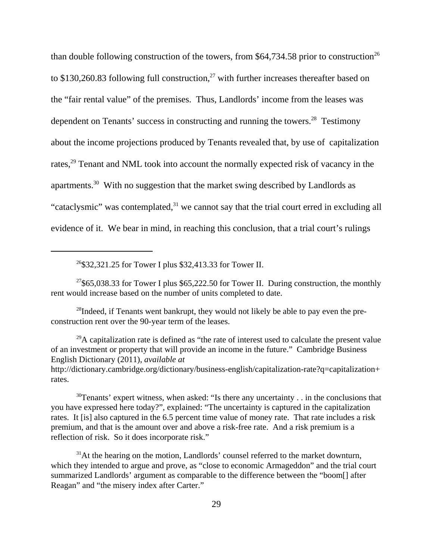than double following construction of the towers, from  $$64,734.58$  prior to construction<sup>26</sup> to \$130,260.83 following full construction, $^{27}$  with further increases thereafter based on the "fair rental value" of the premises. Thus, Landlords' income from the leases was dependent on Tenants' success in constructing and running the towers.<sup>28</sup> Testimony about the income projections produced by Tenants revealed that, by use of capitalization rates,<sup>29</sup> Tenant and NML took into account the normally expected risk of vacancy in the apartments.30 With no suggestion that the market swing described by Landlords as "cataclysmic" was contemplated, $31$  we cannot say that the trial court erred in excluding all evidence of it. We bear in mind, in reaching this conclusion, that a trial court's rulings

26\$32,321.25 for Tower I plus \$32,413.33 for Tower II.

<sup>27</sup>\$65,038.33 for Tower I plus \$65,222.50 for Tower II. During construction, the monthly rent would increase based on the number of units completed to date.

 $^{28}$ Indeed, if Tenants went bankrupt, they would not likely be able to pay even the preconstruction rent over the 90-year term of the leases.

 $^{29}$ A capitalization rate is defined as "the rate of interest used to calculate the present value of an investment or property that will provide an income in the future." Cambridge Business English Dictionary (2011), *available at* http://dictionary.cambridge.org/dictionary/business-english/capitalization-rate?q=capitalization+ rates.

<sup>30</sup>Tenants' expert witness, when asked: "Is there any uncertainty . . in the conclusions that you have expressed here today?", explained: "The uncertainty is captured in the capitalization rates. It [is] also captured in the 6.5 percent time value of money rate. That rate includes a risk premium, and that is the amount over and above a risk-free rate. And a risk premium is a reflection of risk. So it does incorporate risk."

 $31$ At the hearing on the motion, Landlords' counsel referred to the market downturn, which they intended to argue and prove, as "close to economic Armageddon" and the trial court summarized Landlords' argument as comparable to the difference between the "boom[] after Reagan" and "the misery index after Carter."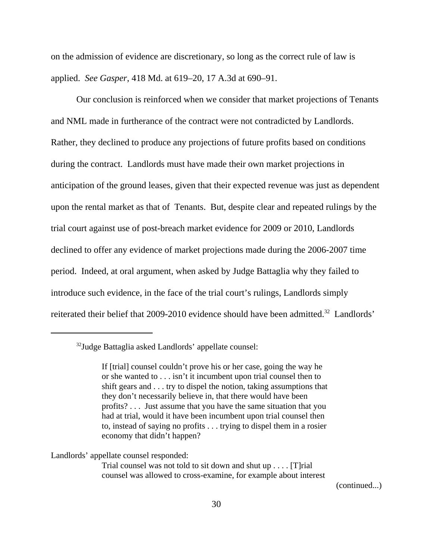on the admission of evidence are discretionary, so long as the correct rule of law is applied. *See Gasper*, 418 Md. at 619–20, 17 A.3d at 690–91.

Our conclusion is reinforced when we consider that market projections of Tenants and NML made in furtherance of the contract were not contradicted by Landlords. Rather, they declined to produce any projections of future profits based on conditions during the contract. Landlords must have made their own market projections in anticipation of the ground leases, given that their expected revenue was just as dependent upon the rental market as that of Tenants. But, despite clear and repeated rulings by the trial court against use of post-breach market evidence for 2009 or 2010, Landlords declined to offer any evidence of market projections made during the 2006-2007 time period. Indeed, at oral argument, when asked by Judge Battaglia why they failed to introduce such evidence, in the face of the trial court's rulings, Landlords simply reiterated their belief that 2009-2010 evidence should have been admitted.<sup>32</sup> Landlords'

Landlords' appellate counsel responded:

Trial counsel was not told to sit down and shut up . . . . [T]rial counsel was allowed to cross-examine, for example about interest

(continued...)

<sup>32</sup>Judge Battaglia asked Landlords' appellate counsel:

If [trial] counsel couldn't prove his or her case, going the way he or she wanted to . . . isn't it incumbent upon trial counsel then to shift gears and . . . try to dispel the notion, taking assumptions that they don't necessarily believe in, that there would have been profits? . . . Just assume that you have the same situation that you had at trial, would it have been incumbent upon trial counsel then to, instead of saying no profits . . . trying to dispel them in a rosier economy that didn't happen?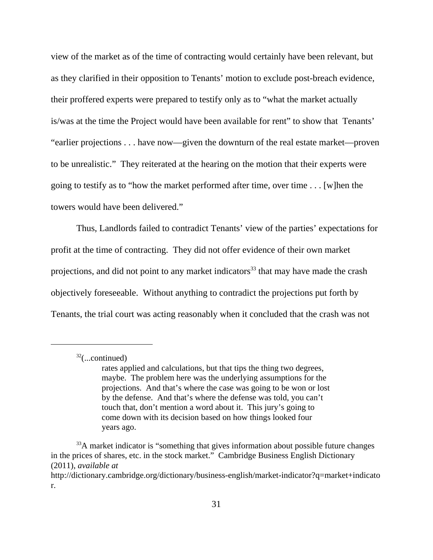view of the market as of the time of contracting would certainly have been relevant, but as they clarified in their opposition to Tenants' motion to exclude post-breach evidence, their proffered experts were prepared to testify only as to "what the market actually is/was at the time the Project would have been available for rent" to show that Tenants' "earlier projections . . . have now—given the downturn of the real estate market—proven to be unrealistic." They reiterated at the hearing on the motion that their experts were going to testify as to "how the market performed after time, over time . . . [w]hen the towers would have been delivered."

Thus, Landlords failed to contradict Tenants' view of the parties' expectations for profit at the time of contracting. They did not offer evidence of their own market projections, and did not point to any market indicators<sup>33</sup> that may have made the crash objectively foreseeable. Without anything to contradict the projections put forth by Tenants, the trial court was acting reasonably when it concluded that the crash was not

 $32$ (...continued)

rates applied and calculations, but that tips the thing two degrees, maybe. The problem here was the underlying assumptions for the projections. And that's where the case was going to be won or lost by the defense. And that's where the defense was told, you can't touch that, don't mention a word about it. This jury's going to come down with its decision based on how things looked four years ago.

<sup>&</sup>lt;sup>33</sup>A market indicator is "something that gives information about possible future changes in the prices of shares, etc. in the stock market." Cambridge Business English Dictionary (2011), *available at*

http://dictionary.cambridge.org/dictionary/business-english/market-indicator?q=market+indicato r.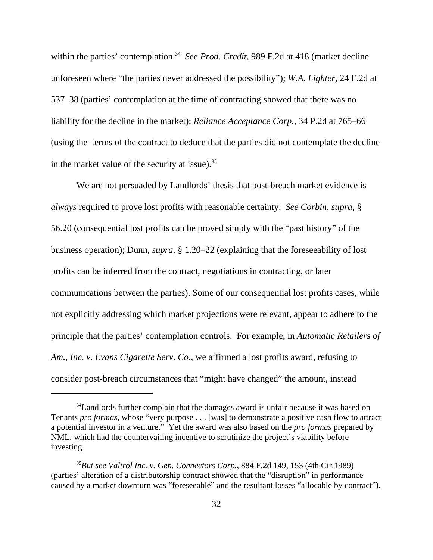within the parties' contemplation.<sup>34</sup> See Prod. Credit, 989 F.2d at 418 (market decline unforeseen where "the parties never addressed the possibility"); *W.A. Lighter*, 24 F.2d at 537–38 (parties' contemplation at the time of contracting showed that there was no liability for the decline in the market); *Reliance Acceptance Corp.*, 34 P.2d at 765–66 (using the terms of the contract to deduce that the parties did not contemplate the decline in the market value of the security at issue). $35$ 

We are not persuaded by Landlords' thesis that post-breach market evidence is *always* required to prove lost profits with reasonable certainty. *See Corbin*, *supra*, § 56.20 (consequential lost profits can be proved simply with the "past history" of the business operation); Dunn, *supra*, § 1.20–22 (explaining that the foreseeability of lost profits can be inferred from the contract, negotiations in contracting, or later communications between the parties). Some of our consequential lost profits cases, while not explicitly addressing which market projections were relevant, appear to adhere to the principle that the parties' contemplation controls. For example, in *Automatic Retailers of Am., Inc. v. Evans Cigarette Serv. Co.*, we affirmed a lost profits award, refusing to consider post-breach circumstances that "might have changed" the amount, instead

<sup>&</sup>lt;sup>34</sup>Landlords further complain that the damages award is unfair because it was based on Tenants *pro formas*, whose "very purpose . . . [was] to demonstrate a positive cash flow to attract a potential investor in a venture." Yet the award was also based on the *pro formas* prepared by NML, which had the countervailing incentive to scrutinize the project's viability before investing.

<sup>35</sup>*But see Valtrol Inc. v. Gen. Connectors Corp.*, 884 F.2d 149, 153 (4th Cir.1989) (parties' alteration of a distributorship contract showed that the "disruption" in performance caused by a market downturn was "foreseeable" and the resultant losses "allocable by contract")*.*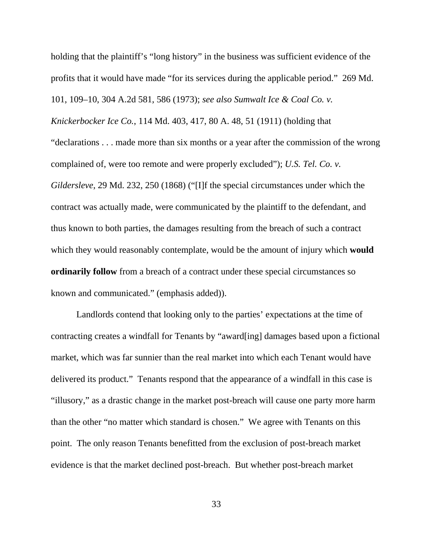holding that the plaintiff's "long history" in the business was sufficient evidence of the profits that it would have made "for its services during the applicable period." 269 Md. 101, 109–10, 304 A.2d 581, 586 (1973); *see also Sumwalt Ice & Coal Co. v. Knickerbocker Ice Co.*, 114 Md. 403, 417, 80 A. 48, 51 (1911) (holding that "declarations . . . made more than six months or a year after the commission of the wrong complained of, were too remote and were properly excluded"); *U.S. Tel. Co. v. Gildersleve*, 29 Md. 232, 250 (1868) ("[I]f the special circumstances under which the contract was actually made, were communicated by the plaintiff to the defendant, and thus known to both parties, the damages resulting from the breach of such a contract which they would reasonably contemplate, would be the amount of injury which **would ordinarily follow** from a breach of a contract under these special circumstances so known and communicated." (emphasis added)).

Landlords contend that looking only to the parties' expectations at the time of contracting creates a windfall for Tenants by "award[ing] damages based upon a fictional market, which was far sunnier than the real market into which each Tenant would have delivered its product." Tenants respond that the appearance of a windfall in this case is "illusory," as a drastic change in the market post-breach will cause one party more harm than the other "no matter which standard is chosen." We agree with Tenants on this point. The only reason Tenants benefitted from the exclusion of post-breach market evidence is that the market declined post-breach. But whether post-breach market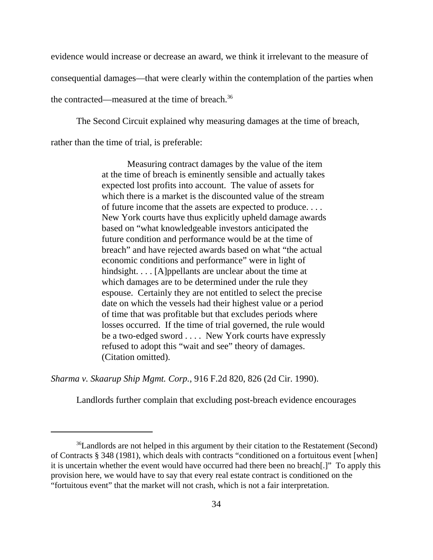evidence would increase or decrease an award, we think it irrelevant to the measure of

consequential damages—that were clearly within the contemplation of the parties when

the contracted—measured at the time of breach.<sup>36</sup>

The Second Circuit explained why measuring damages at the time of breach,

rather than the time of trial, is preferable:

Measuring contract damages by the value of the item at the time of breach is eminently sensible and actually takes expected lost profits into account. The value of assets for which there is a market is the discounted value of the stream of future income that the assets are expected to produce. . . . New York courts have thus explicitly upheld damage awards based on "what knowledgeable investors anticipated the future condition and performance would be at the time of breach" and have rejected awards based on what "the actual economic conditions and performance" were in light of hindsight. . . . [A]ppellants are unclear about the time at which damages are to be determined under the rule they espouse. Certainly they are not entitled to select the precise date on which the vessels had their highest value or a period of time that was profitable but that excludes periods where losses occurred. If the time of trial governed, the rule would be a two-edged sword . . . . New York courts have expressly refused to adopt this "wait and see" theory of damages. (Citation omitted).

*Sharma v. Skaarup Ship Mgmt. Corp.*, 916 F.2d 820, 826 (2d Cir. 1990).

Landlords further complain that excluding post-breach evidence encourages

<sup>&</sup>lt;sup>36</sup>Landlords are not helped in this argument by their citation to the Restatement (Second) of Contracts § 348 (1981), which deals with contracts "conditioned on a fortuitous event [when] it is uncertain whether the event would have occurred had there been no breach[.]" To apply this provision here, we would have to say that every real estate contract is conditioned on the "fortuitous event" that the market will not crash, which is not a fair interpretation.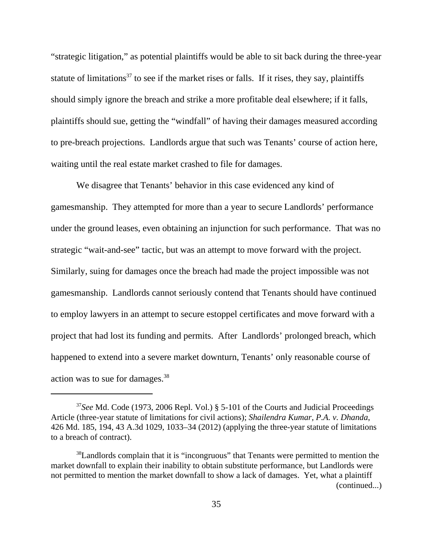"strategic litigation," as potential plaintiffs would be able to sit back during the three-year statute of limitations<sup>37</sup> to see if the market rises or falls. If it rises, they say, plaintiffs should simply ignore the breach and strike a more profitable deal elsewhere; if it falls, plaintiffs should sue, getting the "windfall" of having their damages measured according to pre-breach projections. Landlords argue that such was Tenants' course of action here, waiting until the real estate market crashed to file for damages.

We disagree that Tenants' behavior in this case evidenced any kind of gamesmanship. They attempted for more than a year to secure Landlords' performance under the ground leases, even obtaining an injunction for such performance. That was no strategic "wait-and-see" tactic, but was an attempt to move forward with the project. Similarly, suing for damages once the breach had made the project impossible was not gamesmanship. Landlords cannot seriously contend that Tenants should have continued to employ lawyers in an attempt to secure estoppel certificates and move forward with a project that had lost its funding and permits. After Landlords' prolonged breach, which happened to extend into a severe market downturn, Tenants' only reasonable course of action was to sue for damages.38

<sup>37</sup>*See* Md. Code (1973, 2006 Repl. Vol.) § 5-101 of the Courts and Judicial Proceedings Article (three-year statute of limitations for civil actions); *Shailendra Kumar, P.A. v. Dhanda*, 426 Md. 185, 194, 43 A.3d 1029, 1033–34 (2012) (applying the three-year statute of limitations to a breach of contract).

<sup>&</sup>lt;sup>38</sup>Landlords complain that it is "incongruous" that Tenants were permitted to mention the market downfall to explain their inability to obtain substitute performance, but Landlords were not permitted to mention the market downfall to show a lack of damages. Yet, what a plaintiff (continued...)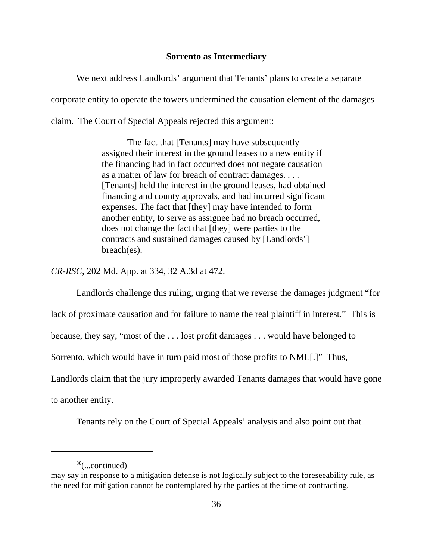# **Sorrento as Intermediary**

We next address Landlords' argument that Tenants' plans to create a separate corporate entity to operate the towers undermined the causation element of the damages claim. The Court of Special Appeals rejected this argument:

> The fact that [Tenants] may have subsequently assigned their interest in the ground leases to a new entity if the financing had in fact occurred does not negate causation as a matter of law for breach of contract damages. . . . [Tenants] held the interest in the ground leases, had obtained financing and county approvals, and had incurred significant expenses. The fact that [they] may have intended to form another entity, to serve as assignee had no breach occurred, does not change the fact that [they] were parties to the contracts and sustained damages caused by [Landlords'] breach(es).

*CR-RSC*, 202 Md. App. at 334, 32 A.3d at 472.

Landlords challenge this ruling, urging that we reverse the damages judgment "for lack of proximate causation and for failure to name the real plaintiff in interest." This is because, they say, "most of the . . . lost profit damages . . . would have belonged to Sorrento, which would have in turn paid most of those profits to NML[.]" Thus, Landlords claim that the jury improperly awarded Tenants damages that would have gone to another entity.

Tenants rely on the Court of Special Appeals' analysis and also point out that

 $38$ (...continued)

may say in response to a mitigation defense is not logically subject to the foreseeability rule, as the need for mitigation cannot be contemplated by the parties at the time of contracting.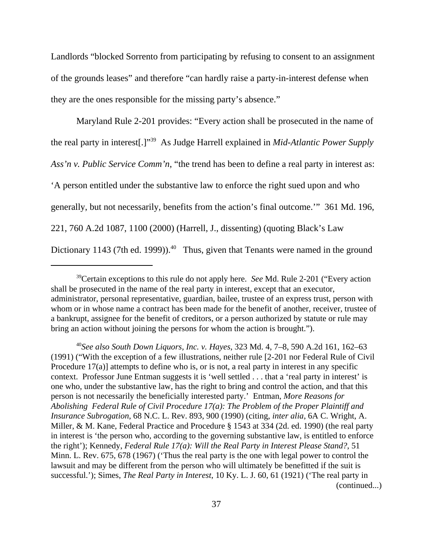Landlords "blocked Sorrento from participating by refusing to consent to an assignment of the grounds leases" and therefore "can hardly raise a party-in-interest defense when they are the ones responsible for the missing party's absence."

Maryland Rule 2-201 provides: "Every action shall be prosecuted in the name of the real party in interest[.]"39 As Judge Harrell explained in *Mid-Atlantic Power Supply Ass'n v. Public Service Comm'n*, "the trend has been to define a real party in interest as: 'A person entitled under the substantive law to enforce the right sued upon and who generally, but not necessarily, benefits from the action's final outcome.'" 361 Md. 196, 221, 760 A.2d 1087, 1100 (2000) (Harrell, J., dissenting) (quoting Black's Law Dictionary 1143 (7th ed. 1999)).<sup>40</sup> Thus, given that Tenants were named in the ground

<sup>40</sup>*See also South Down Liquors, Inc. v. Hayes*, 323 Md. 4, 7–8, 590 A.2d 161, 162–63 (1991) ("With the exception of a few illustrations, neither rule [2-201 nor Federal Rule of Civil Procedure 17(a)] attempts to define who is, or is not, a real party in interest in any specific context. Professor June Entman suggests it is 'well settled . . . that a 'real party in interest' is one who, under the substantive law, has the right to bring and control the action, and that this person is not necessarily the beneficially interested party.' Entman, *More Reasons for Abolishing Federal Rule of Civil Procedure 17(a): The Problem of the Proper Plaintiff and Insurance Subrogation*, 68 N.C. L. Rev. 893, 900 (1990) (citing, *inter alia*, 6A C. Wright, A. Miller, & M. Kane, Federal Practice and Procedure § 1543 at 334 (2d. ed. 1990) (the real party in interest is 'the person who, according to the governing substantive law, is entitled to enforce the right'); Kennedy, *Federal Rule 17(a): Will the Real Party in Interest Please Stand?*, 51 Minn. L. Rev. 675, 678 (1967) ('Thus the real party is the one with legal power to control the lawsuit and may be different from the person who will ultimately be benefitted if the suit is successful.'); Simes, *The Real Party in Interest*, 10 Ky. L. J. 60, 61 (1921) ('The real party in (continued...)

<sup>39</sup>Certain exceptions to this rule do not apply here. *See* Md. Rule 2-201 ("Every action shall be prosecuted in the name of the real party in interest, except that an executor, administrator, personal representative, guardian, bailee, trustee of an express trust, person with whom or in whose name a contract has been made for the benefit of another, receiver, trustee of a bankrupt, assignee for the benefit of creditors, or a person authorized by statute or rule may bring an action without joining the persons for whom the action is brought.").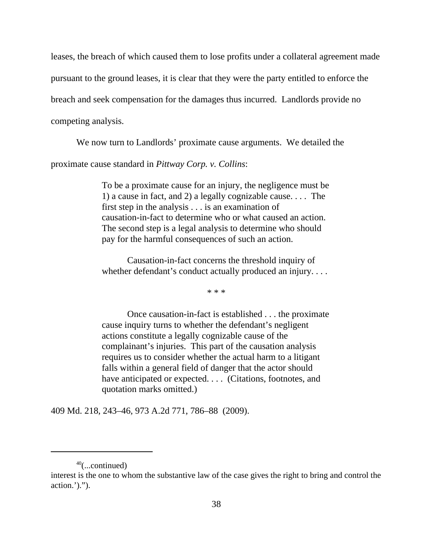leases, the breach of which caused them to lose profits under a collateral agreement made pursuant to the ground leases, it is clear that they were the party entitled to enforce the breach and seek compensation for the damages thus incurred. Landlords provide no competing analysis.

We now turn to Landlords' proximate cause arguments. We detailed the

proximate cause standard in *Pittway Corp. v. Collins*:

To be a proximate cause for an injury, the negligence must be 1) a cause in fact, and 2) a legally cognizable cause. . . . The first step in the analysis . . . is an examination of causation-in-fact to determine who or what caused an action. The second step is a legal analysis to determine who should pay for the harmful consequences of such an action.

Causation-in-fact concerns the threshold inquiry of whether defendant's conduct actually produced an injury. . . .

\* \* \*

Once causation-in-fact is established . . . the proximate cause inquiry turns to whether the defendant's negligent actions constitute a legally cognizable cause of the complainant's injuries. This part of the causation analysis requires us to consider whether the actual harm to a litigant falls within a general field of danger that the actor should have anticipated or expected. . . . (Citations, footnotes, and quotation marks omitted.)

409 Md. 218, 243–46, 973 A.2d 771, 786–88 (2009).

 $40$ (...continued)

interest is the one to whom the substantive law of the case gives the right to bring and control the  $action.'$ ).").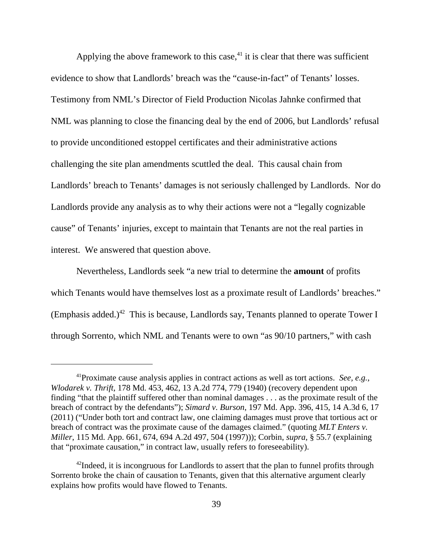Applying the above framework to this case, $41$  it is clear that there was sufficient evidence to show that Landlords' breach was the "cause-in-fact" of Tenants' losses. Testimony from NML's Director of Field Production Nicolas Jahnke confirmed that NML was planning to close the financing deal by the end of 2006, but Landlords' refusal to provide unconditioned estoppel certificates and their administrative actions challenging the site plan amendments scuttled the deal. This causal chain from Landlords' breach to Tenants' damages is not seriously challenged by Landlords. Nor do Landlords provide any analysis as to why their actions were not a "legally cognizable cause" of Tenants' injuries, except to maintain that Tenants are not the real parties in interest. We answered that question above.

Nevertheless, Landlords seek "a new trial to determine the **amount** of profits which Tenants would have themselves lost as a proximate result of Landlords' breaches." (Emphasis added.)<sup>42</sup> This is because, Landlords say, Tenants planned to operate Tower I through Sorrento, which NML and Tenants were to own "as 90/10 partners," with cash

<sup>41</sup>Proximate cause analysis applies in contract actions as well as tort actions. *See, e.g.*, *Wlodarek v. Thrift*, 178 Md. 453, 462, 13 A.2d 774, 779 (1940) (recovery dependent upon finding "that the plaintiff suffered other than nominal damages . . . as the proximate result of the breach of contract by the defendants"); *Simard v. Burson*, 197 Md. App. 396, 415, 14 A.3d 6, 17 (2011) ("Under both tort and contract law, one claiming damages must prove that tortious act or breach of contract was the proximate cause of the damages claimed." (quoting *MLT Enters v. Miller*, 115 Md. App. 661, 674, 694 A.2d 497, 504 (1997))); Corbin, *supra*, § 55.7 (explaining that "proximate causation," in contract law, usually refers to foreseeability).

<sup>&</sup>lt;sup>42</sup>Indeed, it is incongruous for Landlords to assert that the plan to funnel profits through Sorrento broke the chain of causation to Tenants, given that this alternative argument clearly explains how profits would have flowed to Tenants.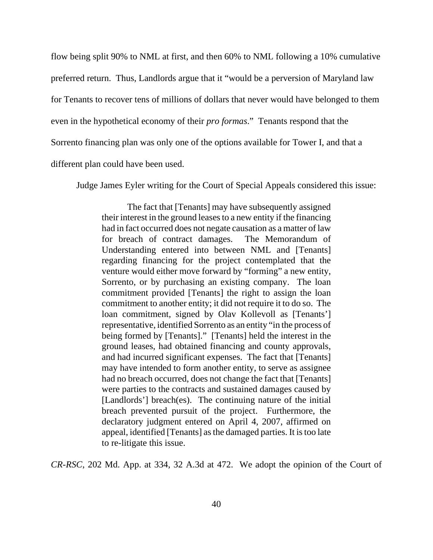flow being split 90% to NML at first, and then 60% to NML following a 10% cumulative preferred return. Thus, Landlords argue that it "would be a perversion of Maryland law for Tenants to recover tens of millions of dollars that never would have belonged to them even in the hypothetical economy of their *pro formas*." Tenants respond that the Sorrento financing plan was only one of the options available for Tower I, and that a different plan could have been used.

Judge James Eyler writing for the Court of Special Appeals considered this issue:

The fact that [Tenants] may have subsequently assigned their interest in the ground leases to a new entity if the financing had in fact occurred does not negate causation as a matter of law for breach of contract damages. The Memorandum of Understanding entered into between NML and [Tenants] regarding financing for the project contemplated that the venture would either move forward by "forming" a new entity, Sorrento, or by purchasing an existing company. The loan commitment provided [Tenants] the right to assign the loan commitment to another entity; it did not require it to do so. The loan commitment, signed by Olav Kollevoll as [Tenants'] representative, identified Sorrento as an entity "in the process of being formed by [Tenants]." [Tenants] held the interest in the ground leases, had obtained financing and county approvals, and had incurred significant expenses. The fact that [Tenants] may have intended to form another entity, to serve as assignee had no breach occurred, does not change the fact that [Tenants] were parties to the contracts and sustained damages caused by [Landlords'] breach(es). The continuing nature of the initial breach prevented pursuit of the project. Furthermore, the declaratory judgment entered on April 4, 2007, affirmed on appeal, identified [Tenants] as the damaged parties. It is too late to re-litigate this issue.

*CR-RSC*, 202 Md. App. at 334, 32 A.3d at 472. We adopt the opinion of the Court of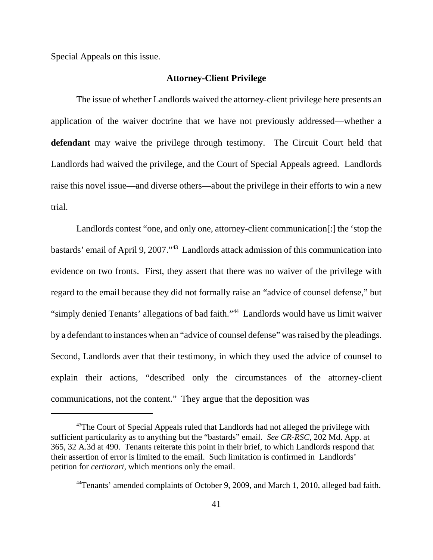Special Appeals on this issue.

### **Attorney-Client Privilege**

The issue of whether Landlords waived the attorney-client privilege here presents an application of the waiver doctrine that we have not previously addressed—whether a **defendant** may waive the privilege through testimony. The Circuit Court held that Landlords had waived the privilege, and the Court of Special Appeals agreed. Landlords raise this novel issue—and diverse others—about the privilege in their efforts to win a new trial.

Landlords contest "one, and only one, attorney-client communication[:] the 'stop the bastards' email of April 9, 2007."43 Landlords attack admission of this communication into evidence on two fronts. First, they assert that there was no waiver of the privilege with regard to the email because they did not formally raise an "advice of counsel defense," but "simply denied Tenants' allegations of bad faith."44 Landlords would have us limit waiver by a defendant to instances when an "advice of counsel defense" was raised by the pleadings. Second, Landlords aver that their testimony, in which they used the advice of counsel to explain their actions, "described only the circumstances of the attorney-client communications, not the content." They argue that the deposition was

<sup>&</sup>lt;sup>43</sup>The Court of Special Appeals ruled that Landlords had not alleged the privilege with sufficient particularity as to anything but the "bastards" email. *See CR-RSC*, 202 Md. App. at 365, 32 A.3d at 490. Tenants reiterate this point in their brief, to which Landlords respond that their assertion of error is limited to the email. Such limitation is confirmed in Landlords' petition for *certiorari*, which mentions only the email.

<sup>44</sup>Tenants' amended complaints of October 9, 2009, and March 1, 2010, alleged bad faith.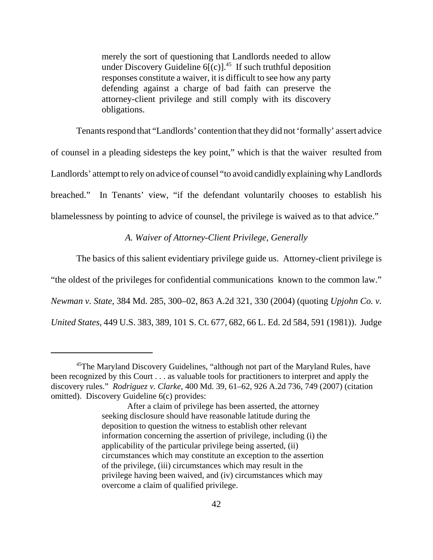merely the sort of questioning that Landlords needed to allow under Discovery Guideline  $6[(c)]^{45}$  If such truthful deposition responses constitute a waiver, it is difficult to see how any party defending against a charge of bad faith can preserve the attorney-client privilege and still comply with its discovery obligations.

Tenants respond that "Landlords' contention that they did not 'formally' assert advice of counsel in a pleading sidesteps the key point," which is that the waiver resulted from Landlords' attempt to rely on advice of counsel "to avoid candidly explaining why Landlords breached." In Tenants' view, "if the defendant voluntarily chooses to establish his blamelessness by pointing to advice of counsel, the privilege is waived as to that advice."

# *A. Waiver of Attorney-Client Privilege, Generally*

The basics of this salient evidentiary privilege guide us. Attorney-client privilege is "the oldest of the privileges for confidential communications known to the common law." *Newman v. State*, 384 Md. 285, 300–02, 863 A.2d 321, 330 (2004) (quoting *Upjohn Co. v. United States*, 449 U.S. 383, 389, 101 S. Ct. 677, 682, 66 L. Ed. 2d 584, 591 (1981)). Judge

<sup>&</sup>lt;sup>45</sup>The Maryland Discovery Guidelines, "although not part of the Maryland Rules, have been recognized by this Court . . . as valuable tools for practitioners to interpret and apply the discovery rules." *Rodriguez v. Clarke*, 400 Md. 39, 61–62, 926 A.2d 736, 749 (2007) (citation omitted). Discovery Guideline 6(c) provides:

After a claim of privilege has been asserted, the attorney seeking disclosure should have reasonable latitude during the deposition to question the witness to establish other relevant information concerning the assertion of privilege, including (i) the applicability of the particular privilege being asserted, (ii) circumstances which may constitute an exception to the assertion of the privilege, (iii) circumstances which may result in the privilege having been waived, and (iv) circumstances which may overcome a claim of qualified privilege.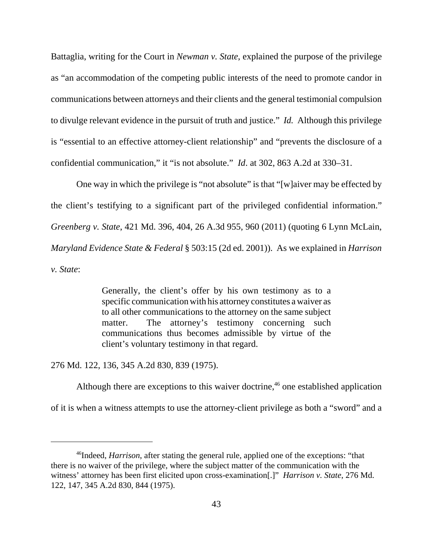Battaglia, writing for the Court in *Newman v. State*, explained the purpose of the privilege as "an accommodation of the competing public interests of the need to promote candor in communications between attorneys and their clients and the general testimonial compulsion to divulge relevant evidence in the pursuit of truth and justice." *Id.* Although this privilege is "essential to an effective attorney-client relationship" and "prevents the disclosure of a confidential communication," it "is not absolute." *Id*. at 302, 863 A.2d at 330–31.

One way in which the privilege is "not absolute" is that "[w]aiver may be effected by the client's testifying to a significant part of the privileged confidential information." *Greenberg v. State*, 421 Md. 396, 404, 26 A.3d 955, 960 (2011) (quoting 6 Lynn McLain, *Maryland Evidence State & Federal* § 503:15 (2d ed. 2001)). As we explained in *Harrison v. State*:

> Generally, the client's offer by his own testimony as to a specific communication with his attorney constitutes a waiver as to all other communications to the attorney on the same subject matter. The attorney's testimony concerning such communications thus becomes admissible by virtue of the client's voluntary testimony in that regard.

276 Md. 122, 136, 345 A.2d 830, 839 (1975).

Although there are exceptions to this waiver doctrine,  $46$  one established application of it is when a witness attempts to use the attorney-client privilege as both a "sword" and a

<sup>46</sup>Indeed, *Harrison*, after stating the general rule, applied one of the exceptions: "that there is no waiver of the privilege, where the subject matter of the communication with the witness' attorney has been first elicited upon cross-examination[.]" *Harrison v. State*, 276 Md. 122, 147, 345 A.2d 830, 844 (1975).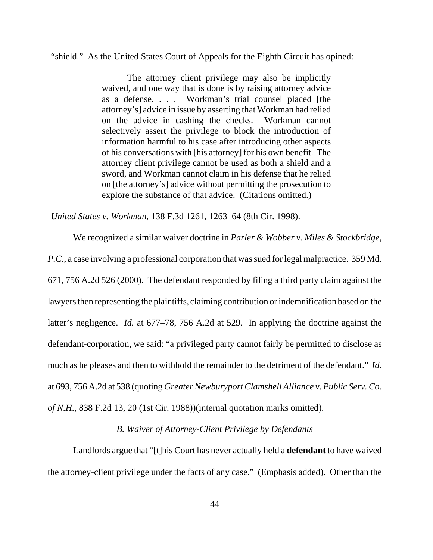"shield." As the United States Court of Appeals for the Eighth Circuit has opined:

The attorney client privilege may also be implicitly waived, and one way that is done is by raising attorney advice as a defense. . . . Workman's trial counsel placed [the attorney's] advice in issue by asserting that Workman had relied on the advice in cashing the checks. Workman cannot selectively assert the privilege to block the introduction of information harmful to his case after introducing other aspects of his conversations with [his attorney] for his own benefit. The attorney client privilege cannot be used as both a shield and a sword, and Workman cannot claim in his defense that he relied on [the attorney's] advice without permitting the prosecution to explore the substance of that advice. (Citations omitted.)

*United States v. Workman*, 138 F.3d 1261, 1263–64 (8th Cir. 1998).

We recognized a similar waiver doctrine in *Parler & Wobber v. Miles & Stockbridge, P.C.*, a case involving a professional corporation that was sued for legal malpractice. 359 Md. 671, 756 A.2d 526 (2000). The defendant responded by filing a third party claim against the lawyers then representing the plaintiffs, claiming contribution or indemnification based on the latter's negligence. *Id.* at 677–78, 756 A.2d at 529. In applying the doctrine against the defendant-corporation, we said: "a privileged party cannot fairly be permitted to disclose as much as he pleases and then to withhold the remainder to the detriment of the defendant." *Id.* at 693, 756 A.2d at 538 (quoting *Greater Newburyport Clamshell Alliance v. Public Serv. Co. of N.H.*, 838 F.2d 13, 20 (1st Cir. 1988))(internal quotation marks omitted).

# *B. Waiver of Attorney-Client Privilege by Defendants*

Landlords argue that "[t]his Court has never actually held a **defendant** to have waived the attorney-client privilege under the facts of any case." (Emphasis added). Other than the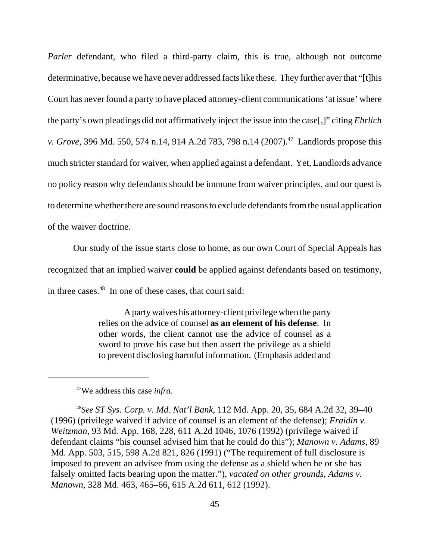*Parler* defendant, who filed a third-party claim, this is true, although not outcome determinative, because we have never addressed facts like these. They further aver that "[t]his Court has never found a party to have placed attorney-client communications 'at issue' where the party's own pleadings did not affirmatively inject the issue into the case[,]" citing *Ehrlich v. Grove*, 396 Md. 550, 574 n.14, 914 A.2d 783, 798 n.14 (2007).<sup>47</sup> Landlords propose this much stricter standard for waiver, when applied against a defendant. Yet, Landlords advance no policy reason why defendants should be immune from waiver principles, and our quest is to determine whether there are sound reasons to exclude defendants from the usual application of the waiver doctrine.

Our study of the issue starts close to home, as our own Court of Special Appeals has

recognized that an implied waiver **could** be applied against defendants based on testimony,

in three cases.<sup>48</sup> In one of these cases, that court said:

A party waives his attorney-client privilege when the party relies on the advice of counsel **as an element of his defense**. In other words, the client cannot use the advice of counsel as a sword to prove his case but then assert the privilege as a shield to prevent disclosing harmful information. (Emphasis added and

47We address this case *infra*.

<sup>48</sup>*See ST Sys. Corp. v. Md. Nat'l Bank*, 112 Md. App. 20, 35, 684 A.2d 32, 39–40 (1996) (privilege waived if advice of counsel is an element of the defense); *Fraidin v. Weitzman*, 93 Md. App. 168, 228, 611 A.2d 1046, 1076 (1992) (privilege waived if defendant claims "his counsel advised him that he could do this"); *Manown v. Adams*, 89 Md. App. 503, 515, 598 A.2d 821, 826 (1991) ("The requirement of full disclosure is imposed to prevent an advisee from using the defense as a shield when he or she has falsely omitted facts bearing upon the matter."), *vacated on other grounds*, *Adams v. Manown*, 328 Md. 463, 465–66, 615 A.2d 611, 612 (1992).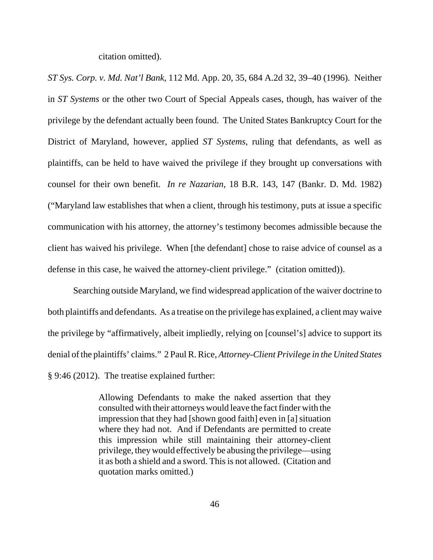citation omitted).

*ST Sys. Corp. v. Md. Nat'l Bank*, 112 Md. App. 20, 35, 684 A.2d 32, 39–40 (1996). Neither in *ST Systems* or the other two Court of Special Appeals cases, though, has waiver of the privilege by the defendant actually been found. The United States Bankruptcy Court for the District of Maryland, however, applied *ST Systems*, ruling that defendants, as well as plaintiffs, can be held to have waived the privilege if they brought up conversations with counsel for their own benefit. *In re Nazarian*, 18 B.R. 143, 147 (Bankr. D. Md. 1982) ("Maryland law establishes that when a client, through his testimony, puts at issue a specific communication with his attorney, the attorney's testimony becomes admissible because the client has waived his privilege. When [the defendant] chose to raise advice of counsel as a defense in this case, he waived the attorney-client privilege." (citation omitted)).

Searching outside Maryland, we find widespread application of the waiver doctrine to both plaintiffs and defendants. As a treatise on the privilege has explained, a client may waive the privilege by "affirmatively, albeit impliedly, relying on [counsel's] advice to support its denial of the plaintiffs' claims." 2 Paul R. Rice, *Attorney-Client Privilege in the United States* § 9:46 (2012). The treatise explained further:

> Allowing Defendants to make the naked assertion that they consulted with their attorneys would leave the fact finder with the impression that they had [shown good faith] even in [a] situation where they had not. And if Defendants are permitted to create this impression while still maintaining their attorney-client privilege, they would effectively be abusing the privilege—using it as both a shield and a sword. This is not allowed. (Citation and quotation marks omitted.)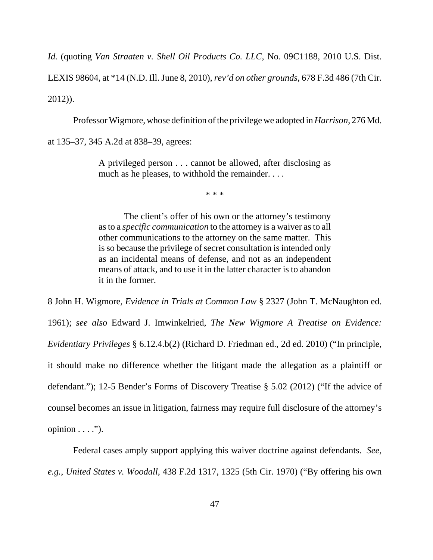*Id.* (quoting *Van Straaten v. Shell Oil Products Co. LLC*, No. 09C1188, 2010 U.S. Dist.

LEXIS 98604, at \*14 (N.D. Ill. June 8, 2010), *rev'd on other grounds*, 678 F.3d 486 (7th Cir.

2012)).

Professor Wigmore, whose definition of the privilege we adopted in *Harrison*, 276 Md.

at 135–37, 345 A.2d at 838–39, agrees:

A privileged person . . . cannot be allowed, after disclosing as much as he pleases, to withhold the remainder. . . .

\* \* \*

The client's offer of his own or the attorney's testimony as to a *specific communication* to the attorney is a waiver as to all other communications to the attorney on the same matter. This is so because the privilege of secret consultation is intended only as an incidental means of defense, and not as an independent means of attack, and to use it in the latter character is to abandon it in the former.

8 John H. Wigmore*, Evidence in Trials at Common Law* § 2327 (John T. McNaughton ed. 1961); *see also* Edward J. Imwinkelried, *The New Wigmore A Treatise on Evidence: Evidentiary Privileges* § 6.12.4.b(2) (Richard D. Friedman ed., 2d ed. 2010) ("In principle, it should make no difference whether the litigant made the allegation as a plaintiff or defendant."); 12-5 Bender's Forms of Discovery Treatise § 5.02 (2012) ("If the advice of counsel becomes an issue in litigation, fairness may require full disclosure of the attorney's opinion  $\dots$  .").

Federal cases amply support applying this waiver doctrine against defendants. *See, e.g.*, *United States v. Woodall*, 438 F.2d 1317, 1325 (5th Cir. 1970) ("By offering his own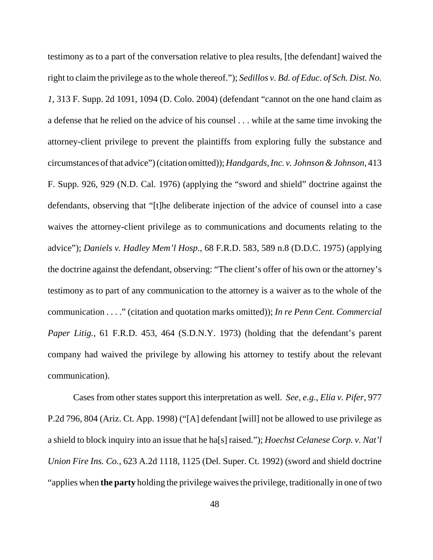testimony as to a part of the conversation relative to plea results, [the defendant] waived the right to claim the privilege as to the whole thereof."); *Sedillos v. Bd. of Educ. of Sch. Dist. No. 1*, 313 F. Supp. 2d 1091, 1094 (D. Colo. 2004) (defendant "cannot on the one hand claim as a defense that he relied on the advice of his counsel . . . while at the same time invoking the attorney-client privilege to prevent the plaintiffs from exploring fully the substance and circumstances of that advice") (citation omitted)); *Handgards, Inc. v. Johnson & Johnson*, 413 F. Supp. 926, 929 (N.D. Cal. 1976) (applying the "sword and shield" doctrine against the defendants, observing that "[t]he deliberate injection of the advice of counsel into a case waives the attorney-client privilege as to communications and documents relating to the advice"); *Daniels v. Hadley Mem'l Hosp.*, 68 F.R.D. 583, 589 n.8 (D.D.C. 1975) (applying the doctrine against the defendant, observing: "The client's offer of his own or the attorney's testimony as to part of any communication to the attorney is a waiver as to the whole of the communication . . . ." (citation and quotation marks omitted)); *In re Penn Cent. Commercial Paper Litig.*, 61 F.R.D. 453, 464 (S.D.N.Y. 1973) (holding that the defendant's parent company had waived the privilege by allowing his attorney to testify about the relevant communication).

Cases from other states support this interpretation as well. *See, e.g.*, *Elia v. Pifer*, 977 P.2d 796, 804 (Ariz. Ct. App. 1998) ("[A] defendant [will] not be allowed to use privilege as a shield to block inquiry into an issue that he ha[s] raised."); *Hoechst Celanese Corp. v. Nat'l Union Fire Ins. Co.*, 623 A.2d 1118, 1125 (Del. Super. Ct. 1992) (sword and shield doctrine "applies when **the party** holding the privilege waives the privilege, traditionally in one of two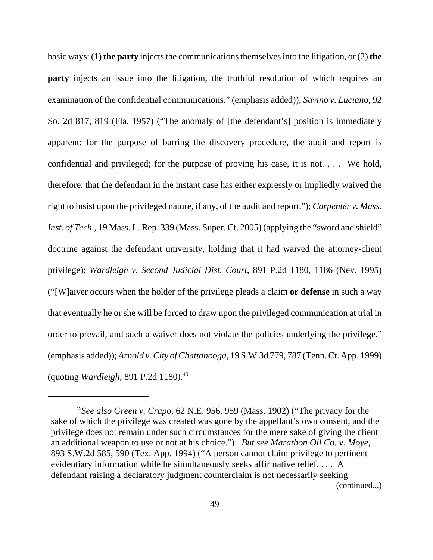basic ways: (1) **the party** injects the communications themselves into the litigation, or (2) **the party** injects an issue into the litigation, the truthful resolution of which requires an examination of the confidential communications." (emphasis added)); *Savino v. Luciano*, 92 So. 2d 817, 819 (Fla. 1957) ("The anomaly of [the defendant's] position is immediately apparent: for the purpose of barring the discovery procedure, the audit and report is confidential and privileged; for the purpose of proving his case, it is not. . . . We hold, therefore, that the defendant in the instant case has either expressly or impliedly waived the right to insist upon the privileged nature, if any, of the audit and report."); *Carpenter v. Mass. Inst. of Tech.*, 19 Mass. L. Rep. 339 (Mass. Super. Ct. 2005) (applying the "sword and shield" doctrine against the defendant university, holding that it had waived the attorney-client privilege); *Wardleigh v. Second Judicial Dist. Court*, 891 P.2d 1180, 1186 (Nev. 1995) ("[W]aiver occurs when the holder of the privilege pleads a claim **or defense** in such a way that eventually he or she will be forced to draw upon the privileged communication at trial in order to prevail, and such a waiver does not violate the policies underlying the privilege." (emphasis added)); *Arnold v. City of Chattanooga*, 19 S.W.3d 779, 787 (Tenn. Ct. App. 1999) (quoting *Wardleigh*, 891 P.2d 1180).49

<sup>49</sup>*See also Green v. Crapo*, 62 N.E. 956, 959 (Mass. 1902) ("The privacy for the sake of which the privilege was created was gone by the appellant's own consent, and the privilege does not remain under such circumstances for the mere sake of giving the client an additional weapon to use or not at his choice."). *But see Marathon Oil Co. v. Moye*, 893 S.W.2d 585, 590 (Tex. App. 1994) ("A person cannot claim privilege to pertinent evidentiary information while he simultaneously seeks affirmative relief. . . . A defendant raising a declaratory judgment counterclaim is not necessarily seeking (continued...)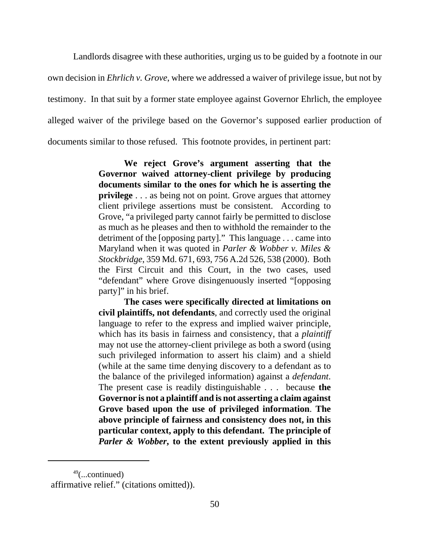Landlords disagree with these authorities, urging us to be guided by a footnote in our own decision in *Ehrlich v. Grove*, where we addressed a waiver of privilege issue, but not by testimony. In that suit by a former state employee against Governor Ehrlich, the employee alleged waiver of the privilege based on the Governor's supposed earlier production of documents similar to those refused. This footnote provides, in pertinent part:

> **We reject Grove's argument asserting that the Governor waived attorney-client privilege by producing documents similar to the ones for which he is asserting the privilege** . . . as being not on point. Grove argues that attorney client privilege assertions must be consistent. According to Grove, "a privileged party cannot fairly be permitted to disclose as much as he pleases and then to withhold the remainder to the detriment of the [opposing party]." This language . . . came into Maryland when it was quoted in *Parler & Wobber v. Miles & Stockbridge*, 359 Md. 671, 693, 756 A.2d 526, 538 (2000). Both the First Circuit and this Court, in the two cases, used "defendant" where Grove disingenuously inserted "[opposing party]" in his brief.

> **The cases were specifically directed at limitations on civil plaintiffs, not defendants**, and correctly used the original language to refer to the express and implied waiver principle, which has its basis in fairness and consistency, that a *plaintiff* may not use the attorney-client privilege as both a sword (using such privileged information to assert his claim) and a shield (while at the same time denying discovery to a defendant as to the balance of the privileged information) against a *defendant*. The present case is readily distinguishable . . . because **the Governor is not a plaintiff and is not asserting a claim against Grove based upon the use of privileged information**. **The above principle of fairness and consistency does not, in this particular context, apply to this defendant. The principle of** *Parler & Wobber***, to the extent previously applied in this**

 $49$ (...continued) affirmative relief." (citations omitted)).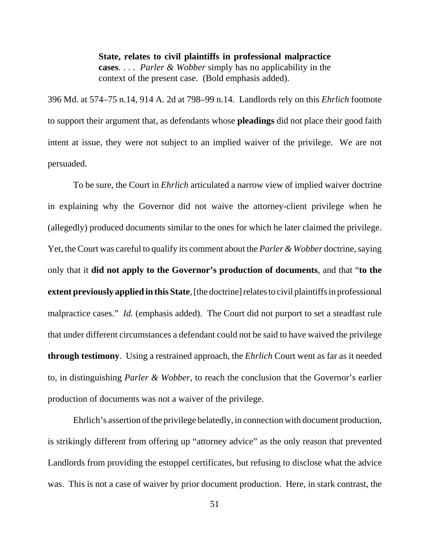**State, relates to civil plaintiffs in professional malpractice cases**. . . . *Parler & Wobber* simply has no applicability in the context of the present case. (Bold emphasis added).

396 Md. at 574–75 n.14, 914 A. 2d at 798–99 n.14. Landlords rely on this *Ehrlich* footnote to support their argument that, as defendants whose **pleadings** did not place their good faith intent at issue, they were not subject to an implied waiver of the privilege. We are not persuaded.

To be sure, the Court in *Ehrlich* articulated a narrow view of implied waiver doctrine in explaining why the Governor did not waive the attorney-client privilege when he (allegedly) produced documents similar to the ones for which he later claimed the privilege. Yet, the Court was careful to qualify its comment about the *Parler & Wobber* doctrine, saying only that it **did not apply to the Governor's production of documents**, and that "**to the extent previously applied in this State**, [the doctrine] relates to civil plaintiffs in professional malpractice cases." *Id.* (emphasis added). The Court did not purport to set a steadfast rule that under different circumstances a defendant could not be said to have waived the privilege **through testimony**. Using a restrained approach, the *Ehrlich* Court went as far as it needed to, in distinguishing *Parler & Wobber*, to reach the conclusion that the Governor's earlier production of documents was not a waiver of the privilege.

Ehrlich's assertion of the privilege belatedly, in connection with document production, is strikingly different from offering up "attorney advice" as the only reason that prevented Landlords from providing the estoppel certificates, but refusing to disclose what the advice was. This is not a case of waiver by prior document production. Here, in stark contrast, the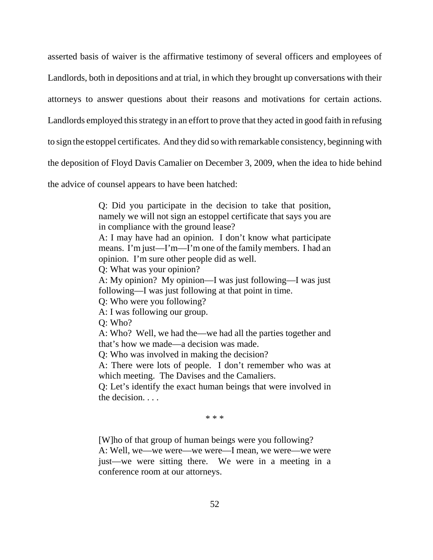asserted basis of waiver is the affirmative testimony of several officers and employees of Landlords, both in depositions and at trial, in which they brought up conversations with their attorneys to answer questions about their reasons and motivations for certain actions. Landlords employed this strategy in an effort to prove that they acted in good faith in refusing to sign the estoppel certificates. And they did so with remarkable consistency, beginning with the deposition of Floyd Davis Camalier on December 3, 2009, when the idea to hide behind

the advice of counsel appears to have been hatched:

Q: Did you participate in the decision to take that position, namely we will not sign an estoppel certificate that says you are in compliance with the ground lease?

A: I may have had an opinion. I don't know what participate means. I'm just—I'm—I'm one of the family members. I had an opinion. I'm sure other people did as well.

Q: What was your opinion?

A: My opinion? My opinion—I was just following—I was just following—I was just following at that point in time.

Q: Who were you following?

A: I was following our group.

Q: Who?

A: Who? Well, we had the—we had all the parties together and that's how we made—a decision was made.

Q: Who was involved in making the decision?

A: There were lots of people. I don't remember who was at which meeting. The Davises and the Camaliers.

Q: Let's identify the exact human beings that were involved in the decision. . . .

\* \* \*

[W]ho of that group of human beings were you following?

A: Well, we—we were—we were—I mean, we were—we were just—we were sitting there. We were in a meeting in a conference room at our attorneys.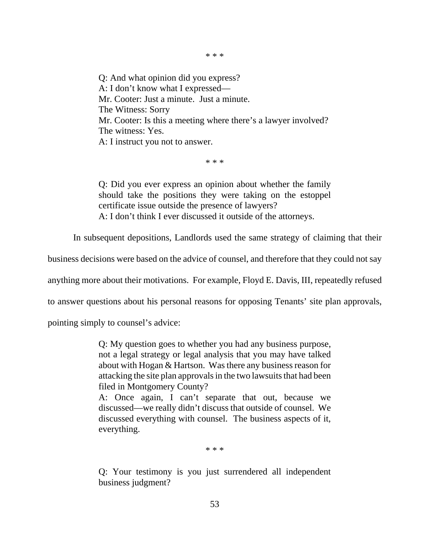Q: And what opinion did you express? A: I don't know what I expressed— Mr. Cooter: Just a minute. Just a minute. The Witness: Sorry Mr. Cooter: Is this a meeting where there's a lawyer involved? The witness: Yes. A: I instruct you not to answer.

\* \* \*

Q: Did you ever express an opinion about whether the family should take the positions they were taking on the estoppel certificate issue outside the presence of lawyers? A: I don't think I ever discussed it outside of the attorneys.

In subsequent depositions, Landlords used the same strategy of claiming that their

business decisions were based on the advice of counsel, and therefore that they could not say

anything more about their motivations. For example, Floyd E. Davis, III, repeatedly refused

to answer questions about his personal reasons for opposing Tenants' site plan approvals,

pointing simply to counsel's advice:

Q: My question goes to whether you had any business purpose, not a legal strategy or legal analysis that you may have talked about with Hogan & Hartson. Was there any business reason for attacking the site plan approvals in the two lawsuits that had been filed in Montgomery County?

A: Once again, I can't separate that out, because we discussed—we really didn't discuss that outside of counsel. We discussed everything with counsel. The business aspects of it, everything.

\* \* \*

Q: Your testimony is you just surrendered all independent business judgment?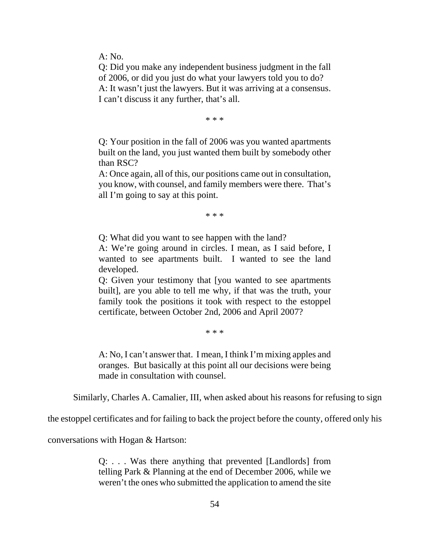A: No.

Q: Did you make any independent business judgment in the fall of 2006, or did you just do what your lawyers told you to do? A: It wasn't just the lawyers. But it was arriving at a consensus. I can't discuss it any further, that's all.

\* \* \*

Q: Your position in the fall of 2006 was you wanted apartments built on the land, you just wanted them built by somebody other than RSC?

A: Once again, all of this, our positions came out in consultation, you know, with counsel, and family members were there. That's all I'm going to say at this point.

\* \* \*

Q: What did you want to see happen with the land?

A: We're going around in circles. I mean, as I said before, I wanted to see apartments built. I wanted to see the land developed.

Q: Given your testimony that [you wanted to see apartments built], are you able to tell me why, if that was the truth, your family took the positions it took with respect to the estoppel certificate, between October 2nd, 2006 and April 2007?

\* \* \*

A: No, I can't answer that. I mean, I think I'm mixing apples and oranges. But basically at this point all our decisions were being made in consultation with counsel.

Similarly, Charles A. Camalier, III, when asked about his reasons for refusing to sign

the estoppel certificates and for failing to back the project before the county, offered only his

conversations with Hogan & Hartson:

Q: . . . Was there anything that prevented [Landlords] from telling Park & Planning at the end of December 2006, while we weren't the ones who submitted the application to amend the site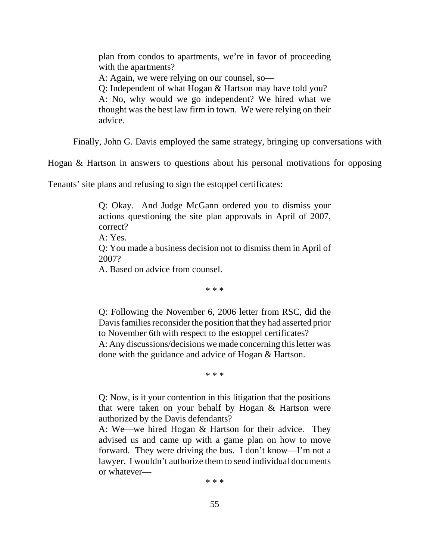plan from condos to apartments, we're in favor of proceeding with the apartments? A: Again, we were relying on our counsel, so— Q: Independent of what Hogan & Hartson may have told you? A: No, why would we go independent? We hired what we thought was the best law firm in town. We were relying on their advice.

Finally, John G. Davis employed the same strategy, bringing up conversations with

Hogan & Hartson in answers to questions about his personal motivations for opposing

Tenants' site plans and refusing to sign the estoppel certificates:

Q: Okay. And Judge McGann ordered you to dismiss your actions questioning the site plan approvals in April of 2007, correct? A: Yes. Q: You made a business decision not to dismiss them in April of 2007? A. Based on advice from counsel.

\* \* \*

Q: Following the November 6, 2006 letter from RSC, did the Davis families reconsider the position that they had asserted prior to November 6th with respect to the estoppel certificates? A: Any discussions/decisions we made concerning this letter was done with the guidance and advice of Hogan & Hartson.

\* \* \*

Q: Now, is it your contention in this litigation that the positions that were taken on your behalf by Hogan & Hartson were authorized by the Davis defendants?

A: We—we hired Hogan & Hartson for their advice. They advised us and came up with a game plan on how to move forward. They were driving the bus. I don't know—I'm not a lawyer. I wouldn't authorize them to send individual documents or whatever—

\* \* \*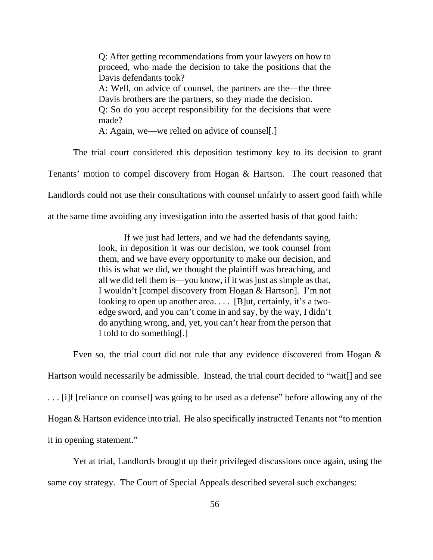Q: After getting recommendations from your lawyers on how to proceed, who made the decision to take the positions that the Davis defendants took? A: Well, on advice of counsel, the partners are the—the three Davis brothers are the partners, so they made the decision. Q: So do you accept responsibility for the decisions that were made? A: Again, we—we relied on advice of counsel[.]

The trial court considered this deposition testimony key to its decision to grant Tenants' motion to compel discovery from Hogan & Hartson. The court reasoned that Landlords could not use their consultations with counsel unfairly to assert good faith while at the same time avoiding any investigation into the asserted basis of that good faith:

> If we just had letters, and we had the defendants saying, look, in deposition it was our decision, we took counsel from them, and we have every opportunity to make our decision, and this is what we did, we thought the plaintiff was breaching, and all we did tell them is—you know, if it was just as simple as that, I wouldn't [compel discovery from Hogan & Hartson]. I'm not looking to open up another area.... [B]ut, certainly, it's a twoedge sword, and you can't come in and say, by the way, I didn't do anything wrong, and, yet, you can't hear from the person that I told to do something[.]

Even so, the trial court did not rule that any evidence discovered from Hogan & Hartson would necessarily be admissible. Instead, the trial court decided to "wait[] and see . . . [i]f [reliance on counsel] was going to be used as a defense" before allowing any of the Hogan & Hartson evidence into trial. He also specifically instructed Tenants not "to mention it in opening statement."

Yet at trial, Landlords brought up their privileged discussions once again, using the same coy strategy. The Court of Special Appeals described several such exchanges: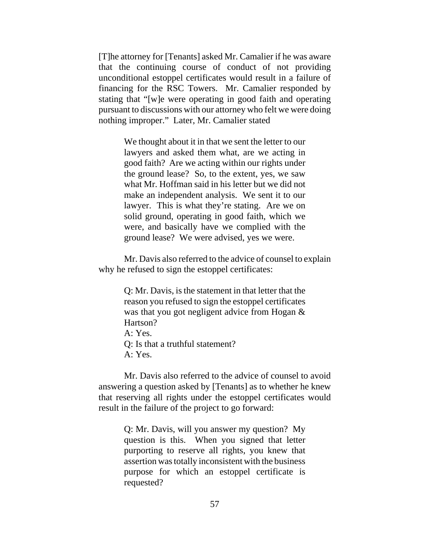[T]he attorney for [Tenants] asked Mr. Camalier if he was aware that the continuing course of conduct of not providing unconditional estoppel certificates would result in a failure of financing for the RSC Towers. Mr. Camalier responded by stating that "[w]e were operating in good faith and operating pursuant to discussions with our attorney who felt we were doing nothing improper." Later, Mr. Camalier stated

> We thought about it in that we sent the letter to our lawyers and asked them what, are we acting in good faith? Are we acting within our rights under the ground lease? So, to the extent, yes, we saw what Mr. Hoffman said in his letter but we did not make an independent analysis. We sent it to our lawyer. This is what they're stating. Are we on solid ground, operating in good faith, which we were, and basically have we complied with the ground lease? We were advised, yes we were.

Mr. Davis also referred to the advice of counsel to explain why he refused to sign the estoppel certificates:

> Q: Mr. Davis, is the statement in that letter that the reason you refused to sign the estoppel certificates was that you got negligent advice from Hogan & Hartson? A: Yes. Q: Is that a truthful statement? A: Yes.

Mr. Davis also referred to the advice of counsel to avoid answering a question asked by [Tenants] as to whether he knew that reserving all rights under the estoppel certificates would result in the failure of the project to go forward:

> Q: Mr. Davis, will you answer my question? My question is this. When you signed that letter purporting to reserve all rights, you knew that assertion was totally inconsistent with the business purpose for which an estoppel certificate is requested?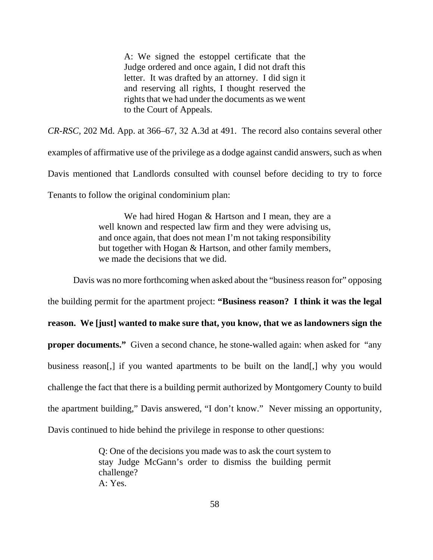A: We signed the estoppel certificate that the Judge ordered and once again, I did not draft this letter. It was drafted by an attorney. I did sign it and reserving all rights, I thought reserved the rights that we had under the documents as we went to the Court of Appeals.

*CR-RSC*, 202 Md. App. at 366–67, 32 A.3d at 491. The record also contains several other

examples of affirmative use of the privilege as a dodge against candid answers, such as when Davis mentioned that Landlords consulted with counsel before deciding to try to force Tenants to follow the original condominium plan:

> We had hired Hogan & Hartson and I mean, they are a well known and respected law firm and they were advising us, and once again, that does not mean I'm not taking responsibility but together with Hogan & Hartson, and other family members, we made the decisions that we did.

Davis was no more forthcoming when asked about the "business reason for" opposing

the building permit for the apartment project: **"Business reason? I think it was the legal**

**reason. We [just] wanted to make sure that, you know, that we as landowners sign the**

**proper documents."** Given a second chance, he stone-walled again: when asked for "any business reason[,] if you wanted apartments to be built on the land[,] why you would challenge the fact that there is a building permit authorized by Montgomery County to build the apartment building," Davis answered, "I don't know." Never missing an opportunity, Davis continued to hide behind the privilege in response to other questions:

> Q: One of the decisions you made was to ask the court system to stay Judge McGann's order to dismiss the building permit challenge? A: Yes.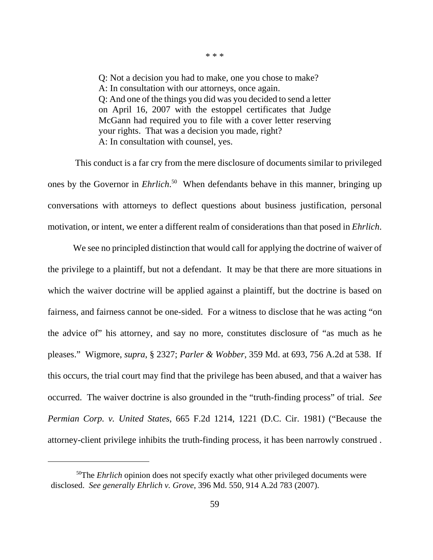Q: Not a decision you had to make, one you chose to make? A: In consultation with our attorneys, once again. Q: And one of the things you did was you decided to send a letter on April 16, 2007 with the estoppel certificates that Judge McGann had required you to file with a cover letter reserving your rights. That was a decision you made, right? A: In consultation with counsel, yes.

 This conduct is a far cry from the mere disclosure of documents similar to privileged ones by the Governor in *Ehrlich*. 50 When defendants behave in this manner, bringing up conversations with attorneys to deflect questions about business justification, personal motivation, or intent, we enter a different realm of considerations than that posed in *Ehrlich*.

We see no principled distinction that would call for applying the doctrine of waiver of the privilege to a plaintiff, but not a defendant. It may be that there are more situations in which the waiver doctrine will be applied against a plaintiff, but the doctrine is based on fairness, and fairness cannot be one-sided. For a witness to disclose that he was acting "on the advice of" his attorney, and say no more, constitutes disclosure of "as much as he pleases." Wigmore, *supra*, § 2327; *Parler & Wobber*, 359 Md. at 693, 756 A.2d at 538. If this occurs, the trial court may find that the privilege has been abused, and that a waiver has occurred. The waiver doctrine is also grounded in the "truth-finding process" of trial. *See Permian Corp. v. United States*, 665 F.2d 1214, 1221 (D.C. Cir. 1981) ("Because the attorney-client privilege inhibits the truth-finding process, it has been narrowly construed .

\* \* \*

<sup>&</sup>lt;sup>50</sup>The *Ehrlich* opinion does not specify exactly what other privileged documents were disclosed. *See generally Ehrlich v. Grove*, 396 Md. 550, 914 A.2d 783 (2007).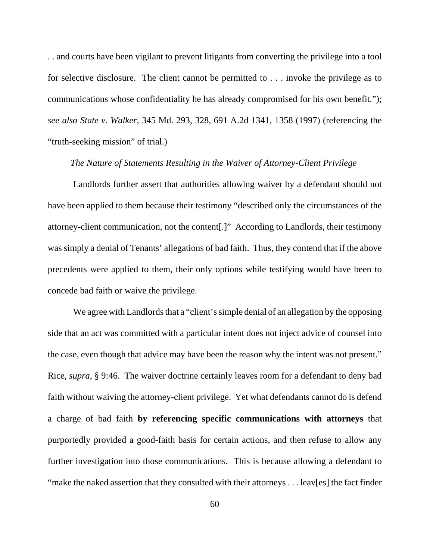. . and courts have been vigilant to prevent litigants from converting the privilege into a tool for selective disclosure. The client cannot be permitted to . . . invoke the privilege as to communications whose confidentiality he has already compromised for his own benefit."); *see also State v. Walker*, 345 Md. 293, 328, 691 A.2d 1341, 1358 (1997) (referencing the "truth-seeking mission" of trial.)

## *The Nature of Statements Resulting in the Waiver of Attorney-Client Privilege*

Landlords further assert that authorities allowing waiver by a defendant should not have been applied to them because their testimony "described only the circumstances of the attorney-client communication, not the content[.]" According to Landlords, their testimony was simply a denial of Tenants' allegations of bad faith. Thus, they contend that if the above precedents were applied to them, their only options while testifying would have been to concede bad faith or waive the privilege.

We agree with Landlords that a "client's simple denial of an allegation by the opposing side that an act was committed with a particular intent does not inject advice of counsel into the case, even though that advice may have been the reason why the intent was not present." Rice, *supra*, § 9:46. The waiver doctrine certainly leaves room for a defendant to deny bad faith without waiving the attorney-client privilege. Yet what defendants cannot do is defend a charge of bad faith **by referencing specific communications with attorneys** that purportedly provided a good-faith basis for certain actions, and then refuse to allow any further investigation into those communications. This is because allowing a defendant to "make the naked assertion that they consulted with their attorneys . . . leav[es] the fact finder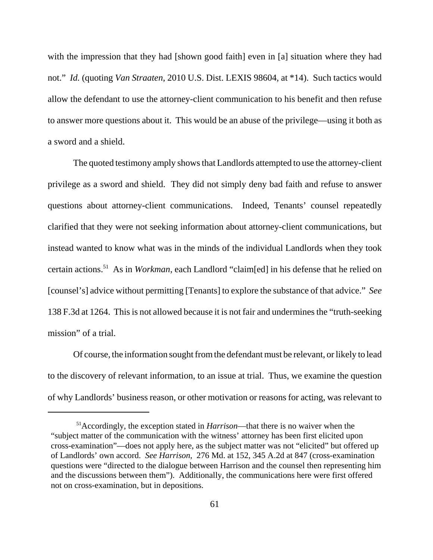with the impression that they had [shown good faith] even in [a] situation where they had not." *Id.* (quoting *Van Straaten*, 2010 U.S. Dist. LEXIS 98604, at \*14). Such tactics would allow the defendant to use the attorney-client communication to his benefit and then refuse to answer more questions about it. This would be an abuse of the privilege—using it both as a sword and a shield.

The quoted testimony amply shows that Landlords attempted to use the attorney-client privilege as a sword and shield. They did not simply deny bad faith and refuse to answer questions about attorney-client communications. Indeed, Tenants' counsel repeatedly clarified that they were not seeking information about attorney-client communications, but instead wanted to know what was in the minds of the individual Landlords when they took certain actions.51 As in *Workman*, each Landlord "claim[ed] in his defense that he relied on [counsel's] advice without permitting [Tenants] to explore the substance of that advice." *See* 138 F.3d at 1264. This is not allowed because it is not fair and undermines the "truth-seeking mission" of a trial.

Of course, the information sought from the defendant must be relevant, or likely to lead to the discovery of relevant information, to an issue at trial. Thus, we examine the question of why Landlords' business reason, or other motivation or reasons for acting, was relevant to

<sup>51</sup>Accordingly, the exception stated in *Harrison*—that there is no waiver when the "subject matter of the communication with the witness' attorney has been first elicited upon cross-examination"—does not apply here, as the subject matter was not "elicited" but offered up of Landlords' own accord. *See Harrison*, 276 Md. at 152, 345 A.2d at 847 (cross-examination questions were "directed to the dialogue between Harrison and the counsel then representing him and the discussions between them"). Additionally, the communications here were first offered not on cross-examination, but in depositions.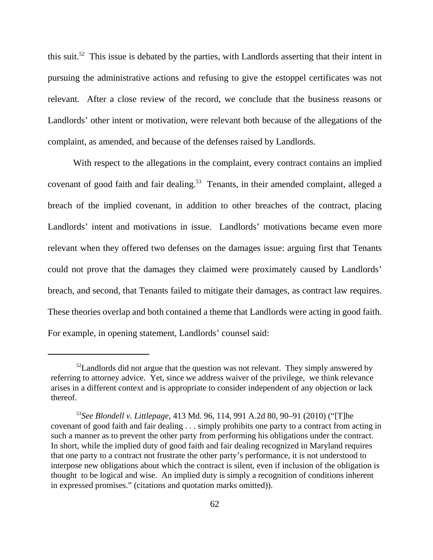this suit.<sup>52</sup> This issue is debated by the parties, with Landlords asserting that their intent in pursuing the administrative actions and refusing to give the estoppel certificates was not relevant. After a close review of the record, we conclude that the business reasons or Landlords' other intent or motivation, were relevant both because of the allegations of the complaint, as amended, and because of the defenses raised by Landlords.

With respect to the allegations in the complaint, every contract contains an implied covenant of good faith and fair dealing.<sup>53</sup> Tenants, in their amended complaint, alleged a breach of the implied covenant, in addition to other breaches of the contract, placing Landlords' intent and motivations in issue. Landlords' motivations became even more relevant when they offered two defenses on the damages issue: arguing first that Tenants could not prove that the damages they claimed were proximately caused by Landlords' breach, and second, that Tenants failed to mitigate their damages, as contract law requires. These theories overlap and both contained a theme that Landlords were acting in good faith. For example, in opening statement, Landlords' counsel said:

 $52$ Landlords did not argue that the question was not relevant. They simply answered by referring to attorney advice. Yet, since we address waiver of the privilege, we think relevance arises in a different context and is appropriate to consider independent of any objection or lack thereof.

<sup>53</sup>*See Blondell v. Littlepage*, 413 Md. 96, 114, 991 A.2d 80, 90–91 (2010) ("[T]he covenant of good faith and fair dealing . . . simply prohibits one party to a contract from acting in such a manner as to prevent the other party from performing his obligations under the contract. In short, while the implied duty of good faith and fair dealing recognized in Maryland requires that one party to a contract not frustrate the other party's performance, it is not understood to interpose new obligations about which the contract is silent, even if inclusion of the obligation is thought to be logical and wise. An implied duty is simply a recognition of conditions inherent in expressed promises." (citations and quotation marks omitted)).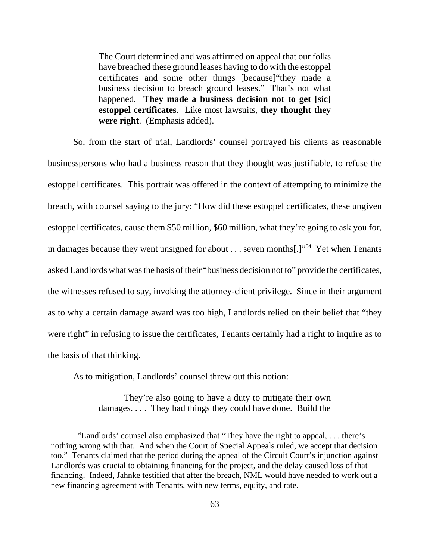The Court determined and was affirmed on appeal that our folks have breached these ground leases having to do with the estoppel certificates and some other things [because]"they made a business decision to breach ground leases." That's not what happened. **They made a business decision not to get [sic] estoppel certificates**. Like most lawsuits, **they thought they were right**. (Emphasis added).

So, from the start of trial, Landlords' counsel portrayed his clients as reasonable businesspersons who had a business reason that they thought was justifiable, to refuse the estoppel certificates. This portrait was offered in the context of attempting to minimize the breach, with counsel saying to the jury: "How did these estoppel certificates, these ungiven estoppel certificates, cause them \$50 million, \$60 million, what they're going to ask you for, in damages because they went unsigned for about  $\dots$  seven months[.]"<sup>54</sup> Yet when Tenants asked Landlords what was the basis of their "business decision not to" provide the certificates, the witnesses refused to say, invoking the attorney-client privilege. Since in their argument as to why a certain damage award was too high, Landlords relied on their belief that "they were right" in refusing to issue the certificates, Tenants certainly had a right to inquire as to the basis of that thinking.

As to mitigation, Landlords' counsel threw out this notion:

They're also going to have a duty to mitigate their own damages. . . . They had things they could have done. Build the

 $54$ Landlords' counsel also emphasized that "They have the right to appeal, ... there's nothing wrong with that. And when the Court of Special Appeals ruled, we accept that decision too." Tenants claimed that the period during the appeal of the Circuit Court's injunction against Landlords was crucial to obtaining financing for the project, and the delay caused loss of that financing. Indeed, Jahnke testified that after the breach, NML would have needed to work out a new financing agreement with Tenants, with new terms, equity, and rate.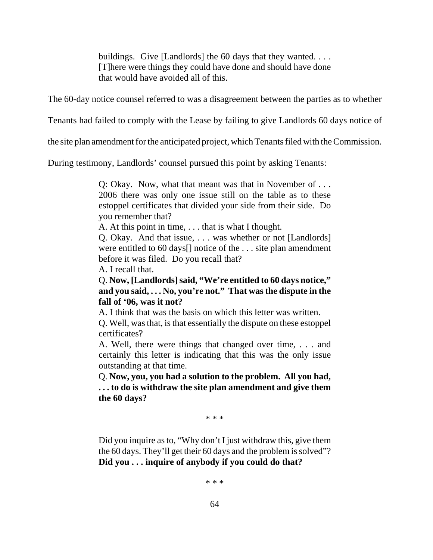buildings. Give [Landlords] the 60 days that they wanted. . . . [T]here were things they could have done and should have done that would have avoided all of this.

The 60-day notice counsel referred to was a disagreement between the parties as to whether

Tenants had failed to comply with the Lease by failing to give Landlords 60 days notice of

the site plan amendment for the anticipated project, which Tenants filed with the Commission.

During testimony, Landlords' counsel pursued this point by asking Tenants:

Q: Okay. Now, what that meant was that in November of . . . 2006 there was only one issue still on the table as to these estoppel certificates that divided your side from their side. Do you remember that?

A. At this point in time, . . . that is what I thought.

Q. Okay. And that issue, . . . was whether or not [Landlords] were entitled to 60 days[] notice of the . . . site plan amendment before it was filed. Do you recall that?

A. I recall that.

Q. **Now, [Landlords] said, "We're entitled to 60 days notice," and you said, . . . No, you're not." That was the dispute in the fall of '06, was it not?**

A. I think that was the basis on which this letter was written.

Q. Well, was that, is that essentially the dispute on these estoppel certificates?

A. Well, there were things that changed over time, . . . and certainly this letter is indicating that this was the only issue outstanding at that time.

Q. **Now, you, you had a solution to the problem. All you had, . . . to do is withdraw the site plan amendment and give them the 60 days?**

\* \* \*

Did you inquire as to, "Why don't I just withdraw this, give them the 60 days. They'll get their 60 days and the problem is solved"? **Did you . . . inquire of anybody if you could do that?**

\* \* \*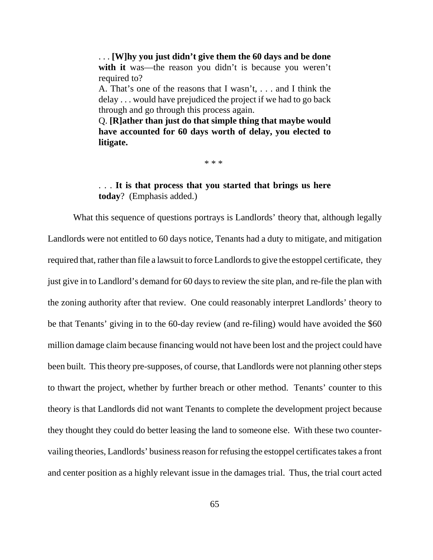. . . **[W]hy you just didn't give them the 60 days and be done** with it was—the reason you didn't is because you weren't required to?

A. That's one of the reasons that I wasn't, . . . and I think the delay . . . would have prejudiced the project if we had to go back through and go through this process again.

Q. **[R]ather than just do that simple thing that maybe would have accounted for 60 days worth of delay, you elected to litigate.**

\* \* \*

. . . **It is that process that you started that brings us here today**? (Emphasis added.)

What this sequence of questions portrays is Landlords' theory that, although legally Landlords were not entitled to 60 days notice, Tenants had a duty to mitigate, and mitigation required that, rather than file a lawsuit to force Landlords to give the estoppel certificate, they just give in to Landlord's demand for 60 days to review the site plan, and re-file the plan with the zoning authority after that review. One could reasonably interpret Landlords' theory to be that Tenants' giving in to the 60-day review (and re-filing) would have avoided the \$60 million damage claim because financing would not have been lost and the project could have been built. This theory pre-supposes, of course, that Landlords were not planning other steps to thwart the project, whether by further breach or other method. Tenants' counter to this theory is that Landlords did not want Tenants to complete the development project because they thought they could do better leasing the land to someone else. With these two countervailing theories, Landlords' business reason for refusing the estoppel certificates takes a front and center position as a highly relevant issue in the damages trial. Thus, the trial court acted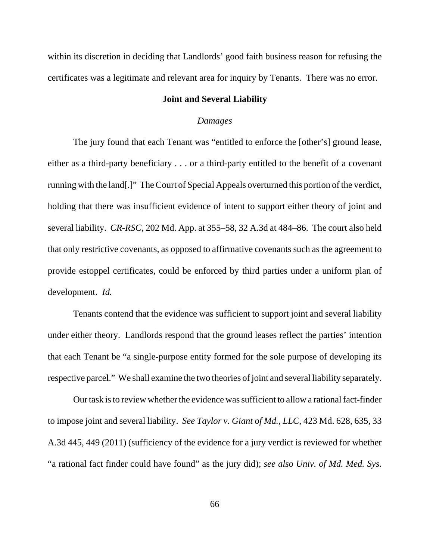within its discretion in deciding that Landlords' good faith business reason for refusing the certificates was a legitimate and relevant area for inquiry by Tenants. There was no error.

#### **Joint and Several Liability**

#### *Damages*

The jury found that each Tenant was "entitled to enforce the [other's] ground lease, either as a third-party beneficiary . . . or a third-party entitled to the benefit of a covenant running with the land[.]" The Court of Special Appeals overturned this portion of the verdict, holding that there was insufficient evidence of intent to support either theory of joint and several liability. *CR-RSC*, 202 Md. App. at 355–58, 32 A.3d at 484–86. The court also held that only restrictive covenants, as opposed to affirmative covenants such as the agreement to provide estoppel certificates, could be enforced by third parties under a uniform plan of development. *Id.*

Tenants contend that the evidence was sufficient to support joint and several liability under either theory. Landlords respond that the ground leases reflect the parties' intention that each Tenant be "a single-purpose entity formed for the sole purpose of developing its respective parcel." We shall examine the two theories of joint and several liability separately.

Our task is to review whether the evidence was sufficient to allow a rational fact-finder to impose joint and several liability. *See Taylor v. Giant of Md., LLC*, 423 Md. 628, 635, 33 A.3d 445, 449 (2011) (sufficiency of the evidence for a jury verdict is reviewed for whether "a rational fact finder could have found" as the jury did); *see also Univ. of Md. Med. Sys.*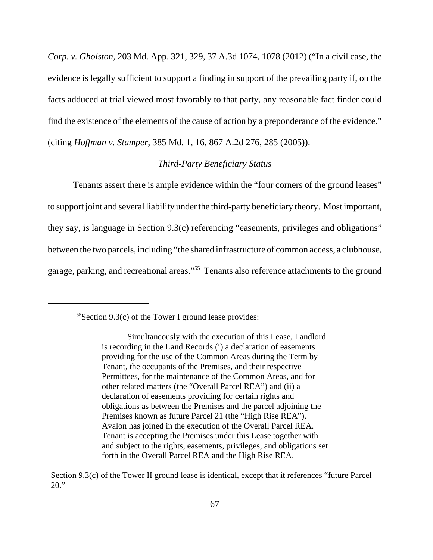*Corp. v. Gholston*, 203 Md. App. 321, 329, 37 A.3d 1074, 1078 (2012) ("In a civil case, the evidence is legally sufficient to support a finding in support of the prevailing party if, on the facts adduced at trial viewed most favorably to that party, any reasonable fact finder could find the existence of the elements of the cause of action by a preponderance of the evidence." (citing *Hoffman v. Stamper*, 385 Md. 1, 16, 867 A.2d 276, 285 (2005)).

## *Third-Party Beneficiary Status*

Tenants assert there is ample evidence within the "four corners of the ground leases" to support joint and several liability under the third-party beneficiary theory. Most important, they say, is language in Section 9.3(c) referencing "easements, privileges and obligations" between the two parcels, including "the shared infrastructure of common access, a clubhouse, garage, parking, and recreational areas."55 Tenants also reference attachments to the ground

 $55$ Section 9.3(c) of the Tower I ground lease provides:

Simultaneously with the execution of this Lease, Landlord is recording in the Land Records (i) a declaration of easements providing for the use of the Common Areas during the Term by Tenant, the occupants of the Premises, and their respective Permittees, for the maintenance of the Common Areas, and for other related matters (the "Overall Parcel REA") and (ii) a declaration of easements providing for certain rights and obligations as between the Premises and the parcel adjoining the Premises known as future Parcel 21 (the "High Rise REA"). Avalon has joined in the execution of the Overall Parcel REA. Tenant is accepting the Premises under this Lease together with and subject to the rights, easements, privileges, and obligations set forth in the Overall Parcel REA and the High Rise REA.

Section 9.3(c) of the Tower II ground lease is identical, except that it references "future Parcel 20."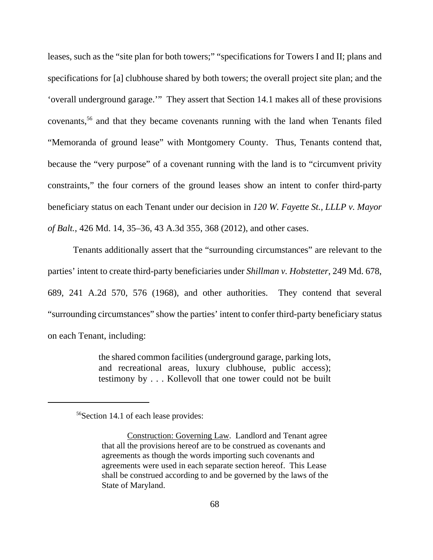leases, such as the "site plan for both towers;" "specifications for Towers I and II; plans and specifications for [a] clubhouse shared by both towers; the overall project site plan; and the 'overall underground garage.'" They assert that Section 14.1 makes all of these provisions covenants,56 and that they became covenants running with the land when Tenants filed "Memoranda of ground lease" with Montgomery County. Thus, Tenants contend that, because the "very purpose" of a covenant running with the land is to "circumvent privity constraints," the four corners of the ground leases show an intent to confer third-party beneficiary status on each Tenant under our decision in *120 W. Fayette St., LLLP v. Mayor of Balt.*, 426 Md. 14, 35–36, 43 A.3d 355, 368 (2012), and other cases.

Tenants additionally assert that the "surrounding circumstances" are relevant to the parties' intent to create third-party beneficiaries under *Shillman v. Hobstetter*, 249 Md. 678, 689, 241 A.2d 570, 576 (1968), and other authorities. They contend that several "surrounding circumstances" show the parties' intent to confer third-party beneficiary status on each Tenant, including:

> the shared common facilities (underground garage, parking lots, and recreational areas, luxury clubhouse, public access); testimony by . . . Kollevoll that one tower could not be built

<sup>56</sup>Section 14.1 of each lease provides:

Construction: Governing Law. Landlord and Tenant agree that all the provisions hereof are to be construed as covenants and agreements as though the words importing such covenants and agreements were used in each separate section hereof. This Lease shall be construed according to and be governed by the laws of the State of Maryland.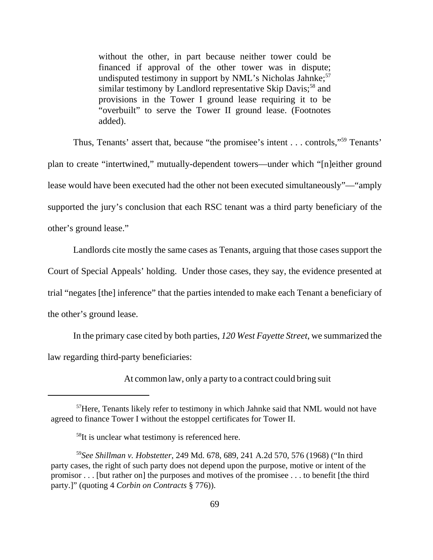without the other, in part because neither tower could be financed if approval of the other tower was in dispute; undisputed testimony in support by NML's Nicholas Jahnke; $57$ similar testimony by Landlord representative Skip Davis;<sup>58</sup> and provisions in the Tower I ground lease requiring it to be "overbuilt" to serve the Tower II ground lease. (Footnotes added).

Thus, Tenants' assert that, because "the promisee's intent . . . controls,"59 Tenants' plan to create "intertwined," mutually-dependent towers—under which "[n]either ground lease would have been executed had the other not been executed simultaneously"—"amply supported the jury's conclusion that each RSC tenant was a third party beneficiary of the other's ground lease."

Landlords cite mostly the same cases as Tenants, arguing that those cases support the Court of Special Appeals' holding. Under those cases, they say, the evidence presented at trial "negates [the] inference" that the parties intended to make each Tenant a beneficiary of the other's ground lease.

In the primary case cited by both parties, *120 West Fayette Street*, we summarized the law regarding third-party beneficiaries:

At common law, only a party to a contract could bring suit

<sup>&</sup>lt;sup>57</sup>Here, Tenants likely refer to testimony in which Jahnke said that NML would not have agreed to finance Tower I without the estoppel certificates for Tower II.

<sup>&</sup>lt;sup>58</sup>It is unclear what testimony is referenced here.

<sup>59</sup>*See Shillman v. Hobstetter*, 249 Md. 678, 689, 241 A.2d 570, 576 (1968) ("In third party cases, the right of such party does not depend upon the purpose, motive or intent of the promisor . . . [but rather on] the purposes and motives of the promisee . . . to benefit [the third party.]" (quoting 4 *Corbin on Contracts* § 776)).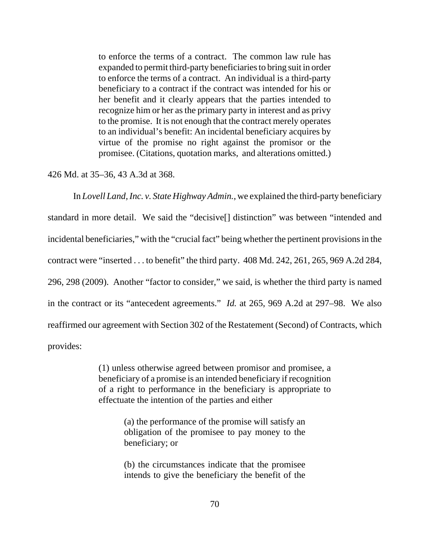to enforce the terms of a contract. The common law rule has expanded to permit third-party beneficiaries to bring suit in order to enforce the terms of a contract. An individual is a third-party beneficiary to a contract if the contract was intended for his or her benefit and it clearly appears that the parties intended to recognize him or her as the primary party in interest and as privy to the promise. It is not enough that the contract merely operates to an individual's benefit: An incidental beneficiary acquires by virtue of the promise no right against the promisor or the promisee. (Citations, quotation marks, and alterations omitted.)

426 Md. at 35–36, 43 A.3d at 368.

In *Lovell Land, Inc. v. State Highway Admin.*, we explained the third-party beneficiary standard in more detail. We said the "decisive[] distinction" was between "intended and incidental beneficiaries," with the "crucial fact" being whether the pertinent provisions in the contract were "inserted . . . to benefit" the third party. 408 Md. 242, 261, 265, 969 A.2d 284, 296, 298 (2009). Another "factor to consider," we said, is whether the third party is named in the contract or its "antecedent agreements." *Id.* at 265, 969 A.2d at 297–98. We also reaffirmed our agreement with Section 302 of the Restatement (Second) of Contracts, which provides:

> (1) unless otherwise agreed between promisor and promisee, a beneficiary of a promise is an intended beneficiary if recognition of a right to performance in the beneficiary is appropriate to effectuate the intention of the parties and either

> > (a) the performance of the promise will satisfy an obligation of the promisee to pay money to the beneficiary; or

> > (b) the circumstances indicate that the promisee intends to give the beneficiary the benefit of the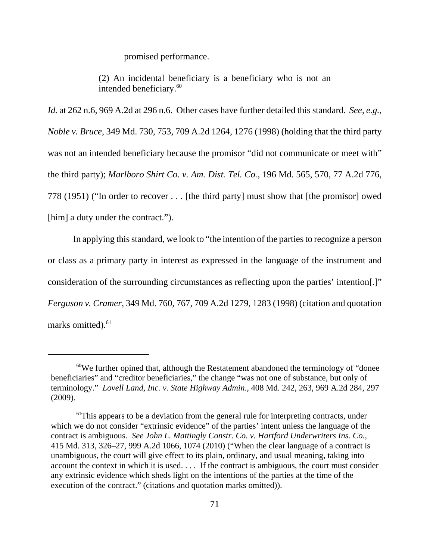promised performance.

(2) An incidental beneficiary is a beneficiary who is not an intended beneficiary.<sup>60</sup>

*Id.* at 262 n.6, 969 A.2d at 296 n.6. Other cases have further detailed this standard. *See, e.g.*, *Noble v. Bruce*, 349 Md. 730, 753, 709 A.2d 1264, 1276 (1998) (holding that the third party was not an intended beneficiary because the promisor "did not communicate or meet with" the third party); *Marlboro Shirt Co. v. Am. Dist. Tel. Co.*, 196 Md. 565, 570, 77 A.2d 776, 778 (1951) ("In order to recover . . . [the third party] must show that [the promisor] owed [him] a duty under the contract.").

In applying this standard, we look to "the intention of the parties to recognize a person or class as a primary party in interest as expressed in the language of the instrument and consideration of the surrounding circumstances as reflecting upon the parties' intention[.]" *Ferguson v. Cramer*, 349 Md. 760, 767, 709 A.2d 1279, 1283 (1998) (citation and quotation marks omitted).<sup>61</sup>

 $60$ We further opined that, although the Restatement abandoned the terminology of "donee" beneficiaries" and "creditor beneficiaries," the change "was not one of substance, but only of terminology." *Lovell Land, Inc. v. State Highway Admin*., 408 Md. 242, 263, 969 A.2d 284, 297 (2009).

<sup>&</sup>lt;sup>61</sup>This appears to be a deviation from the general rule for interpreting contracts, under which we do not consider "extrinsic evidence" of the parties' intent unless the language of the contract is ambiguous. *See John L. Mattingly Constr. Co. v. Hartford Underwriters Ins. Co.*, 415 Md. 313, 326–27, 999 A.2d 1066, 1074 (2010) ("When the clear language of a contract is unambiguous, the court will give effect to its plain, ordinary, and usual meaning, taking into account the context in which it is used. . . . If the contract is ambiguous, the court must consider any extrinsic evidence which sheds light on the intentions of the parties at the time of the execution of the contract." (citations and quotation marks omitted)).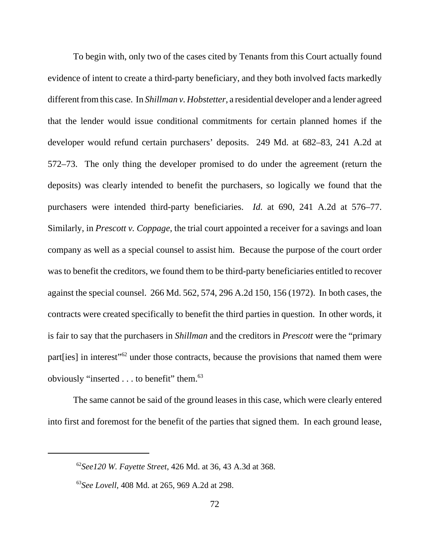To begin with, only two of the cases cited by Tenants from this Court actually found evidence of intent to create a third-party beneficiary, and they both involved facts markedly different from this case. In *Shillman v. Hobstetter*, a residential developer and a lender agreed that the lender would issue conditional commitments for certain planned homes if the developer would refund certain purchasers' deposits. 249 Md. at 682–83, 241 A.2d at 572–73. The only thing the developer promised to do under the agreement (return the deposits) was clearly intended to benefit the purchasers, so logically we found that the purchasers were intended third-party beneficiaries. *Id.* at 690, 241 A.2d at 576–77. Similarly, in *Prescott v. Coppage*, the trial court appointed a receiver for a savings and loan company as well as a special counsel to assist him. Because the purpose of the court order was to benefit the creditors, we found them to be third-party beneficiaries entitled to recover against the special counsel. 266 Md. 562, 574, 296 A.2d 150, 156 (1972). In both cases, the contracts were created specifically to benefit the third parties in question. In other words, it is fair to say that the purchasers in *Shillman* and the creditors in *Prescott* were the "primary part [ies] in interest"<sup>62</sup> under those contracts, because the provisions that named them were obviously "inserted . . . to benefit" them.<sup>63</sup>

The same cannot be said of the ground leases in this case, which were clearly entered into first and foremost for the benefit of the parties that signed them. In each ground lease,

<sup>62</sup>*See120 W. Fayette Street*, 426 Md. at 36, 43 A.3d at 368.

<sup>63</sup>*See Lovell*, 408 Md. at 265, 969 A.2d at 298.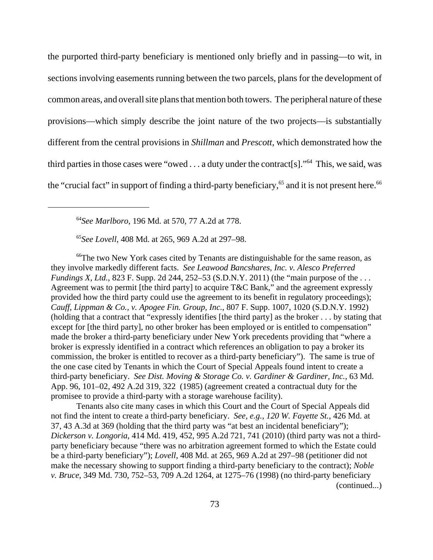the purported third-party beneficiary is mentioned only briefly and in passing—to wit, in sections involving easements running between the two parcels, plans for the development of common areas, and overall site plans that mention both towers. The peripheral nature of these provisions—which simply describe the joint nature of the two projects—is substantially different from the central provisions in *Shillman* and *Prescott*, which demonstrated how the third parties in those cases were "owed  $\dots$  a duty under the contract [s]."<sup>64</sup> This, we said, was the "crucial fact" in support of finding a third-party beneficiary,  $65$  and it is not present here.  $66$ 

<sup>64</sup>*See Marlboro*, 196 Md. at 570, 77 A.2d at 778.

<sup>65</sup>*See Lovell*, 408 Md. at 265, 969 A.2d at 297–98.

<sup>66</sup>The two New York cases cited by Tenants are distinguishable for the same reason, as they involve markedly different facts. *See Leawood Bancshares, Inc. v. Alesco Preferred Fundings X, Ltd.*, 823 F. Supp. 2d 244, 252–53 (S.D.N.Y. 2011) (the "main purpose of the ... Agreement was to permit [the third party] to acquire T&C Bank," and the agreement expressly provided how the third party could use the agreement to its benefit in regulatory proceedings); *Cauff, Lippman & Co., v. Apogee Fin. Group, Inc.*, 807 F. Supp. 1007, 1020 (S.D.N.Y. 1992) (holding that a contract that "expressly identifies [the third party] as the broker . . . by stating that except for [the third party], no other broker has been employed or is entitled to compensation" made the broker a third-party beneficiary under New York precedents providing that "where a broker is expressly identified in a contract which references an obligation to pay a broker its commission, the broker is entitled to recover as a third-party beneficiary"). The same is true of the one case cited by Tenants in which the Court of Special Appeals found intent to create a third-party beneficiary. *See Dist. Moving & Storage Co. v. Gardiner & Gardiner, Inc.*, 63 Md. App. 96, 101–02, 492 A.2d 319, 322 (1985) (agreement created a contractual duty for the promisee to provide a third-party with a storage warehouse facility).

Tenants also cite many cases in which this Court and the Court of Special Appeals did not find the intent to create a third-party beneficiary. *See, e.g.*, *120 W. Fayette St.*, 426 Md. at 37, 43 A.3d at 369 (holding that the third party was "at best an incidental beneficiary"); *Dickerson v. Longoria*, 414 Md. 419, 452, 995 A.2d 721, 741 (2010) (third party was not a thirdparty beneficiary because "there was no arbitration agreement formed to which the Estate could be a third-party beneficiary"); *Lovell*, 408 Md. at 265, 969 A.2d at 297–98 (petitioner did not make the necessary showing to support finding a third-party beneficiary to the contract); *Noble v. Bruce*, 349 Md. 730, 752–53, 709 A.2d 1264, at 1275–76 (1998) (no third-party beneficiary (continued...)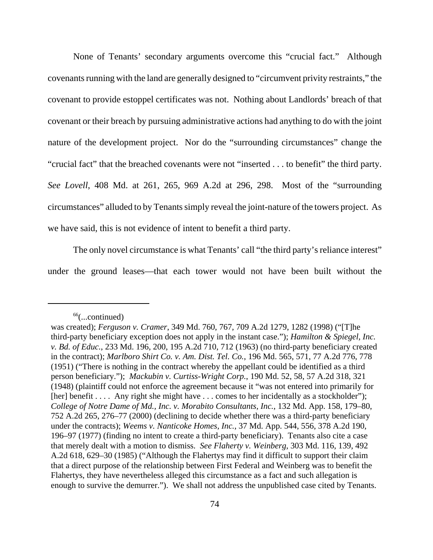None of Tenants' secondary arguments overcome this "crucial fact." Although covenants running with the land are generally designed to "circumvent privity restraints," the covenant to provide estoppel certificates was not. Nothing about Landlords' breach of that covenant or their breach by pursuing administrative actions had anything to do with the joint nature of the development project. Nor do the "surrounding circumstances" change the "crucial fact" that the breached covenants were not "inserted . . . to benefit" the third party. *See Lovell*, 408 Md. at 261, 265, 969 A.2d at 296, 298. Most of the "surrounding circumstances" alluded to by Tenants simply reveal the joint-nature of the towers project. As we have said, this is not evidence of intent to benefit a third party.

The only novel circumstance is what Tenants' call "the third party's reliance interest" under the ground leases—that each tower would not have been built without the

 $66$ (...continued)

was created); *Ferguson v. Cramer*, 349 Md. 760, 767, 709 A.2d 1279, 1282 (1998) ("[T]he third-party beneficiary exception does not apply in the instant case."); *Hamilton & Spiegel, Inc. v. Bd. of Educ.*, 233 Md. 196, 200, 195 A.2d 710, 712 (1963) (no third-party beneficiary created in the contract); *Marlboro Shirt Co. v. Am. Dist. Tel. Co.*, 196 Md. 565, 571, 77 A.2d 776, 778 (1951) ("There is nothing in the contract whereby the appellant could be identified as a third person beneficiary."); *Mackubin v. Curtiss-Wright Corp.*, 190 Md. 52, 58, 57 A.2d 318, 321 (1948) (plaintiff could not enforce the agreement because it "was not entered into primarily for [her] benefit . . . . Any right she might have . . . comes to her incidentally as a stockholder"); *College of Notre Dame of Md., Inc. v. Morabito Consultants, Inc.*, 132 Md. App. 158, 179–80, 752 A.2d 265, 276–77 (2000) (declining to decide whether there was a third-party beneficiary under the contracts); *Weems v. Nanticoke Homes, Inc.*, 37 Md. App. 544, 556, 378 A.2d 190, 196–97 (1977) (finding no intent to create a third-party beneficiary). Tenants also cite a case that merely dealt with a motion to dismiss. *See Flaherty v. Weinberg*, 303 Md. 116, 139, 492 A.2d 618, 629–30 (1985) ("Although the Flahertys may find it difficult to support their claim that a direct purpose of the relationship between First Federal and Weinberg was to benefit the Flahertys, they have nevertheless alleged this circumstance as a fact and such allegation is enough to survive the demurrer."). We shall not address the unpublished case cited by Tenants.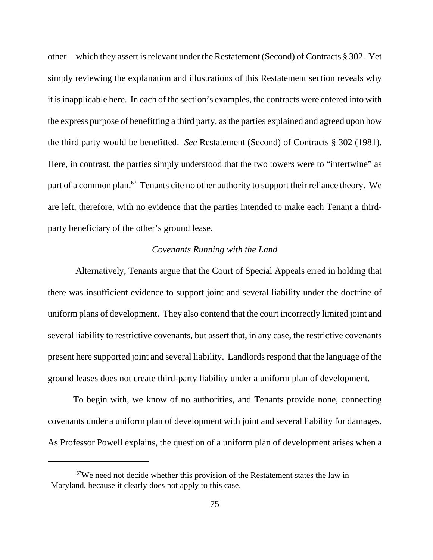other—which they assert is relevant under the Restatement (Second) of Contracts § 302. Yet simply reviewing the explanation and illustrations of this Restatement section reveals why it is inapplicable here. In each of the section's examples, the contracts were entered into with the express purpose of benefitting a third party, as the parties explained and agreed upon how the third party would be benefitted. *See* Restatement (Second) of Contracts § 302 (1981). Here, in contrast, the parties simply understood that the two towers were to "intertwine" as part of a common plan. $^{67}$  Tenants cite no other authority to support their reliance theory. We are left, therefore, with no evidence that the parties intended to make each Tenant a thirdparty beneficiary of the other's ground lease.

#### *Covenants Running with the Land*

 Alternatively, Tenants argue that the Court of Special Appeals erred in holding that there was insufficient evidence to support joint and several liability under the doctrine of uniform plans of development. They also contend that the court incorrectly limited joint and several liability to restrictive covenants, but assert that, in any case, the restrictive covenants present here supported joint and several liability. Landlords respond that the language of the ground leases does not create third-party liability under a uniform plan of development.

To begin with, we know of no authorities, and Tenants provide none, connecting covenants under a uniform plan of development with joint and several liability for damages. As Professor Powell explains, the question of a uniform plan of development arises when a

 $67$ We need not decide whether this provision of the Restatement states the law in Maryland, because it clearly does not apply to this case.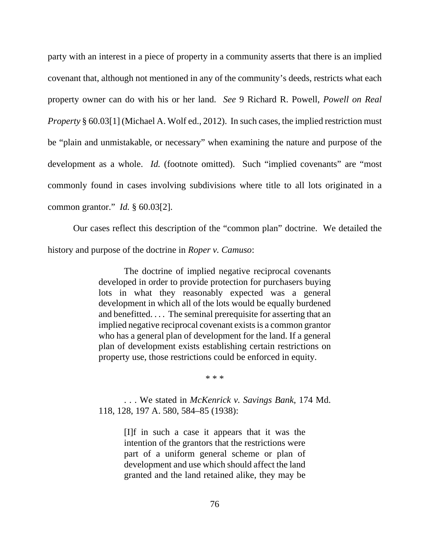party with an interest in a piece of property in a community asserts that there is an implied covenant that, although not mentioned in any of the community's deeds, restricts what each property owner can do with his or her land. *See* 9 Richard R. Powell, *Powell on Real Property* § 60.03[1] (Michael A. Wolf ed., 2012). In such cases, the implied restriction must be "plain and unmistakable, or necessary" when examining the nature and purpose of the development as a whole. *Id.* (footnote omitted). Such "implied covenants" are "most commonly found in cases involving subdivisions where title to all lots originated in a common grantor." *Id.* § 60.03[2].

Our cases reflect this description of the "common plan" doctrine. We detailed the history and purpose of the doctrine in *Roper v. Camuso*:

> The doctrine of implied negative reciprocal covenants developed in order to provide protection for purchasers buying lots in what they reasonably expected was a general development in which all of the lots would be equally burdened and benefitted. . . . The seminal prerequisite for asserting that an implied negative reciprocal covenant exists is a common grantor who has a general plan of development for the land. If a general plan of development exists establishing certain restrictions on property use, those restrictions could be enforced in equity.

> > \* \* \*

. . . We stated in *McKenrick v. Savings Bank*, 174 Md. 118, 128, 197 A. 580, 584–85 (1938):

> [I]f in such a case it appears that it was the intention of the grantors that the restrictions were part of a uniform general scheme or plan of development and use which should affect the land granted and the land retained alike, they may be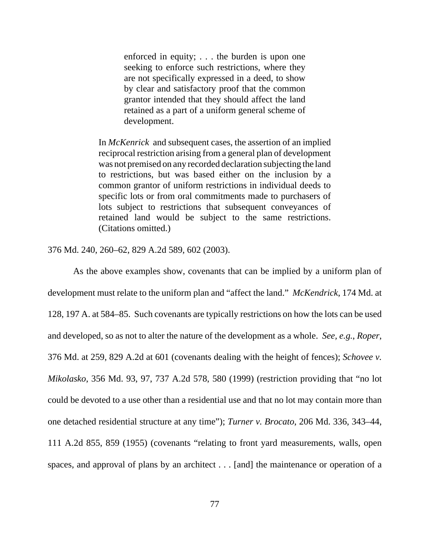enforced in equity; . . . the burden is upon one seeking to enforce such restrictions, where they are not specifically expressed in a deed, to show by clear and satisfactory proof that the common grantor intended that they should affect the land retained as a part of a uniform general scheme of development.

In *McKenrick* and subsequent cases, the assertion of an implied reciprocal restriction arising from a general plan of development was not premised on any recorded declaration subjecting the land to restrictions, but was based either on the inclusion by a common grantor of uniform restrictions in individual deeds to specific lots or from oral commitments made to purchasers of lots subject to restrictions that subsequent conveyances of retained land would be subject to the same restrictions. (Citations omitted.)

376 Md. 240, 260–62, 829 A.2d 589, 602 (2003).

As the above examples show, covenants that can be implied by a uniform plan of development must relate to the uniform plan and "affect the land." *McKendrick*, 174 Md. at 128, 197 A. at 584–85. Such covenants are typically restrictions on how the lots can be used and developed, so as not to alter the nature of the development as a whole. *See, e.g.*, *Roper*, 376 Md. at 259, 829 A.2d at 601 (covenants dealing with the height of fences); *Schovee v. Mikolasko*, 356 Md. 93, 97, 737 A.2d 578, 580 (1999) (restriction providing that "no lot could be devoted to a use other than a residential use and that no lot may contain more than one detached residential structure at any time"); *Turner v. Brocato*, 206 Md. 336, 343–44, 111 A.2d 855, 859 (1955) (covenants "relating to front yard measurements, walls, open spaces, and approval of plans by an architect . . . [and] the maintenance or operation of a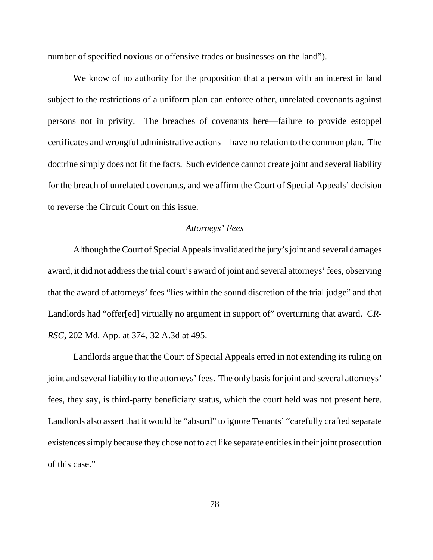number of specified noxious or offensive trades or businesses on the land").

We know of no authority for the proposition that a person with an interest in land subject to the restrictions of a uniform plan can enforce other, unrelated covenants against persons not in privity. The breaches of covenants here—failure to provide estoppel certificates and wrongful administrative actions—have no relation to the common plan. The doctrine simply does not fit the facts. Such evidence cannot create joint and several liability for the breach of unrelated covenants, and we affirm the Court of Special Appeals' decision to reverse the Circuit Court on this issue.

### *Attorneys' Fees*

Although the Court of Special Appeals invalidated the jury's joint and several damages award, it did not address the trial court's award of joint and several attorneys' fees, observing that the award of attorneys' fees "lies within the sound discretion of the trial judge" and that Landlords had "offer[ed] virtually no argument in support of" overturning that award. *CR-RSC*, 202 Md. App. at 374, 32 A.3d at 495.

Landlords argue that the Court of Special Appeals erred in not extending its ruling on joint and several liability to the attorneys' fees. The only basis for joint and several attorneys' fees, they say, is third-party beneficiary status, which the court held was not present here. Landlords also assert that it would be "absurd" to ignore Tenants' "carefully crafted separate existences simply because they chose not to act like separate entities in their joint prosecution of this case."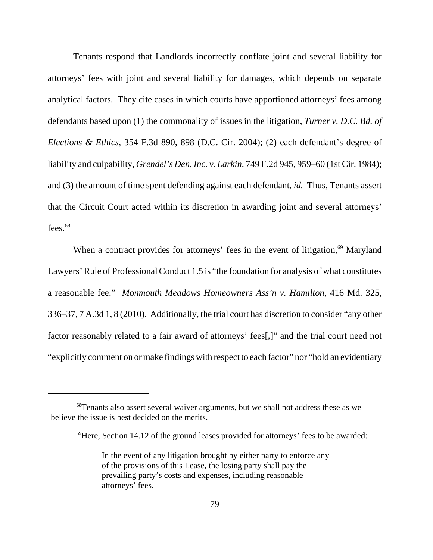Tenants respond that Landlords incorrectly conflate joint and several liability for attorneys' fees with joint and several liability for damages, which depends on separate analytical factors. They cite cases in which courts have apportioned attorneys' fees among defendants based upon (1) the commonality of issues in the litigation, *Turner v. D.C. Bd. of Elections & Ethics*, 354 F.3d 890, 898 (D.C. Cir. 2004); (2) each defendant's degree of liability and culpability, *Grendel's Den, Inc. v. Larkin*, 749 F.2d 945, 959–60 (1st Cir. 1984); and (3) the amount of time spent defending against each defendant, *id.* Thus, Tenants assert that the Circuit Court acted within its discretion in awarding joint and several attorneys' fees. $68$ 

When a contract provides for attorneys' fees in the event of litigation, $69$  Maryland Lawyers' Rule of Professional Conduct 1.5 is "the foundation for analysis of what constitutes a reasonable fee." *Monmouth Meadows Homeowners Ass'n v. Hamilton*, 416 Md. 325, 336–37, 7 A.3d 1, 8 (2010). Additionally, the trial court has discretion to consider "any other factor reasonably related to a fair award of attorneys' fees[,]" and the trial court need not "explicitly comment on or make findings with respect to each factor" nor "hold an evidentiary

<sup>68</sup>Tenants also assert several waiver arguments, but we shall not address these as we believe the issue is best decided on the merits.

 $^{69}$ Here, Section 14.12 of the ground leases provided for attorneys' fees to be awarded:

In the event of any litigation brought by either party to enforce any of the provisions of this Lease, the losing party shall pay the prevailing party's costs and expenses, including reasonable attorneys' fees.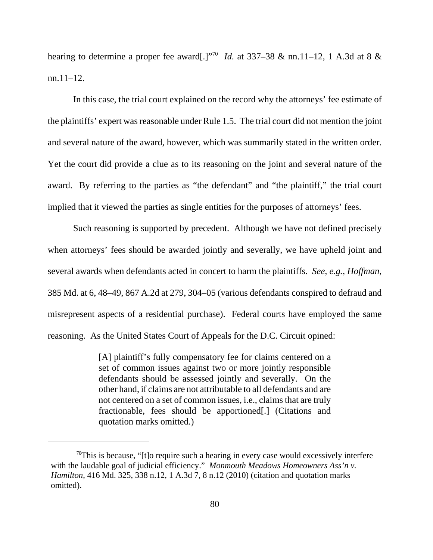hearing to determine a proper fee award[.]<sup>"70</sup> *Id.* at 337–38 & nn.11–12, 1 A.3d at 8 & nn.11–12.

In this case, the trial court explained on the record why the attorneys' fee estimate of the plaintiffs' expert was reasonable under Rule 1.5. The trial court did not mention the joint and several nature of the award, however, which was summarily stated in the written order. Yet the court did provide a clue as to its reasoning on the joint and several nature of the award. By referring to the parties as "the defendant" and "the plaintiff," the trial court implied that it viewed the parties as single entities for the purposes of attorneys' fees.

Such reasoning is supported by precedent. Although we have not defined precisely when attorneys' fees should be awarded jointly and severally, we have upheld joint and several awards when defendants acted in concert to harm the plaintiffs. *See, e.g.*, *Hoffman*, 385 Md. at 6, 48–49, 867 A.2d at 279, 304–05 (various defendants conspired to defraud and misrepresent aspects of a residential purchase). Federal courts have employed the same reasoning. As the United States Court of Appeals for the D.C. Circuit opined:

> [A] plaintiff's fully compensatory fee for claims centered on a set of common issues against two or more jointly responsible defendants should be assessed jointly and severally. On the other hand, if claims are not attributable to all defendants and are not centered on a set of common issues, i.e., claims that are truly fractionable, fees should be apportioned[.] (Citations and quotation marks omitted.)

 $70$ This is because, "[t]o require such a hearing in every case would excessively interfere with the laudable goal of judicial efficiency." *Monmouth Meadows Homeowners Ass'n v. Hamilton*, 416 Md. 325, 338 n.12, 1 A.3d 7, 8 n.12 (2010) (citation and quotation marks omitted).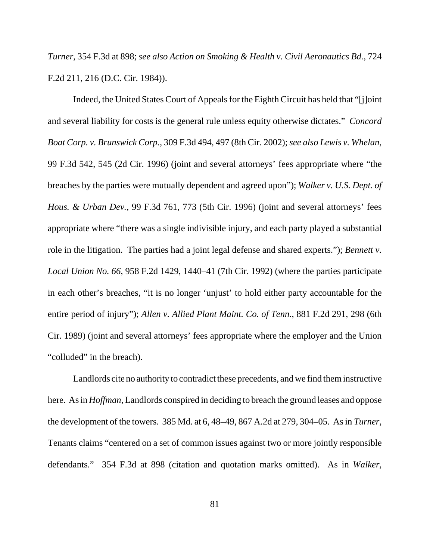*Turner*, 354 F.3d at 898; *see also Action on Smoking & Health v. Civil Aeronautics Bd.*, 724 F.2d 211, 216 (D.C. Cir. 1984)).

Indeed, the United States Court of Appeals for the Eighth Circuit has held that "[j]oint and several liability for costs is the general rule unless equity otherwise dictates." *Concord Boat Corp. v. Brunswick Corp.*, 309 F.3d 494, 497 (8th Cir. 2002); *see also Lewis v. Whelan*, 99 F.3d 542, 545 (2d Cir. 1996) (joint and several attorneys' fees appropriate where "the breaches by the parties were mutually dependent and agreed upon"); *Walker v. U.S. Dept. of Hous. & Urban Dev.*, 99 F.3d 761, 773 (5th Cir. 1996) (joint and several attorneys' fees appropriate where "there was a single indivisible injury, and each party played a substantial role in the litigation. The parties had a joint legal defense and shared experts."); *Bennett v. Local Union No. 66*, 958 F.2d 1429, 1440–41 (7th Cir. 1992) (where the parties participate in each other's breaches, "it is no longer 'unjust' to hold either party accountable for the entire period of injury"); *Allen v. Allied Plant Maint. Co. of Tenn.*, 881 F.2d 291, 298 (6th Cir. 1989) (joint and several attorneys' fees appropriate where the employer and the Union "colluded" in the breach).

Landlords cite no authority to contradict these precedents, and we find them instructive here. As in *Hoffman*, Landlords conspired in deciding to breach the ground leases and oppose the development of the towers. 385 Md. at 6, 48–49, 867 A.2d at 279, 304–05. As in *Turner*, Tenants claims "centered on a set of common issues against two or more jointly responsible defendants." 354 F.3d at 898 (citation and quotation marks omitted). As in *Walker*,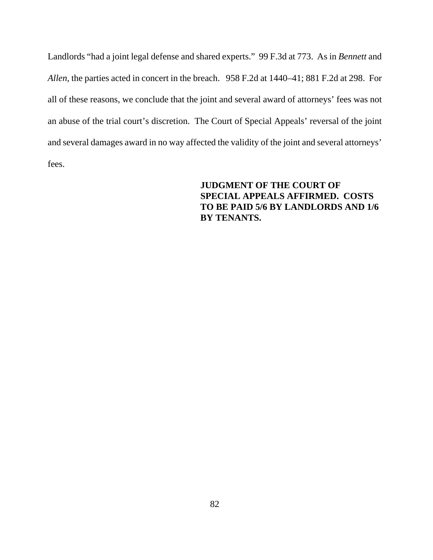Landlords "had a joint legal defense and shared experts." 99 F.3d at 773. As in *Bennett* and *Allen*, the parties acted in concert in the breach. 958 F.2d at 1440–41; 881 F.2d at 298. For all of these reasons, we conclude that the joint and several award of attorneys' fees was not an abuse of the trial court's discretion. The Court of Special Appeals' reversal of the joint and several damages award in no way affected the validity of the joint and several attorneys' fees.

## **JUDGMENT OF THE COURT OF SPECIAL APPEALS AFFIRMED. COSTS TO BE PAID 5/6 BY LANDLORDS AND 1/6 BY TENANTS.**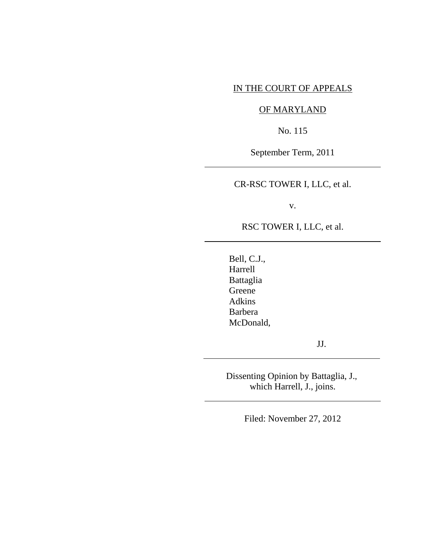### IN THE COURT OF APPEALS

# OF MARYLAND

No. 115

September Term, 2011

CR-RSC TOWER I, LLC, et al.

v.

RSC TOWER I, LLC, et al.

Bell, C.J., Harrell Battaglia Greene Adkins Barbera McDonald,

l

 $\overline{a}$ 

 $\overline{a}$ 

 $\overline{a}$ 

JJ.

Dissenting Opinion by Battaglia, J., which Harrell, J., joins.

Filed: November 27, 2012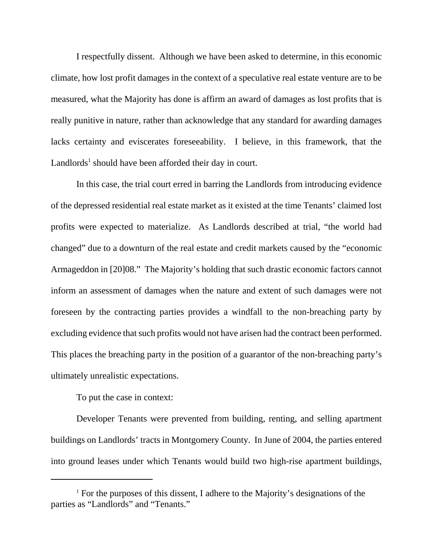I respectfully dissent. Although we have been asked to determine, in this economic climate, how lost profit damages in the context of a speculative real estate venture are to be measured, what the Majority has done is affirm an award of damages as lost profits that is really punitive in nature, rather than acknowledge that any standard for awarding damages lacks certainty and eviscerates foreseeability. I believe, in this framework, that the Landlords<sup>1</sup> should have been afforded their day in court.

In this case, the trial court erred in barring the Landlords from introducing evidence of the depressed residential real estate market as it existed at the time Tenants' claimed lost profits were expected to materialize. As Landlords described at trial, "the world had changed" due to a downturn of the real estate and credit markets caused by the "economic Armageddon in [20]08." The Majority's holding that such drastic economic factors cannot inform an assessment of damages when the nature and extent of such damages were not foreseen by the contracting parties provides a windfall to the non-breaching party by excluding evidence that such profits would not have arisen had the contract been performed. This places the breaching party in the position of a guarantor of the non-breaching party's ultimately unrealistic expectations.

To put the case in context:

Developer Tenants were prevented from building, renting, and selling apartment buildings on Landlords' tracts in Montgomery County. In June of 2004, the parties entered into ground leases under which Tenants would build two high-rise apartment buildings,

<sup>&</sup>lt;sup>1</sup> For the purposes of this dissent, I adhere to the Majority's designations of the parties as "Landlords" and "Tenants."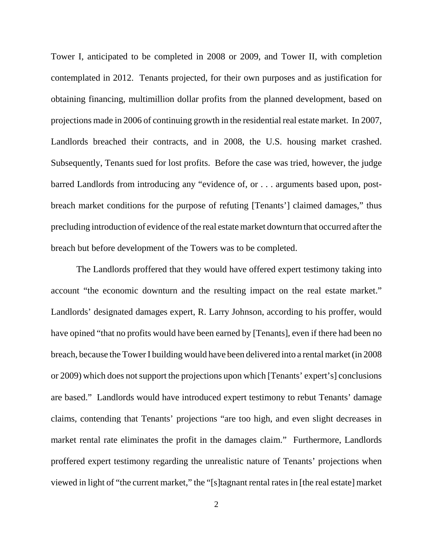Tower I, anticipated to be completed in 2008 or 2009, and Tower II, with completion contemplated in 2012. Tenants projected, for their own purposes and as justification for obtaining financing, multimillion dollar profits from the planned development, based on projections made in 2006 of continuing growth in the residential real estate market. In 2007, Landlords breached their contracts, and in 2008, the U.S. housing market crashed. Subsequently, Tenants sued for lost profits. Before the case was tried, however, the judge barred Landlords from introducing any "evidence of, or . . . arguments based upon, postbreach market conditions for the purpose of refuting [Tenants'] claimed damages," thus precluding introduction of evidence of the real estate market downturn that occurred after the breach but before development of the Towers was to be completed.

The Landlords proffered that they would have offered expert testimony taking into account "the economic downturn and the resulting impact on the real estate market." Landlords' designated damages expert, R. Larry Johnson, according to his proffer, would have opined "that no profits would have been earned by [Tenants], even if there had been no breach, because the Tower I building would have been delivered into a rental market (in 2008 or 2009) which does not support the projections upon which [Tenants' expert's] conclusions are based." Landlords would have introduced expert testimony to rebut Tenants' damage claims, contending that Tenants' projections "are too high, and even slight decreases in market rental rate eliminates the profit in the damages claim." Furthermore, Landlords proffered expert testimony regarding the unrealistic nature of Tenants' projections when viewed in light of "the current market," the "[s]tagnant rental rates in [the real estate] market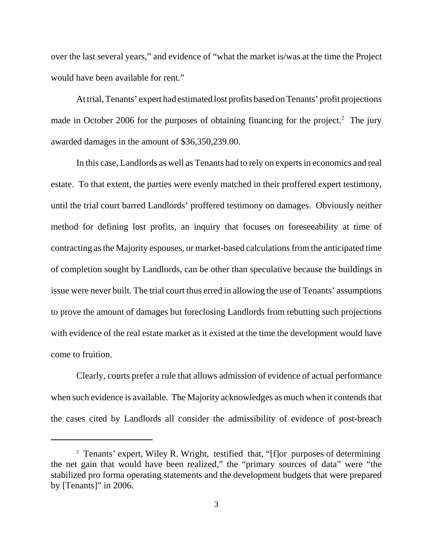over the last several years," and evidence of "what the market is/was at the time the Project would have been available for rent."

At trial, Tenants' expert had estimated lost profits based on Tenants' profit projections made in October 2006 for the purposes of obtaining financing for the project.<sup>2</sup> The jury awarded damages in the amount of \$36,350,239.00.

In this case, Landlords as well as Tenants had to rely on experts in economics and real estate. To that extent, the parties were evenly matched in their proffered expert testimony, until the trial court barred Landlords' proffered testimony on damages. Obviously neither method for defining lost profits, an inquiry that focuses on foreseeability at time of contracting as the Majority espouses, or market-based calculations from the anticipated time of completion sought by Landlords, can be other than speculative because the buildings in issue were never built. The trial court thus erred in allowing the use of Tenants' assumptions to prove the amount of damages but foreclosing Landlords from rebutting such projections with evidence of the real estate market as it existed at the time the development would have come to fruition.

Clearly, courts prefer a rule that allows admission of evidence of actual performance when such evidence is available. The Majority acknowledges as much when it contends that the cases cited by Landlords all consider the admissibility of evidence of post-breach

<sup>2</sup> Tenants' expert, Wiley R. Wright, testified that, "[f]or purposes of determining the net gain that would have been realized," the "primary sources of data" were "the stabilized pro forma operating statements and the development budgets that were prepared by [Tenants]" in 2006.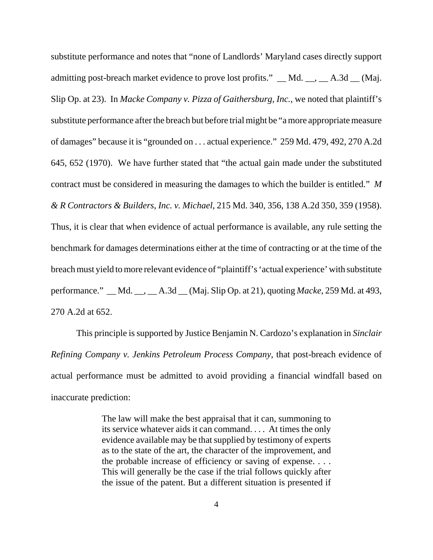substitute performance and notes that "none of Landlords' Maryland cases directly support admitting post-breach market evidence to prove lost profits."  $\_\text{Md}$  Md.  $\_\text{d}$ ,  $\_\text{A}$ .3d  $\_\text{d}$  (Maj. Slip Op. at 23). In *Macke Company v. Pizza of Gaithersburg, Inc.*, we noted that plaintiff's substitute performance after the breach but before trial might be "a more appropriate measure of damages" because it is "grounded on . . . actual experience." 259 Md. 479, 492, 270 A.2d 645, 652 (1970). We have further stated that "the actual gain made under the substituted contract must be considered in measuring the damages to which the builder is entitled." *M & R Contractors & Builders, Inc. v. Michael*, 215 Md. 340, 356, 138 A.2d 350, 359 (1958). Thus, it is clear that when evidence of actual performance is available, any rule setting the benchmark for damages determinations either at the time of contracting or at the time of the breach must yield to more relevant evidence of "plaintiff's 'actual experience' with substitute performance." \_\_ Md. \_\_, \_\_ A.3d \_\_ (Maj. Slip Op. at 21), quoting *Macke*, 259 Md. at 493, 270 A.2d at 652.

This principle is supported by Justice Benjamin N. Cardozo's explanation in *Sinclair Refining Company v. Jenkins Petroleum Process Company*, that post-breach evidence of actual performance must be admitted to avoid providing a financial windfall based on inaccurate prediction:

> The law will make the best appraisal that it can, summoning to its service whatever aids it can command. . . . At times the only evidence available may be that supplied by testimony of experts as to the state of the art, the character of the improvement, and the probable increase of efficiency or saving of expense. . . . This will generally be the case if the trial follows quickly after the issue of the patent. But a different situation is presented if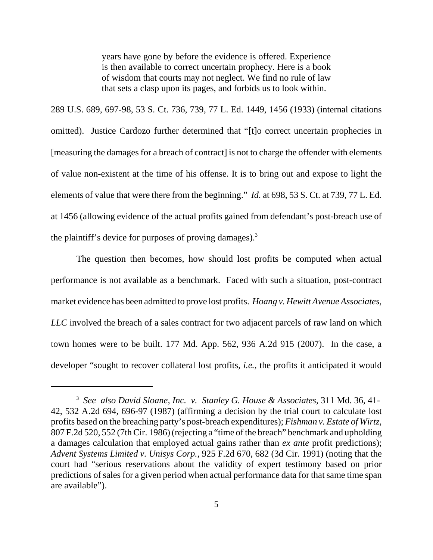years have gone by before the evidence is offered. Experience is then available to correct uncertain prophecy. Here is a book of wisdom that courts may not neglect. We find no rule of law that sets a clasp upon its pages, and forbids us to look within.

289 U.S. 689, 697-98, 53 S. Ct. 736, 739, 77 L. Ed. 1449, 1456 (1933) (internal citations omitted). Justice Cardozo further determined that "[t]o correct uncertain prophecies in [measuring the damages for a breach of contract] is not to charge the offender with elements of value non-existent at the time of his offense. It is to bring out and expose to light the elements of value that were there from the beginning." *Id.* at 698, 53 S. Ct. at 739, 77 L. Ed. at 1456 (allowing evidence of the actual profits gained from defendant's post-breach use of the plaintiff's device for purposes of proving damages).<sup>3</sup>

The question then becomes, how should lost profits be computed when actual performance is not available as a benchmark. Faced with such a situation, post-contract market evidence has been admitted to prove lost profits. *Hoang v. Hewitt Avenue Associates, LLC* involved the breach of a sales contract for two adjacent parcels of raw land on which town homes were to be built. 177 Md. App. 562, 936 A.2d 915 (2007). In the case, a developer "sought to recover collateral lost profits, *i.e.*, the profits it anticipated it would

<sup>3</sup> *See also David Sloane, Inc. v. Stanley G. House & Associates*, 311 Md. 36, 41- 42, 532 A.2d 694, 696-97 (1987) (affirming a decision by the trial court to calculate lost profits based on the breaching party's post-breach expenditures); *Fishman v. Estate of Wirtz*, 807 F.2d 520, 552 (7th Cir. 1986) (rejecting a "time of the breach" benchmark and upholding a damages calculation that employed actual gains rather than *ex ante* profit predictions); *Advent Systems Limited v. Unisys Corp.*, 925 F.2d 670, 682 (3d Cir. 1991) (noting that the court had "serious reservations about the validity of expert testimony based on prior predictions of sales for a given period when actual performance data for that same time span are available").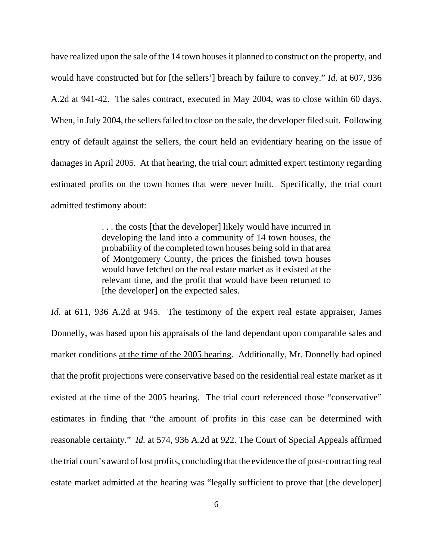have realized upon the sale of the 14 town houses it planned to construct on the property, and would have constructed but for [the sellers'] breach by failure to convey." *Id.* at 607, 936 A.2d at 941-42. The sales contract, executed in May 2004, was to close within 60 days. When, in July 2004, the sellers failed to close on the sale, the developer filed suit. Following entry of default against the sellers, the court held an evidentiary hearing on the issue of damages in April 2005. At that hearing, the trial court admitted expert testimony regarding estimated profits on the town homes that were never built. Specifically, the trial court admitted testimony about:

> . . . the costs [that the developer] likely would have incurred in developing the land into a community of 14 town houses, the probability of the completed town houses being sold in that area of Montgomery County, the prices the finished town houses would have fetched on the real estate market as it existed at the relevant time, and the profit that would have been returned to [the developer] on the expected sales.

*Id.* at 611, 936 A.2d at 945. The testimony of the expert real estate appraiser, James Donnelly, was based upon his appraisals of the land dependant upon comparable sales and market conditions at the time of the 2005 hearing. Additionally, Mr. Donnelly had opined that the profit projections were conservative based on the residential real estate market as it existed at the time of the 2005 hearing. The trial court referenced those "conservative" estimates in finding that "the amount of profits in this case can be determined with reasonable certainty." *Id.* at 574, 936 A.2d at 922. The Court of Special Appeals affirmed the trial court's award of lost profits, concluding that the evidence the of post-contracting real estate market admitted at the hearing was "legally sufficient to prove that [the developer]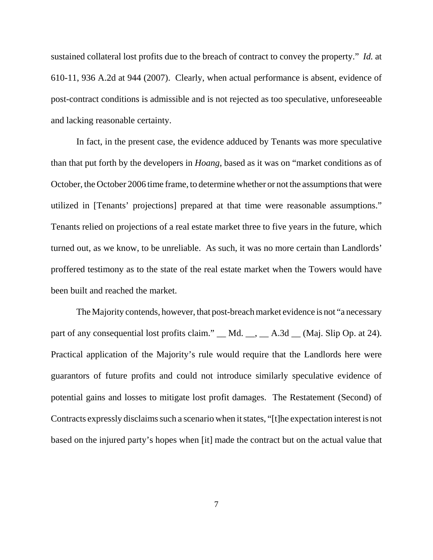sustained collateral lost profits due to the breach of contract to convey the property." *Id.* at 610-11, 936 A.2d at 944 (2007). Clearly, when actual performance is absent, evidence of post-contract conditions is admissible and is not rejected as too speculative, unforeseeable and lacking reasonable certainty.

In fact, in the present case, the evidence adduced by Tenants was more speculative than that put forth by the developers in *Hoang*, based as it was on "market conditions as of October, the October 2006 time frame, to determine whether or not the assumptions that were utilized in [Tenants' projections] prepared at that time were reasonable assumptions." Tenants relied on projections of a real estate market three to five years in the future, which turned out, as we know, to be unreliable. As such, it was no more certain than Landlords' proffered testimony as to the state of the real estate market when the Towers would have been built and reached the market.

The Majority contends, however, that post-breach market evidence is not "a necessary part of any consequential lost profits claim." \_\_ Md. \_\_, \_\_ A.3d \_\_ (Maj. Slip Op. at 24). Practical application of the Majority's rule would require that the Landlords here were guarantors of future profits and could not introduce similarly speculative evidence of potential gains and losses to mitigate lost profit damages. The Restatement (Second) of Contracts expressly disclaims such a scenario when it states, "[t]he expectation interest is not based on the injured party's hopes when [it] made the contract but on the actual value that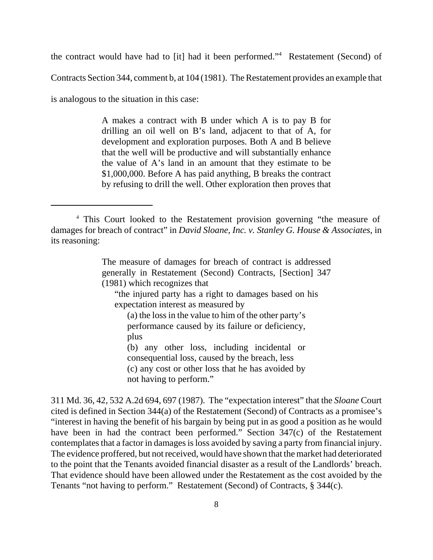the contract would have had to [it] had it been performed."4 Restatement (Second) of

Contracts Section 344, comment b, at 104 (1981). The Restatement provides an example that

is analogous to the situation in this case:

A makes a contract with B under which A is to pay B for drilling an oil well on B's land, adjacent to that of A, for development and exploration purposes. Both A and B believe that the well will be productive and will substantially enhance the value of A's land in an amount that they estimate to be \$1,000,000. Before A has paid anything, B breaks the contract by refusing to drill the well. Other exploration then proves that

The measure of damages for breach of contract is addressed generally in Restatement (Second) Contracts, [Section] 347 (1981) which recognizes that

"the injured party has a right to damages based on his expectation interest as measured by

(a) the loss in the value to him of the other party's performance caused by its failure or deficiency, plus

(b) any other loss, including incidental or consequential loss, caused by the breach, less (c) any cost or other loss that he has avoided by not having to perform."

311 Md. 36, 42, 532 A.2d 694, 697 (1987). The "expectation interest" that the *Sloane* Court cited is defined in Section 344(a) of the Restatement (Second) of Contracts as a promisee's "interest in having the benefit of his bargain by being put in as good a position as he would have been in had the contract been performed." Section 347(c) of the Restatement contemplates that a factor in damages is loss avoided by saving a party from financial injury. The evidence proffered, but not received, would have shown that the market had deteriorated to the point that the Tenants avoided financial disaster as a result of the Landlords' breach. That evidence should have been allowed under the Restatement as the cost avoided by the Tenants "not having to perform." Restatement (Second) of Contracts, § 344(c).

<sup>&</sup>lt;sup>4</sup> This Court looked to the Restatement provision governing "the measure of damages for breach of contract" in *David Sloane, Inc. v. Stanley G. House & Associates*, in its reasoning: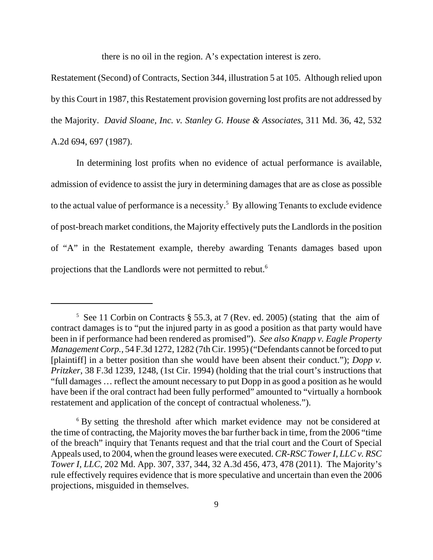there is no oil in the region. A's expectation interest is zero.

Restatement (Second) of Contracts, Section 344, illustration 5 at 105. Although relied upon by this Court in 1987, this Restatement provision governing lost profits are not addressed by the Majority. *David Sloane, Inc. v. Stanley G. House & Associates*, 311 Md. 36, 42, 532 A.2d 694, 697 (1987).

In determining lost profits when no evidence of actual performance is available, admission of evidence to assist the jury in determining damages that are as close as possible to the actual value of performance is a necessity.<sup>5</sup> By allowing Tenants to exclude evidence of post-breach market conditions, the Majority effectively puts the Landlords in the position of "A" in the Restatement example, thereby awarding Tenants damages based upon projections that the Landlords were not permitted to rebut.6

<sup>5</sup> See 11 Corbin on Contracts § 55.3, at 7 (Rev. ed. 2005) (stating that the aim of contract damages is to "put the injured party in as good a position as that party would have been in if performance had been rendered as promised"). *See also Knapp v. Eagle Property Management Corp.*, 54 F.3d 1272, 1282 (7th Cir. 1995) ("Defendants cannot be forced to put [plaintiff] in a better position than she would have been absent their conduct."); *Dopp v. Pritzker*, 38 F.3d 1239, 1248, (1st Cir. 1994) (holding that the trial court's instructions that "full damages … reflect the amount necessary to put Dopp in as good a position as he would have been if the oral contract had been fully performed" amounted to "virtually a hornbook restatement and application of the concept of contractual wholeness.").

<sup>&</sup>lt;sup>6</sup> By setting the threshold after which market evidence may not be considered at the time of contracting, the Majority moves the bar further back in time, from the 2006 "time of the breach" inquiry that Tenants request and that the trial court and the Court of Special Appeals used, to 2004, when the ground leases were executed. *CR-RSC Tower I, LLC v. RSC Tower I, LLC*, 202 Md. App. 307, 337, 344, 32 A.3d 456, 473, 478 (2011). The Majority's rule effectively requires evidence that is more speculative and uncertain than even the 2006 projections, misguided in themselves.